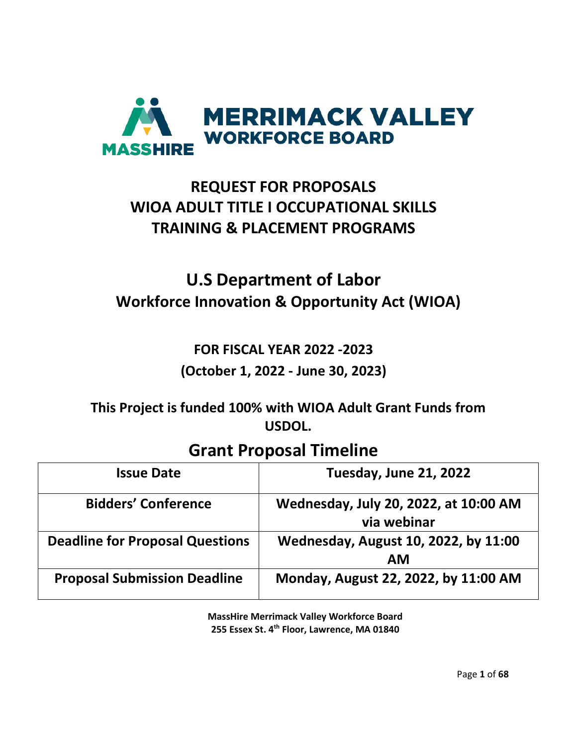

# **REQUEST FOR PROPOSALS WIOA ADULT TITLE I OCCUPATIONAL SKILLS TRAINING & PLACEMENT PROGRAMS**

# **U.S Department of Labor Workforce Innovation & Opportunity Act (WIOA)**

# **FOR FISCAL YEAR 2022 -2023 (October 1, 2022 - June 30, 2023)**

**This Project is funded 100% with WIOA Adult Grant Funds from USDOL.**

# **Grant Proposal Timeline**

| <b>Issue Date</b>                      | <b>Tuesday, June 21, 2022</b>                        |
|----------------------------------------|------------------------------------------------------|
| <b>Bidders' Conference</b>             | Wednesday, July 20, 2022, at 10:00 AM<br>via webinar |
| <b>Deadline for Proposal Questions</b> | Wednesday, August 10, 2022, by 11:00<br><b>AM</b>    |
| <b>Proposal Submission Deadline</b>    | Monday, August 22, 2022, by 11:00 AM                 |

**MassHire Merrimack Valley Workforce Board 255 Essex St. 4th Floor, Lawrence, MA 01840**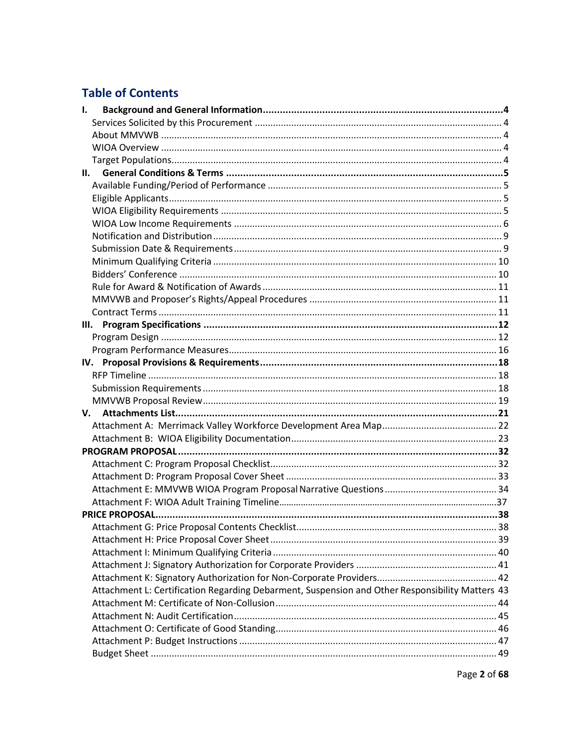# **Table of Contents**

| 1. |                                                                                                 |  |
|----|-------------------------------------------------------------------------------------------------|--|
|    |                                                                                                 |  |
|    |                                                                                                 |  |
|    |                                                                                                 |  |
|    |                                                                                                 |  |
| н. |                                                                                                 |  |
|    |                                                                                                 |  |
|    |                                                                                                 |  |
|    |                                                                                                 |  |
|    |                                                                                                 |  |
|    |                                                                                                 |  |
|    |                                                                                                 |  |
|    |                                                                                                 |  |
|    |                                                                                                 |  |
|    |                                                                                                 |  |
|    |                                                                                                 |  |
|    |                                                                                                 |  |
| Ш. |                                                                                                 |  |
|    |                                                                                                 |  |
|    |                                                                                                 |  |
|    |                                                                                                 |  |
|    |                                                                                                 |  |
|    |                                                                                                 |  |
|    |                                                                                                 |  |
|    |                                                                                                 |  |
|    |                                                                                                 |  |
|    |                                                                                                 |  |
|    |                                                                                                 |  |
|    |                                                                                                 |  |
|    |                                                                                                 |  |
|    |                                                                                                 |  |
|    |                                                                                                 |  |
|    |                                                                                                 |  |
|    |                                                                                                 |  |
|    |                                                                                                 |  |
|    |                                                                                                 |  |
|    |                                                                                                 |  |
|    |                                                                                                 |  |
|    | Attachment L: Certification Regarding Debarment, Suspension and Other Responsibility Matters 43 |  |
|    |                                                                                                 |  |
|    |                                                                                                 |  |
|    |                                                                                                 |  |
|    |                                                                                                 |  |
|    |                                                                                                 |  |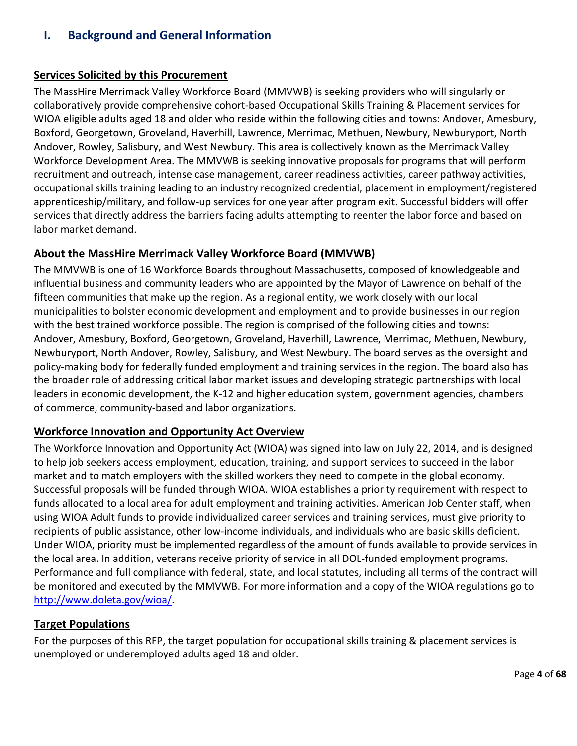# <span id="page-3-0"></span>**I. Background and General Information**

## <span id="page-3-1"></span>**Services Solicited by this Procurement**

The MassHire Merrimack Valley Workforce Board (MMVWB) is seeking providers who will singularly or collaboratively provide comprehensive cohort-based Occupational Skills Training & Placement services for WIOA eligible adults aged 18 and older who reside within the following cities and towns: Andover, Amesbury, Boxford, Georgetown, Groveland, Haverhill, Lawrence, Merrimac, Methuen, Newbury, Newburyport, North Andover, Rowley, Salisbury, and West Newbury. This area is collectively known as the Merrimack Valley Workforce Development Area. The MMVWB is seeking innovative proposals for programs that will perform recruitment and outreach, intense case management, career readiness activities, career pathway activities, occupational skills training leading to an industry recognized credential, placement in employment/registered apprenticeship/military, and follow-up services for one year after program exit. Successful bidders will offer services that directly address the barriers facing adults attempting to reenter the labor force and based on labor market demand.

# <span id="page-3-2"></span>**About the MassHire Merrimack Valley Workforce Board (MMVWB)**

The MMVWB is one of 16 Workforce Boards throughout Massachusetts, composed of knowledgeable and influential business and community leaders who are appointed by the Mayor of Lawrence on behalf of the fifteen communities that make up the region. As a regional entity, we work closely with our local municipalities to bolster economic development and employment and to provide businesses in our region with the best trained workforce possible. The region is comprised of the following cities and towns: Andover, Amesbury, Boxford, Georgetown, Groveland, Haverhill, Lawrence, Merrimac, Methuen, Newbury, Newburyport, North Andover, Rowley, Salisbury, and West Newbury. The board serves as the oversight and policy-making body for federally funded employment and training services in the region. The board also has the broader role of addressing critical labor market issues and developing strategic partnerships with local leaders in economic development, the K-12 and higher education system, government agencies, chambers of commerce, community-based and labor organizations.

# **Workforce Innovation and Opportunity Act Overview**

The Workforce Innovation and Opportunity Act (WIOA) was signed into law on July 22, 2014, and is designed to help job seekers access employment, education, training, and support services to succeed in the labor market and to match employers with the skilled workers they need to compete in the global economy. Successful proposals will be funded through WIOA. WIOA establishes a priority requirement with respect to funds allocated to a local area for adult employment and training activities. American Job Center staff, when using WIOA Adult funds to provide individualized career services and training services, must give priority to recipients of public assistance, other low-income individuals, and individuals who are basic skills deficient. Under WIOA, priority must be implemented regardless of the amount of funds available to provide services in the local area. In addition, veterans receive priority of service in all DOL-funded employment programs. Performance and full compliance with federal, state, and local statutes, including all terms of the contract will be monitored and executed by the MMVWB. For more information and a copy of the WIOA regulations go to [http://www.doleta.gov/wioa/.](http://www.doleta.gov/wioa/)

## <span id="page-3-3"></span>**Target Populations**

For the purposes of this RFP, the target population for occupational skills training & placement services is unemployed or underemployed adults aged 18 and older.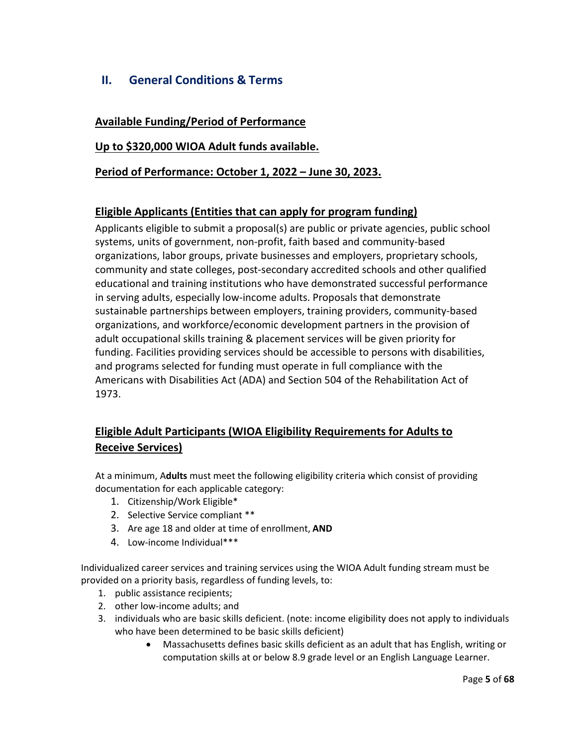# <span id="page-4-0"></span>**II. General Conditions & Terms**

## <span id="page-4-1"></span>**Available Funding/Period of Performance**

## **Up to \$320,000 WIOA Adult funds available.**

## **Period of Performance: October 1, 2022 – June 30, 2023.**

## **Eligible Applicants (Entities that can apply for program funding)**

<span id="page-4-2"></span>Applicants eligible to submit a proposal(s) are public or private agencies, public school systems, units of government, non-profit, faith based and community-based organizations, labor groups, private businesses and employers, proprietary schools, community and state colleges, post-secondary accredited schools and other qualified educational and training institutions who have demonstrated successful performance in serving adults, especially low-income adults. Proposals that demonstrate sustainable partnerships between employers, training providers, community-based organizations, and workforce/economic development partners in the provision of adult occupational skills training & placement services will be given priority for funding. Facilities providing services should be accessible to persons with disabilities, and programs selected for funding must operate in full compliance with the Americans with Disabilities Act (ADA) and Section 504 of the Rehabilitation Act of 1973.

# **Eligible Adult Participants (WIOA Eligibility Requirements for Adults to Receive Services)**

At a minimum, A**dults** must meet the following eligibility criteria which consist of providing documentation for each applicable category:

- 1. Citizenship/Work Eligible\*
- 2. Selective Service compliant \*\*
- 3. Are age 18 and older at time of enrollment, **AND**
- 4. Low-income Individual\*\*\*

Individualized career services and training services using the WIOA Adult funding stream must be provided on a priority basis, regardless of funding levels, to:

- 1. public assistance recipients;
- 2. other low-income adults; and
- 3. individuals who are basic skills deficient. (note: income eligibility does not apply to individuals who have been determined to be basic skills deficient)
	- Massachusetts defines basic skills deficient as an adult that has English, writing or computation skills at or below 8.9 grade level or an English Language Learner.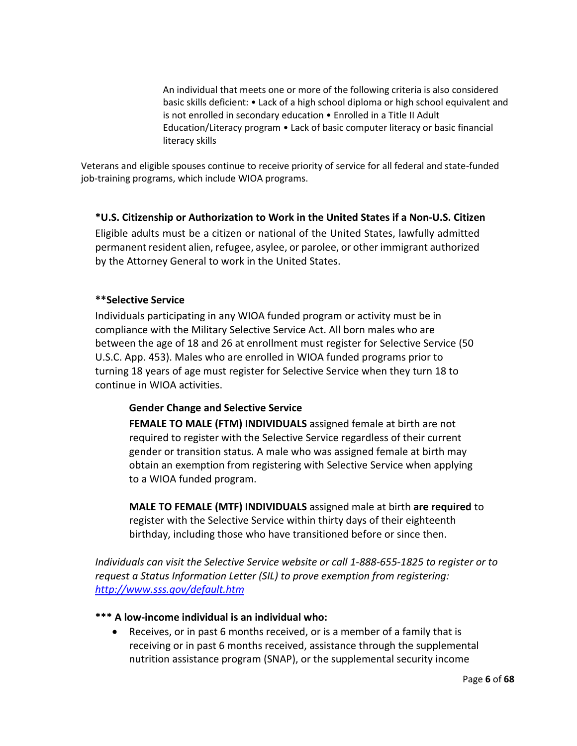An individual that meets one or more of the following criteria is also considered basic skills deficient: • Lack of a high school diploma or high school equivalent and is not enrolled in secondary education • Enrolled in a Title II Adult Education/Literacy program • Lack of basic computer literacy or basic financial literacy skills

Veterans and eligible spouses continue to receive priority of service for all federal and state-funded job-training programs, which include WIOA programs.

## **\*U.S. Citizenship or Authorization to Work in the United States if a Non-U.S. Citizen**

Eligible adults must be a citizen or national of the United States, lawfully admitted permanent resident alien, refugee, asylee, or parolee, or other immigrant authorized by the Attorney General to work in the United States.

## **\*\*Selective Service**

Individuals participating in any WIOA funded program or activity must be in compliance with the Military Selective Service Act. All born males who are between the age of 18 and 26 at enrollment must register for Selective Service (50 U.S.C. App. 453). Males who are enrolled in WIOA funded programs prior to turning 18 years of age must register for Selective Service when they turn 18 to continue in WIOA activities.

## **Gender Change and Selective Service**

**FEMALE TO MALE (FTM) INDIVIDUALS** assigned female at birth are not required to register with the Selective Service regardless of their current gender or transition status. A male who was assigned female at birth may obtain an exemption from registering with Selective Service when applying to a WIOA funded program.

**MALE TO FEMALE (MTF) INDIVIDUALS** assigned male at birth **are required** to register with the Selective Service within thirty days of their eighteenth birthday, including those who have transitioned before or since then.

*Individuals can visit the Selective Service website or call 1-888-655-1825 to register or to request a Status Information Letter (SIL) to prove exemption from registering: <http://www.sss.gov/default.htm>*

## **\*\*\* A low-income individual is an individual who:**

Receives, or in past 6 months received, or is a member of a family that is receiving or in past 6 months received, assistance through the supplemental nutrition assistance program (SNAP), or the supplemental security income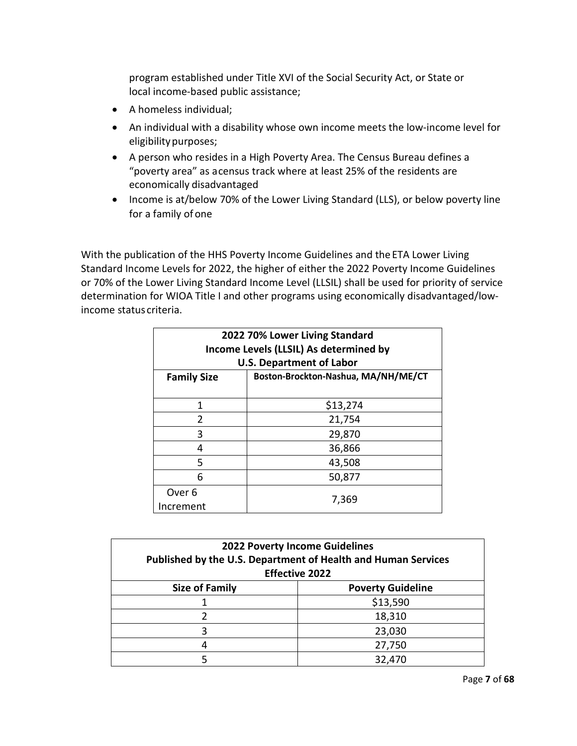program established under Title XVI of the Social Security Act, or State or local income-based public assistance;

- A homeless individual;
- An individual with a disability whose own income meets the low-income level for eligibility purposes;
- A person who resides in a High Poverty Area. The Census Bureau defines a "poverty area" as acensus track where at least 25% of the residents are economically disadvantaged
- Income is at/below 70% of the Lower Living Standard (LLS), or below poverty line for a family of one

With the publication of the HHS Poverty Income Guidelines and the ETA Lower Living Standard Income Levels for 2022, the higher of either the 2022 Poverty Income Guidelines or 70% of the Lower Living Standard Income Level (LLSIL) shall be used for priority of service determination for WIOA Title I and other programs using economically disadvantaged/lowincome status criteria.

| 2022 70% Lower Living Standard<br>Income Levels (LLSIL) As determined by<br><b>U.S. Department of Labor</b> |          |  |
|-------------------------------------------------------------------------------------------------------------|----------|--|
| Boston-Brockton-Nashua, MA/NH/ME/CT<br><b>Family Size</b>                                                   |          |  |
| 1                                                                                                           | \$13,274 |  |
| $\mathfrak z$                                                                                               | 21,754   |  |
| 3                                                                                                           | 29,870   |  |
| 4                                                                                                           | 36,866   |  |
| 5                                                                                                           | 43,508   |  |
| 6                                                                                                           | 50,877   |  |
| Over <sub>6</sub><br>Increment                                                                              | 7,369    |  |

| <b>2022 Poverty Income Guidelines</b><br>Published by the U.S. Department of Health and Human Services<br><b>Effective 2022</b> |          |  |
|---------------------------------------------------------------------------------------------------------------------------------|----------|--|
| <b>Poverty Guideline</b><br><b>Size of Family</b>                                                                               |          |  |
|                                                                                                                                 | \$13,590 |  |
|                                                                                                                                 | 18,310   |  |
|                                                                                                                                 | 23,030   |  |
|                                                                                                                                 | 27,750   |  |
|                                                                                                                                 | 32,470   |  |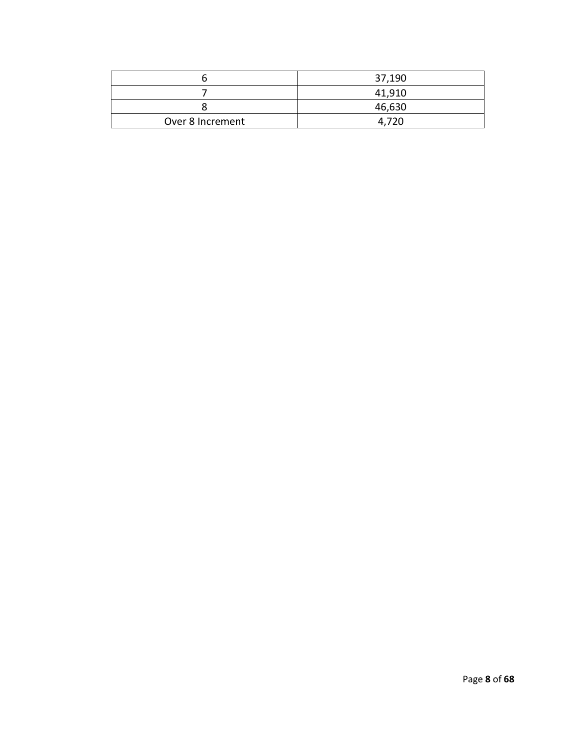|                  | 37,190 |
|------------------|--------|
|                  | 41,910 |
|                  | 46,630 |
| Over 8 Increment | 4.720  |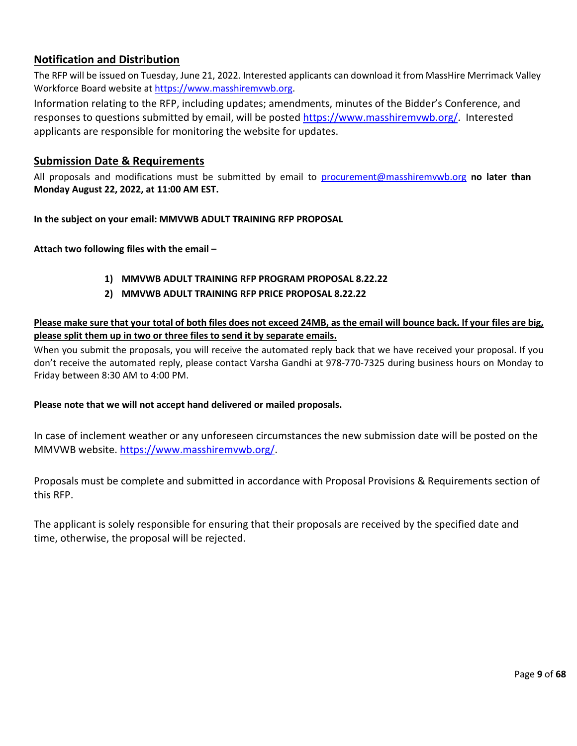# **Notification and Distribution**

The RFP will be issued on Tuesday, June 21, 2022. Interested applicants can download it from MassHire Merrimack Valley Workforce Board website at [https://www.masshiremvwb.org.](https://www.masshiremvwb.org/)

Information relating to the RFP, including updates; amendments, minutes of the Bidder's Conference, and responses to questions submitted by email, will be poste[d https://www.masshiremvwb.org/.](https://www.masshiremvwb.org/) Interested applicants are responsible for monitoring the website for updates.

## **Submission Date & Requirements**

All proposals and modifications must be submitted by email to [procurement@masshiremvwb.org](mailto:procurement@masshiremvwb.org) **no later than Monday August 22, 2022, at 11:00 AM EST.**

**In the subject on your email: MMVWB ADULT TRAINING RFP PROPOSAL**

**Attach two following files with the email –**

- **1) MMVWB ADULT TRAINING RFP PROGRAM PROPOSAL 8.22.22**
- **2) MMVWB ADULT TRAINING RFP PRICE PROPOSAL 8.22.22**

## **Please make sure that your total of both files does not exceed 24MB, as the email will bounce back. If your files are big, please split them up in two or three files to send it by separate emails.**

When you submit the proposals, you will receive the automated reply back that we have received your proposal. If you don't receive the automated reply, please contact Varsha Gandhi at 978-770-7325 during business hours on Monday to Friday between 8:30 AM to 4:00 PM.

## **Please note that we will not accept hand delivered or mailed proposals.**

In case of inclement weather or any unforeseen circumstances the new submission date will be posted on the MMVWB website. [https://www.masshiremvwb.org/.](https://www.masshiremvwb.org/)

Proposals must be complete and submitted in accordance with Proposal Provisions & Requirements section of this RFP.

The applicant is solely responsible for ensuring that their proposals are received by the specified date and time, otherwise, the proposal will be rejected.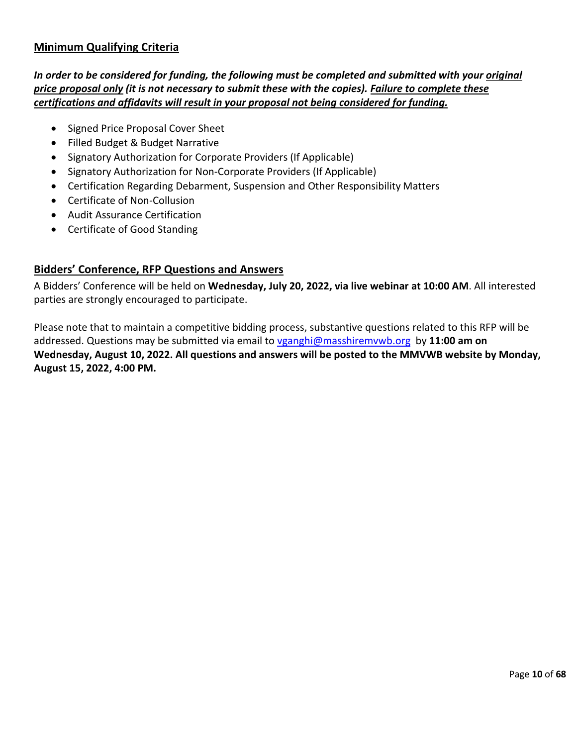# **Minimum Qualifying Criteria**

*In order to be considered for funding, the following must be completed and submitted with your original price proposal only (it is not necessary to submit these with the copies). Failure to complete these certifications and affidavits will result in your proposal not being considered for funding.*

- Signed Price Proposal Cover Sheet
- Filled Budget & Budget Narrative
- Signatory Authorization for Corporate Providers (If Applicable)
- Signatory Authorization for Non-Corporate Providers (If Applicable)
- Certification Regarding Debarment, Suspension and Other Responsibility Matters
- Certificate of Non-Collusion
- Audit Assurance Certification
- Certificate of Good Standing

# **Bidders' Conference, RFP Questions and Answers**

A Bidders' Conference will be held on **Wednesday, July 20, 2022, via live webinar at 10:00 AM**. All interested parties are strongly encouraged to participate.

Please note that to maintain a competitive bidding process, substantive questions related to this RFP will be addressed. Questions may be submitted via email to [vganghi@masshiremvwb.org](mailto:vganghi@masshiremvwb.org) by **11:00 am on Wednesday, August 10, 2022. All questions and answers will be posted to the MMVWB website by Monday, August 15, 2022, 4:00 PM.**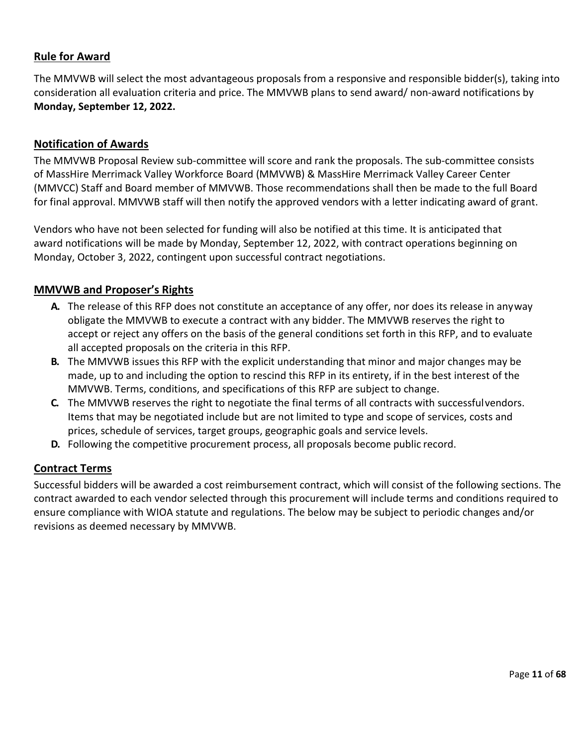# **Rule for Award**

The MMVWB will select the most advantageous proposals from a responsive and responsible bidder(s), taking into consideration all evaluation criteria and price. The MMVWB plans to send award/ non-award notifications by **Monday, September 12, 2022.**

# <span id="page-10-0"></span>**Notification of Awards**

The MMVWB Proposal Review sub-committee will score and rank the proposals. The sub-committee consists of MassHire Merrimack Valley Workforce Board (MMVWB) & MassHire Merrimack Valley Career Center (MMVCC) Staff and Board member of MMVWB. Those recommendations shall then be made to the full Board for final approval. MMVWB staff will then notify the approved vendors with a letter indicating award of grant.

Vendors who have not been selected for funding will also be notified at this time. It is anticipated that award notifications will be made by Monday, September 12, 2022, with contract operations beginning on Monday, October 3, 2022, contingent upon successful contract negotiations.

# <span id="page-10-1"></span>**MMVWB and Proposer's Rights**

- **A.** The release of this RFP does not constitute an acceptance of any offer, nor does its release in anyway obligate the MMVWB to execute a contract with any bidder. The MMVWB reserves the right to accept or reject any offers on the basis of the general conditions set forth in this RFP, and to evaluate all accepted proposals on the criteria in this RFP.
- **B.** The MMVWB issues this RFP with the explicit understanding that minor and major changes may be made, up to and including the option to rescind this RFP in its entirety, if in the best interest of the MMVWB. Terms, conditions, and specifications of this RFP are subject to change.
- **C.** The MMVWB reserves the right to negotiate the final terms of all contracts with successfulvendors. Items that may be negotiated include but are not limited to type and scope of services, costs and prices, schedule of services, target groups, geographic goals and service levels.
- **D.** Following the competitive procurement process, all proposals become public record.

# <span id="page-10-2"></span>**Contract Terms**

Successful bidders will be awarded a cost reimbursement contract, which will consist of the following sections. The contract awarded to each vendor selected through this procurement will include terms and conditions required to ensure compliance with WIOA statute and regulations. The below may be subject to periodic changes and/or revisions as deemed necessary by MMVWB.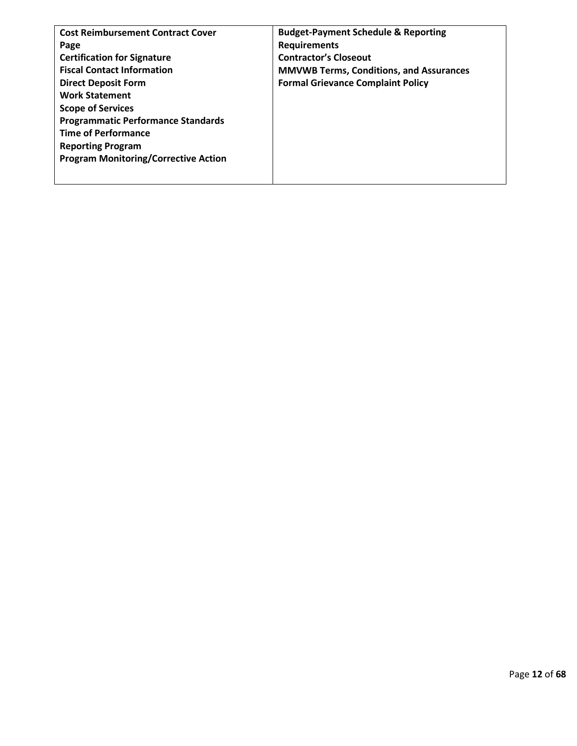| <b>Cost Reimbursement Contract Cover</b>    | <b>Budget-Payment Schedule &amp; Reporting</b> |
|---------------------------------------------|------------------------------------------------|
| Page                                        | <b>Requirements</b>                            |
| <b>Certification for Signature</b>          | <b>Contractor's Closeout</b>                   |
| <b>Fiscal Contact Information</b>           | <b>MMVWB Terms, Conditions, and Assurances</b> |
| <b>Direct Deposit Form</b>                  | <b>Formal Grievance Complaint Policy</b>       |
| <b>Work Statement</b>                       |                                                |
| <b>Scope of Services</b>                    |                                                |
| <b>Programmatic Performance Standards</b>   |                                                |
| <b>Time of Performance</b>                  |                                                |
| <b>Reporting Program</b>                    |                                                |
| <b>Program Monitoring/Corrective Action</b> |                                                |
|                                             |                                                |
|                                             |                                                |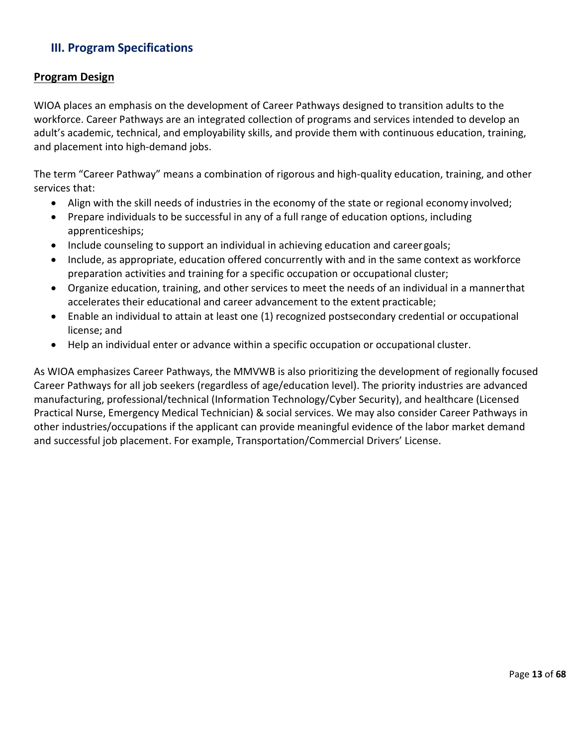# <span id="page-12-0"></span>**III. Program Specifications**

## <span id="page-12-1"></span>**Program Design**

WIOA places an emphasis on the development of Career Pathways designed to transition adults to the workforce. Career Pathways are an integrated collection of programs and services intended to develop an adult's academic, technical, and employability skills, and provide them with continuous education, training, and placement into high-demand jobs.

The term "Career Pathway" means a combination of rigorous and high-quality education, training, and other services that:

- Align with the skill needs of industries in the economy of the state or regional economy involved;
- Prepare individuals to be successful in any of a full range of education options, including apprenticeships;
- Include counseling to support an individual in achieving education and career goals;
- Include, as appropriate, education offered concurrently with and in the same context as workforce preparation activities and training for a specific occupation or occupational cluster;
- Organize education, training, and other services to meet the needs of an individual in a mannerthat accelerates their educational and career advancement to the extent practicable;
- Enable an individual to attain at least one (1) recognized postsecondary credential or occupational license; and
- Help an individual enter or advance within a specific occupation or occupational cluster.

As WIOA emphasizes Career Pathways, the MMVWB is also prioritizing the development of regionally focused Career Pathways for all job seekers (regardless of age/education level). The priority industries are advanced manufacturing, professional/technical (Information Technology/Cyber Security), and healthcare (Licensed Practical Nurse, Emergency Medical Technician) & social services. We may also consider Career Pathways in other industries/occupations if the applicant can provide meaningful evidence of the labor market demand and successful job placement. For example, Transportation/Commercial Drivers' License.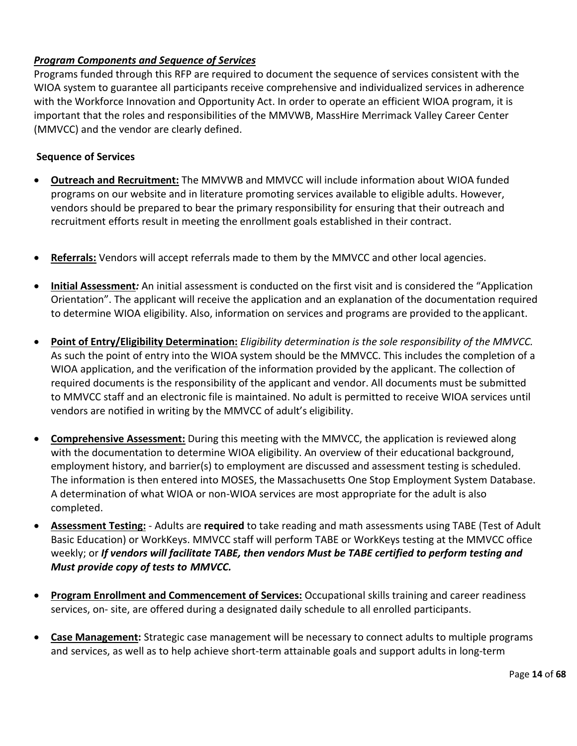# *Program Components and Sequence of Services*

Programs funded through this RFP are required to document the sequence of services consistent with the WIOA system to guarantee all participants receive comprehensive and individualized services in adherence with the Workforce Innovation and Opportunity Act. In order to operate an efficient WIOA program, it is important that the roles and responsibilities of the MMVWB, MassHire Merrimack Valley Career Center (MMVCC) and the vendor are clearly defined.

## **Sequence of Services**

- **Outreach and Recruitment:** The MMVWB and MMVCC will include information about WIOA funded programs on our website and in literature promoting services available to eligible adults. However, vendors should be prepared to bear the primary responsibility for ensuring that their outreach and recruitment efforts result in meeting the enrollment goals established in their contract.
- **Referrals:** Vendors will accept referrals made to them by the MMVCC and other local agencies.
- **Initial Assessment***:* An initial assessment is conducted on the first visit and is considered the "Application Orientation". The applicant will receive the application and an explanation of the documentation required to determine WIOA eligibility. Also, information on services and programs are provided to the applicant.
- **Point of Entry/Eligibility Determination:** *Eligibility determination is the sole responsibility of the MMVCC.*  As such the point of entry into the WIOA system should be the MMVCC. This includes the completion of a WIOA application, and the verification of the information provided by the applicant. The collection of required documents is the responsibility of the applicant and vendor. All documents must be submitted to MMVCC staff and an electronic file is maintained. No adult is permitted to receive WIOA services until vendors are notified in writing by the MMVCC of adult's eligibility.
- **Comprehensive Assessment:** During this meeting with the MMVCC, the application is reviewed along with the documentation to determine WIOA eligibility. An overview of their educational background, employment history, and barrier(s) to employment are discussed and assessment testing is scheduled. The information is then entered into MOSES, the Massachusetts One Stop Employment System Database. A determination of what WIOA or non-WIOA services are most appropriate for the adult is also completed.
- **Assessment Testing:** Adults are **required** to take reading and math assessments using TABE (Test of Adult Basic Education) or WorkKeys. MMVCC staff will perform TABE or WorkKeys testing at the MMVCC office weekly; or *If vendors will facilitate TABE, then vendors Must be TABE certified to perform testing and Must provide copy of tests to MMVCC.*
- **Program Enrollment and Commencement of Services:** Occupational skills training and career readiness services, on- site, are offered during a designated daily schedule to all enrolled participants.
- **Case Management:** Strategic case management will be necessary to connect adults to multiple programs and services, as well as to help achieve short-term attainable goals and support adults in long-term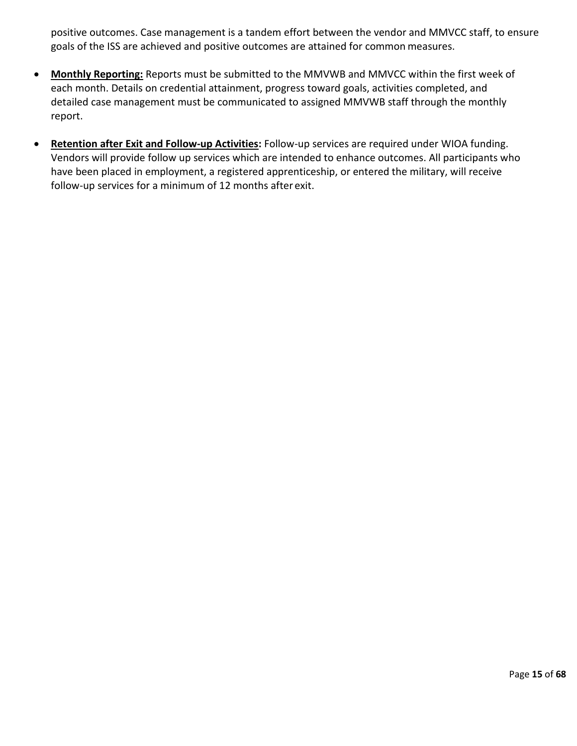positive outcomes. Case management is a tandem effort between the vendor and MMVCC staff, to ensure goals of the ISS are achieved and positive outcomes are attained for common measures.

- **Monthly Reporting:** Reports must be submitted to the MMVWB and MMVCC within the first week of each month. Details on credential attainment, progress toward goals, activities completed, and detailed case management must be communicated to assigned MMVWB staff through the monthly report.
- **Retention after Exit and Follow-up Activities:** Follow-up services are required under WIOA funding. Vendors will provide follow up services which are intended to enhance outcomes. All participants who have been placed in employment, a registered apprenticeship, or entered the military, will receive follow-up services for a minimum of 12 months after exit.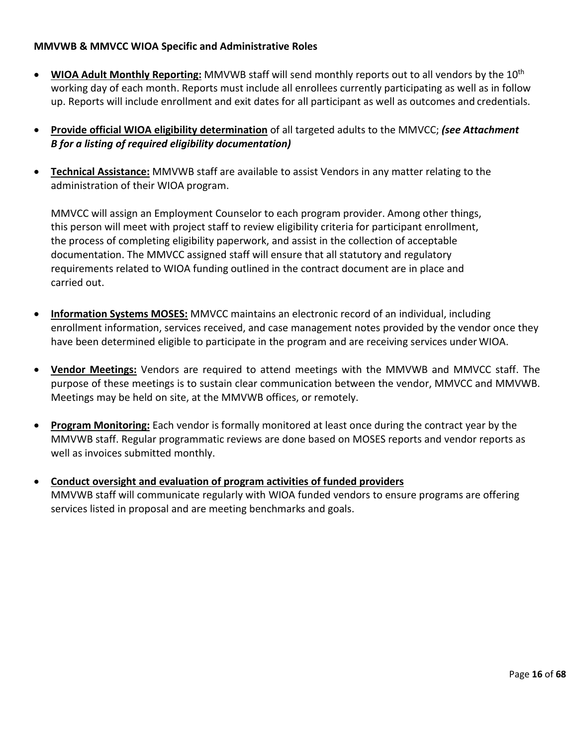## **MMVWB & MMVCC WIOA Specific and Administrative Roles**

- **WIOA Adult Monthly Reporting:** MMVWB staff will send monthly reports out to all vendors by the 10th working day of each month. Reports must include all enrollees currently participating as well as in follow up. Reports will include enrollment and exit dates for all participant as well as outcomes and credentials.
- **Provide official WIOA eligibility determination** of all targeted adults to the MMVCC; *(see Attachment B for a listing of required eligibility documentation)*
- **Technical Assistance:** MMVWB staff are available to assist Vendors in any matter relating to the administration of their WIOA program.

MMVCC will assign an Employment Counselor to each program provider. Among other things, this person will meet with project staff to review eligibility criteria for participant enrollment, the process of completing eligibility paperwork, and assist in the collection of acceptable documentation. The MMVCC assigned staff will ensure that all statutory and regulatory requirements related to WIOA funding outlined in the contract document are in place and carried out.

- **Information Systems MOSES:** MMVCC maintains an electronic record of an individual, including enrollment information, services received, and case management notes provided by the vendor once they have been determined eligible to participate in the program and are receiving services under WIOA.
- **Vendor Meetings:** Vendors are required to attend meetings with the MMVWB and MMVCC staff. The purpose of these meetings is to sustain clear communication between the vendor, MMVCC and MMVWB. Meetings may be held on site, at the MMVWB offices, or remotely.
- **Program Monitoring:** Each vendor is formally monitored at least once during the contract year by the MMVWB staff. Regular programmatic reviews are done based on MOSES reports and vendor reports as well as invoices submitted monthly.
- **Conduct oversight and evaluation of program activities of funded providers** MMVWB staff will communicate regularly with WIOA funded vendors to ensure programs are offering services listed in proposal and are meeting benchmarks and goals.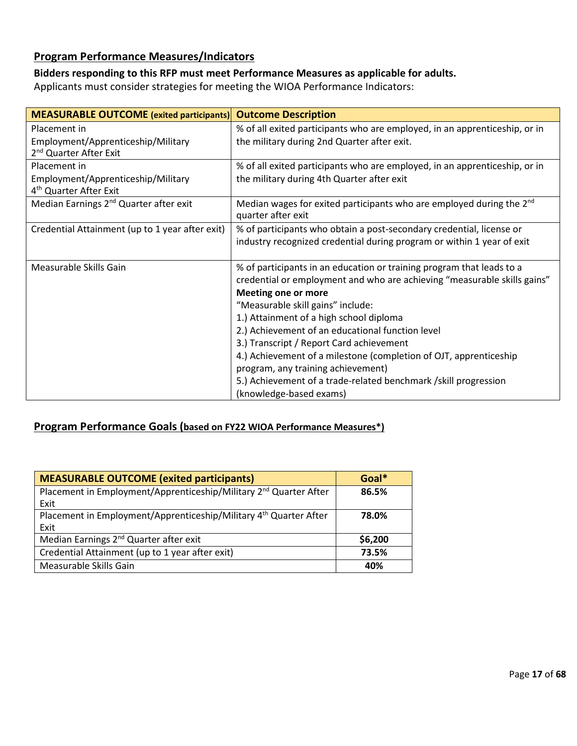# <span id="page-16-0"></span>**Program Performance Measures/Indicators**

# **Bidders responding to this RFP must meet Performance Measures as applicable for adults.**

Applicants must consider strategies for meeting the WIOA Performance Indicators:

| <b>MEASURABLE OUTCOME</b> (exited participants)                                          | <b>Outcome Description</b>                                                                                                                                                                                                                                                                                                                                                                                                                                                                                                                                               |
|------------------------------------------------------------------------------------------|--------------------------------------------------------------------------------------------------------------------------------------------------------------------------------------------------------------------------------------------------------------------------------------------------------------------------------------------------------------------------------------------------------------------------------------------------------------------------------------------------------------------------------------------------------------------------|
| Placement in<br>Employment/Apprenticeship/Military<br>2 <sup>nd</sup> Quarter After Exit | % of all exited participants who are employed, in an apprenticeship, or in<br>the military during 2nd Quarter after exit.                                                                                                                                                                                                                                                                                                                                                                                                                                                |
| Placement in<br>Employment/Apprenticeship/Military<br>4 <sup>th</sup> Quarter After Exit | % of all exited participants who are employed, in an apprenticeship, or in<br>the military during 4th Quarter after exit                                                                                                                                                                                                                                                                                                                                                                                                                                                 |
| Median Earnings 2 <sup>nd</sup> Quarter after exit                                       | Median wages for exited participants who are employed during the 2 <sup>nd</sup><br>quarter after exit                                                                                                                                                                                                                                                                                                                                                                                                                                                                   |
| Credential Attainment (up to 1 year after exit)                                          | % of participants who obtain a post-secondary credential, license or<br>industry recognized credential during program or within 1 year of exit                                                                                                                                                                                                                                                                                                                                                                                                                           |
| Measurable Skills Gain                                                                   | % of participants in an education or training program that leads to a<br>credential or employment and who are achieving "measurable skills gains"<br><b>Meeting one or more</b><br>"Measurable skill gains" include:<br>1.) Attainment of a high school diploma<br>2.) Achievement of an educational function level<br>3.) Transcript / Report Card achievement<br>4.) Achievement of a milestone (completion of OJT, apprenticeship<br>program, any training achievement)<br>5.) Achievement of a trade-related benchmark /skill progression<br>(knowledge-based exams) |

# <span id="page-16-1"></span>**Program Performance Goals (based on FY22 WIOA Performance Measures\*)**

| <b>MEASURABLE OUTCOME (exited participants)</b>                               | Goal*   |
|-------------------------------------------------------------------------------|---------|
| Placement in Employment/Apprenticeship/Military 2 <sup>nd</sup> Quarter After | 86.5%   |
| Exit                                                                          |         |
| Placement in Employment/Apprenticeship/Military 4 <sup>th</sup> Quarter After | 78.0%   |
| Exit                                                                          |         |
| Median Earnings 2 <sup>nd</sup> Quarter after exit                            | \$6,200 |
| Credential Attainment (up to 1 year after exit)                               | 73.5%   |
| Measurable Skills Gain                                                        | 40%     |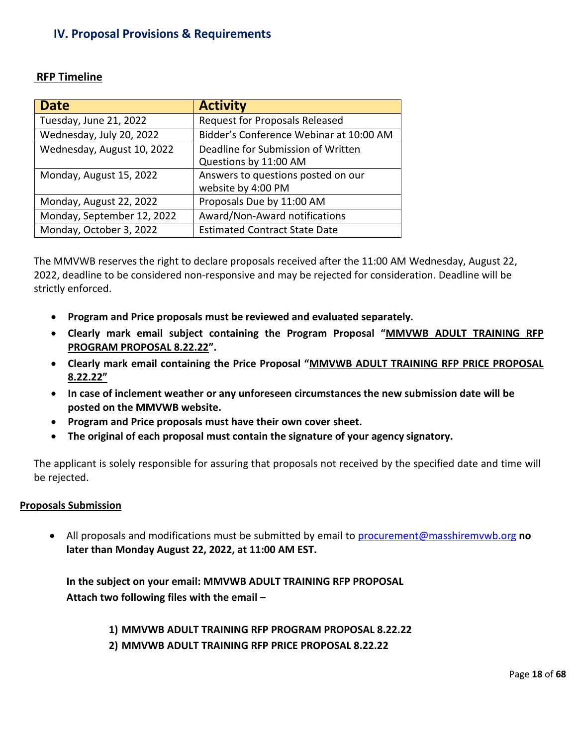# **IV. Proposal Provisions & Requirements**

| <b>Date</b>                | <b>Activity</b>                         |
|----------------------------|-----------------------------------------|
| Tuesday, June 21, 2022     | <b>Request for Proposals Released</b>   |
| Wednesday, July 20, 2022   | Bidder's Conference Webinar at 10:00 AM |
| Wednesday, August 10, 2022 | Deadline for Submission of Written      |
|                            | Questions by 11:00 AM                   |
| Monday, August 15, 2022    | Answers to questions posted on our      |
|                            | website by 4:00 PM                      |
| Monday, August 22, 2022    | Proposals Due by 11:00 AM               |
| Monday, September 12, 2022 | Award/Non-Award notifications           |
| Monday, October 3, 2022    | <b>Estimated Contract State Date</b>    |

# <span id="page-17-0"></span>**RFP Timeline**

The MMVWB reserves the right to declare proposals received after the 11:00 AM Wednesday, August 22, 2022, deadline to be considered non-responsive and may be rejected for consideration. Deadline will be strictly enforced.

- **Program and Price proposals must be reviewed and evaluated separately.**
- **Clearly mark email subject containing the Program Proposal "MMVWB ADULT TRAINING RFP PROGRAM PROPOSAL 8.22.22".**
- **Clearly mark email containing the Price Proposal "MMVWB ADULT TRAINING RFP PRICE PROPOSAL 8.22.22"**
- **In case of inclement weather or any unforeseen circumstances the new submission date will be posted on the MMVWB website.**
- **Program and Price proposals must have their own cover sheet.**
- **The original of each proposal must contain the signature of your agency signatory.**

The applicant is solely responsible for assuring that proposals not received by the specified date and time will be rejected.

## **Proposals Submission**

• All proposals and modifications must be submitted by email to [procurement@masshiremvwb.org](mailto:procurement@masshiremvwb.org) **no later than Monday August 22, 2022, at 11:00 AM EST.**

**In the subject on your email: MMVWB ADULT TRAINING RFP PROPOSAL Attach two following files with the email –**

**1) MMVWB ADULT TRAINING RFP PROGRAM PROPOSAL 8.22.22**

**2) MMVWB ADULT TRAINING RFP PRICE PROPOSAL 8.22.22**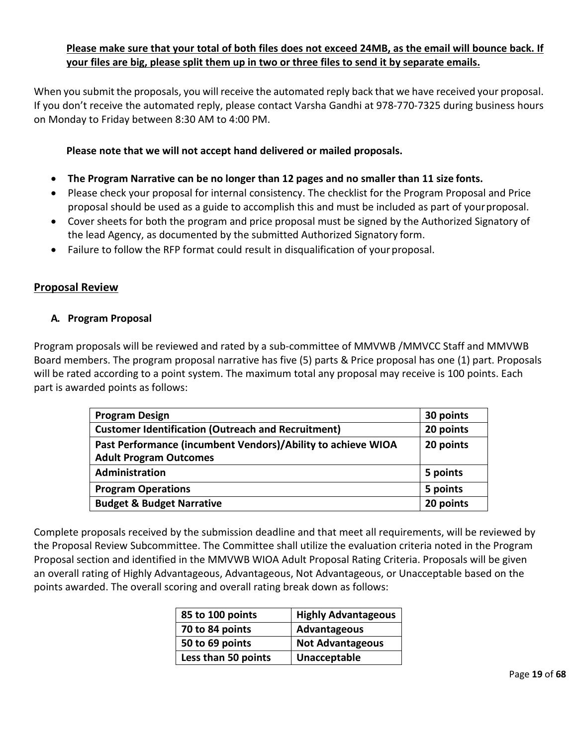# **Please make sure that your total of both files does not exceed 24MB, as the email will bounce back. If your files are big, please split them up in two or three files to send it by separate emails.**

When you submit the proposals, you will receive the automated reply back that we have received your proposal. If you don't receive the automated reply, please contact Varsha Gandhi at 978-770-7325 during business hours on Monday to Friday between 8:30 AM to 4:00 PM.

<span id="page-18-0"></span>**Please note that we will not accept hand delivered or mailed proposals.**

- **The Program Narrative can be no longer than 12 pages and no smaller than 11 size fonts.**
- Please check your proposal for internal consistency. The checklist for the Program Proposal and Price proposal should be used as a guide to accomplish this and must be included as part of yourproposal.
- Cover sheets for both the program and price proposal must be signed by the Authorized Signatory of the lead Agency, as documented by the submitted Authorized Signatory form.
- Failure to follow the RFP format could result in disqualification of your proposal.

# **Proposal Review**

# **A. Program Proposal**

Program proposals will be reviewed and rated by a sub-committee of MMVWB /MMVCC Staff and MMVWB Board members. The program proposal narrative has five (5) parts & Price proposal has one (1) part. Proposals will be rated according to a point system. The maximum total any proposal may receive is 100 points. Each part is awarded points as follows:

| <b>Program Design</b>                                                                         | 30 points |
|-----------------------------------------------------------------------------------------------|-----------|
| <b>Customer Identification (Outreach and Recruitment)</b>                                     | 20 points |
| Past Performance (incumbent Vendors)/Ability to achieve WIOA<br><b>Adult Program Outcomes</b> | 20 points |
| Administration                                                                                | 5 points  |
| <b>Program Operations</b>                                                                     | 5 points  |
| <b>Budget &amp; Budget Narrative</b>                                                          | 20 points |

Complete proposals received by the submission deadline and that meet all requirements, will be reviewed by the Proposal Review Subcommittee. The Committee shall utilize the evaluation criteria noted in the Program Proposal section and identified in the MMVWB WIOA Adult Proposal Rating Criteria. Proposals will be given an overall rating of Highly Advantageous, Advantageous, Not Advantageous, or Unacceptable based on the points awarded. The overall scoring and overall rating break down as follows:

| 85 to 100 points    | <b>Highly Advantageous</b> |
|---------------------|----------------------------|
| 70 to 84 points     | Advantageous               |
| 50 to 69 points     | <b>Not Advantageous</b>    |
| Less than 50 points | Unacceptable               |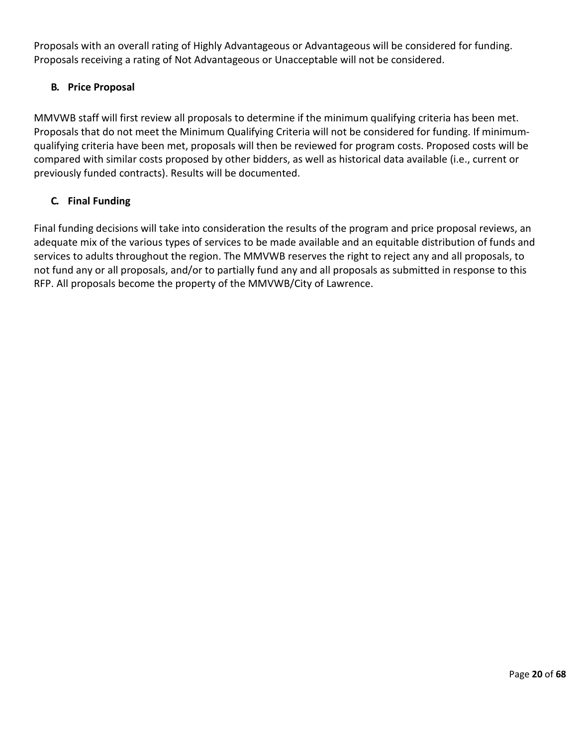Proposals with an overall rating of Highly Advantageous or Advantageous will be considered for funding. Proposals receiving a rating of Not Advantageous or Unacceptable will not be considered.

# **B. Price Proposal**

MMVWB staff will first review all proposals to determine if the minimum qualifying criteria has been met. Proposals that do not meet the Minimum Qualifying Criteria will not be considered for funding. If minimumqualifying criteria have been met, proposals will then be reviewed for program costs. Proposed costs will be compared with similar costs proposed by other bidders, as well as historical data available (i.e., current or previously funded contracts). Results will be documented.

# **C. Final Funding**

Final funding decisions will take into consideration the results of the program and price proposal reviews, an adequate mix of the various types of services to be made available and an equitable distribution of funds and services to adults throughout the region. The MMVWB reserves the right to reject any and all proposals, to not fund any or all proposals, and/or to partially fund any and all proposals as submitted in response to this RFP. All proposals become the property of the MMVWB/City of Lawrence.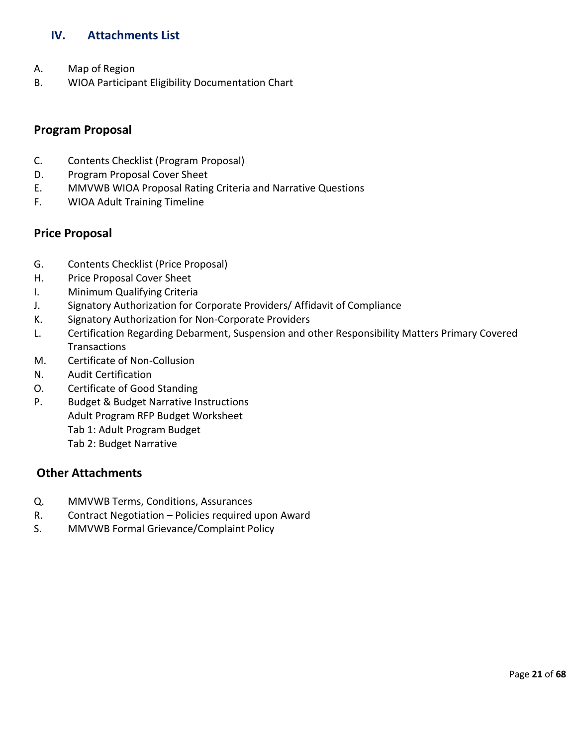# <span id="page-20-0"></span>**IV. Attachments List**

- A. Map of Region
- B. WIOA Participant Eligibility Documentation Chart

# **Program Proposal**

- C. Contents Checklist (Program Proposal)
- D. Program Proposal Cover Sheet
- E. MMVWB WIOA Proposal Rating Criteria and Narrative Questions
- F. WIOA Adult Training Timeline

# **Price Proposal**

- G. Contents Checklist (Price Proposal)
- H. Price Proposal Cover Sheet
- I. Minimum Qualifying Criteria
- J. Signatory Authorization for Corporate Providers/ Affidavit of Compliance
- K. Signatory Authorization for Non-Corporate Providers
- L. Certification Regarding Debarment, Suspension and other Responsibility Matters Primary Covered **Transactions**
- M. Certificate of Non-Collusion
- N. Audit Certification
- O. Certificate of Good Standing
- P. Budget & Budget Narrative Instructions Adult Program RFP Budget Worksheet Tab 1: Adult Program Budget Tab 2: Budget Narrative

# **Other Attachments**

- Q. MMVWB Terms, Conditions, Assurances
- R. Contract Negotiation Policies required upon Award
- S. MMVWB Formal Grievance/Complaint Policy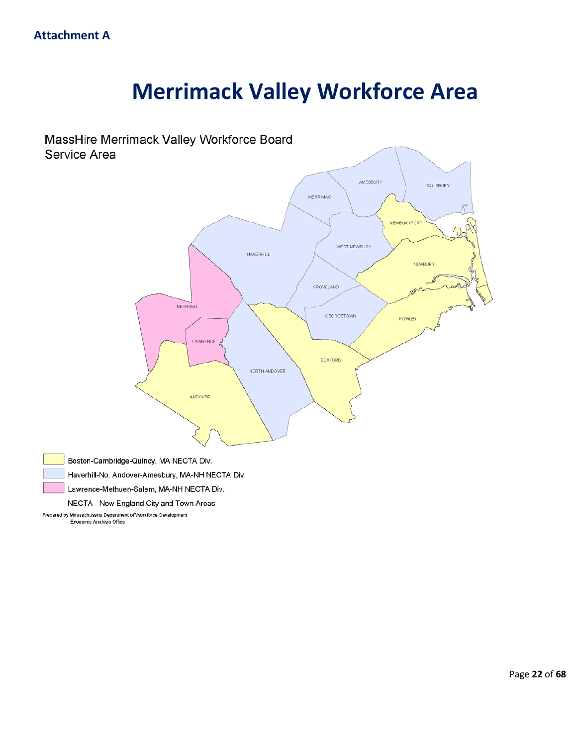# **Merrimack Valley Workforce Area**



Haverhill-No. Andover-Amesbury, MA-NH NECTA Div.

Lawrence-Methuen-Salem, MA-NH NECTA Div.

NECTA - New England City and Town Areas

Prepared by Massachusetts Department of Workforce Development Economic Analysis Office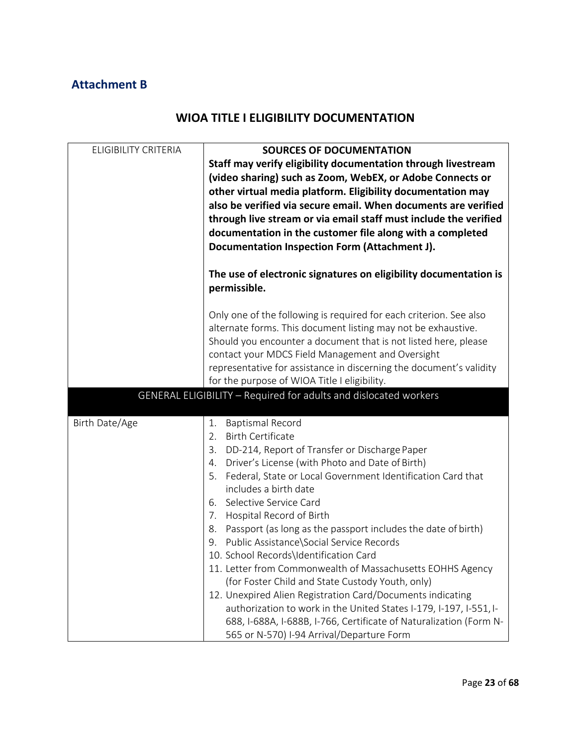# **Attachment B**

# **WIOA TITLE I ELIGIBILITY DOCUMENTATION**

| <b>ELIGIBILITY CRITERIA</b> | <b>SOURCES OF DOCUMENTATION</b><br>Staff may verify eligibility documentation through livestream<br>(video sharing) such as Zoom, WebEX, or Adobe Connects or<br>other virtual media platform. Eligibility documentation may<br>also be verified via secure email. When documents are verified<br>through live stream or via email staff must include the verified<br>documentation in the customer file along with a completed<br>Documentation Inspection Form (Attachment J).                                                                                                                                                                                                                                                                                                                                                                                                |  |  |  |  |
|-----------------------------|---------------------------------------------------------------------------------------------------------------------------------------------------------------------------------------------------------------------------------------------------------------------------------------------------------------------------------------------------------------------------------------------------------------------------------------------------------------------------------------------------------------------------------------------------------------------------------------------------------------------------------------------------------------------------------------------------------------------------------------------------------------------------------------------------------------------------------------------------------------------------------|--|--|--|--|
|                             | The use of electronic signatures on eligibility documentation is<br>permissible.                                                                                                                                                                                                                                                                                                                                                                                                                                                                                                                                                                                                                                                                                                                                                                                                |  |  |  |  |
|                             | Only one of the following is required for each criterion. See also<br>alternate forms. This document listing may not be exhaustive.<br>Should you encounter a document that is not listed here, please<br>contact your MDCS Field Management and Oversight<br>representative for assistance in discerning the document's validity<br>for the purpose of WIOA Title I eligibility.                                                                                                                                                                                                                                                                                                                                                                                                                                                                                               |  |  |  |  |
|                             | GENERAL ELIGIBILITY - Required for adults and dislocated workers                                                                                                                                                                                                                                                                                                                                                                                                                                                                                                                                                                                                                                                                                                                                                                                                                |  |  |  |  |
| Birth Date/Age              | 1.<br><b>Baptismal Record</b><br><b>Birth Certificate</b><br>2.<br>3.<br>DD-214, Report of Transfer or Discharge Paper<br>Driver's License (with Photo and Date of Birth)<br>4.<br>5.<br>Federal, State or Local Government Identification Card that<br>includes a birth date<br>6. Selective Service Card<br>7. Hospital Record of Birth<br>8. Passport (as long as the passport includes the date of birth)<br>9. Public Assistance\Social Service Records<br>10. School Records\Identification Card<br>11. Letter from Commonwealth of Massachusetts EOHHS Agency<br>(for Foster Child and State Custody Youth, only)<br>12. Unexpired Alien Registration Card/Documents indicating<br>authorization to work in the United States I-179, I-197, I-551, I-<br>688, I-688A, I-688B, I-766, Certificate of Naturalization (Form N-<br>565 or N-570) I-94 Arrival/Departure Form |  |  |  |  |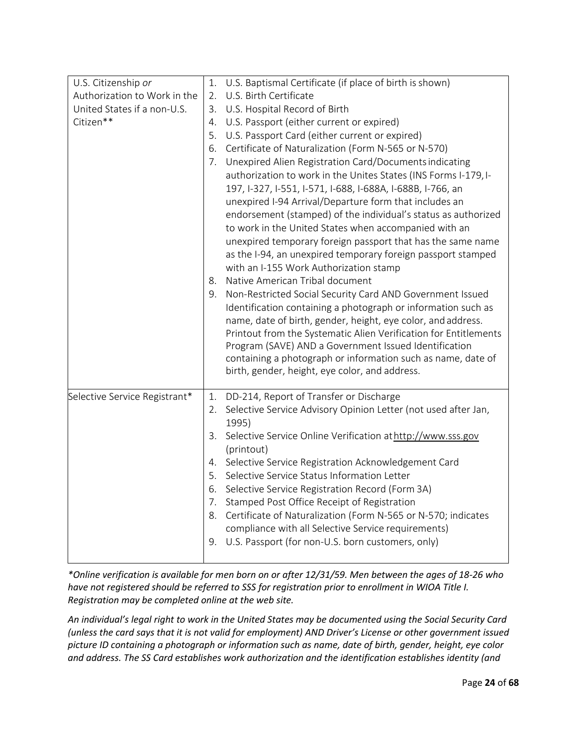| U.S. Citizenship or<br>Authorization to Work in the<br>United States if a non-U.S.<br>Citizen** | 1. U.S. Baptismal Certificate (if place of birth is shown)<br>U.S. Birth Certificate<br>2.<br>3.<br>U.S. Hospital Record of Birth<br>U.S. Passport (either current or expired)<br>4.<br>5.<br>U.S. Passport Card (either current or expired)<br>Certificate of Naturalization (Form N-565 or N-570)<br>6.<br>Unexpired Alien Registration Card/Documents indicating<br>7.<br>authorization to work in the Unites States (INS Forms I-179, I-<br>197, I-327, I-551, I-571, I-688, I-688A, I-688B, I-766, an<br>unexpired I-94 Arrival/Departure form that includes an<br>endorsement (stamped) of the individual's status as authorized<br>to work in the United States when accompanied with an<br>unexpired temporary foreign passport that has the same name<br>as the I-94, an unexpired temporary foreign passport stamped<br>with an I-155 Work Authorization stamp<br>Native American Tribal document<br>8.<br>Non-Restricted Social Security Card AND Government Issued<br>9.<br>Identification containing a photograph or information such as<br>name, date of birth, gender, height, eye color, and address.<br>Printout from the Systematic Alien Verification for Entitlements<br>Program (SAVE) AND a Government Issued Identification<br>containing a photograph or information such as name, date of<br>birth, gender, height, eye color, and address. |
|-------------------------------------------------------------------------------------------------|----------------------------------------------------------------------------------------------------------------------------------------------------------------------------------------------------------------------------------------------------------------------------------------------------------------------------------------------------------------------------------------------------------------------------------------------------------------------------------------------------------------------------------------------------------------------------------------------------------------------------------------------------------------------------------------------------------------------------------------------------------------------------------------------------------------------------------------------------------------------------------------------------------------------------------------------------------------------------------------------------------------------------------------------------------------------------------------------------------------------------------------------------------------------------------------------------------------------------------------------------------------------------------------------------------------------------------------------------------------------|
| Selective Service Registrant*                                                                   | DD-214, Report of Transfer or Discharge<br>1.<br>2. Selective Service Advisory Opinion Letter (not used after Jan,<br>1995)<br>3. Selective Service Online Verification at http://www.sss.gov<br>(printout)<br>4. Selective Service Registration Acknowledgement Card<br>5. Selective Service Status Information Letter<br>6. Selective Service Registration Record (Form 3A)<br>Stamped Post Office Receipt of Registration<br>7.<br>Certificate of Naturalization (Form N-565 or N-570; indicates<br>8.<br>compliance with all Selective Service requirements)<br>U.S. Passport (for non-U.S. born customers, only)<br>9.                                                                                                                                                                                                                                                                                                                                                                                                                                                                                                                                                                                                                                                                                                                                          |

*\*Online verification is available for men born on or after 12/31/59. Men between the ages of 18-26 who have not registered should be referred to SSS for registration prior to enrollment in WIOA Title I. Registration may be completed online at the web site.*

*An individual's legal right to work in the United States may be documented using the Social Security Card (unless the card says that it is not valid for employment) AND Driver's License or other government issued picture ID containing a photograph or information such as name, date of birth, gender, height, eye color and address. The SS Card establishes work authorization and the identification establishes identity (and*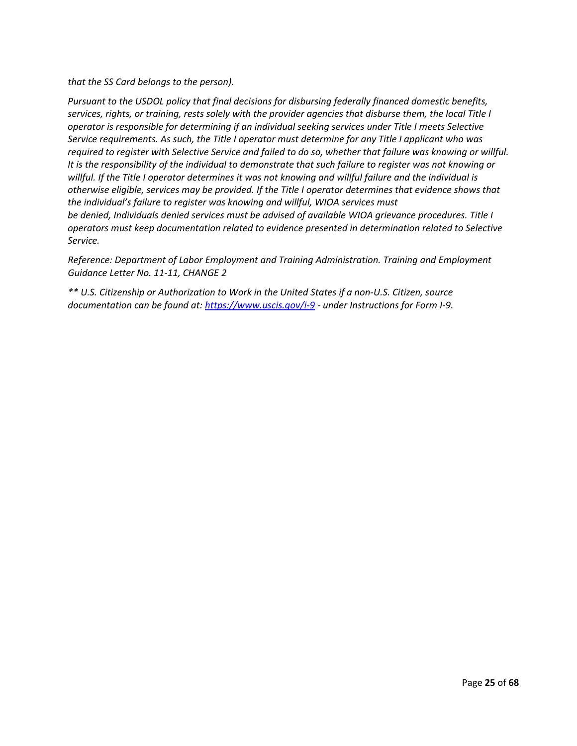*that the SS Card belongs to the person).* 

*Pursuant to the USDOL policy that final decisions for disbursing federally financed domestic benefits, services, rights, or training, rests solely with the provider agencies that disburse them, the local Title I operator is responsible for determining if an individual seeking services under Title I meets Selective Service requirements. As such, the Title I operator must determine for any Title I applicant who was required to register with Selective Service and failed to do so, whether that failure was knowing or willful. It is the responsibility of the individual to demonstrate that such failure to register was not knowing or willful. If the Title I operator determines it was not knowing and willful failure and the individual is otherwise eligible, services may be provided. If the Title I operator determines that evidence shows that the individual's failure to register was knowing and willful, WIOA services must be denied, Individuals denied services must be advised of available WIOA grievance procedures. Title I* 

*operators must keep documentation related to evidence presented in determination related to Selective Service.* 

*Reference: Department of Labor Employment and Training Administration. Training and Employment Guidance Letter No. 11-11, CHANGE 2* 

*\*\* U.S. Citizenship or Authorization to Work in the United States if a non-U.S. Citizen, source documentation can be found at: <https://www.uscis.gov/i-9> - under Instructions for Form I-9.*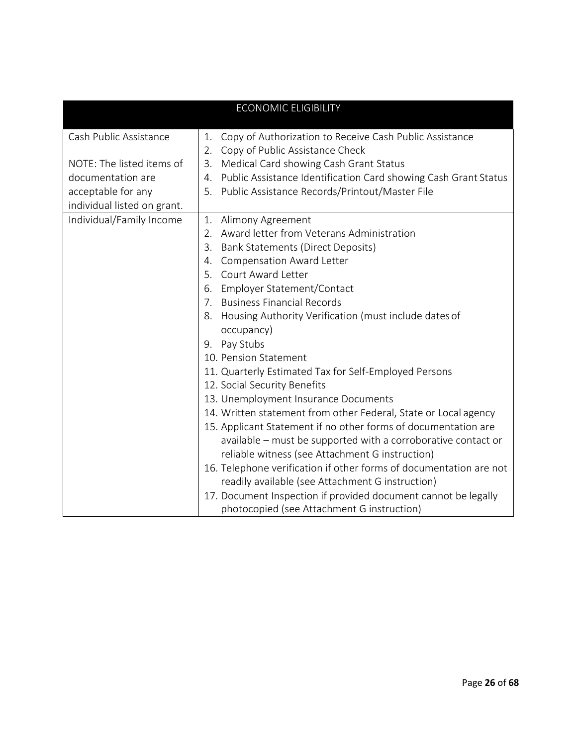| <b>ECONOMIC ELIGIBILITY</b> |                                                                                                        |  |  |  |  |
|-----------------------------|--------------------------------------------------------------------------------------------------------|--|--|--|--|
| Cash Public Assistance      | Copy of Authorization to Receive Cash Public Assistance<br>1.<br>Copy of Public Assistance Check<br>2. |  |  |  |  |
| NOTE: The listed items of   | Medical Card showing Cash Grant Status<br>3.                                                           |  |  |  |  |
| documentation are           | Public Assistance Identification Card showing Cash Grant Status<br>4.                                  |  |  |  |  |
| acceptable for any          | Public Assistance Records/Printout/Master File<br>5.                                                   |  |  |  |  |
| individual listed on grant. |                                                                                                        |  |  |  |  |
| Individual/Family Income    | Alimony Agreement<br>1.                                                                                |  |  |  |  |
|                             | Award letter from Veterans Administration<br>2.                                                        |  |  |  |  |
|                             | <b>Bank Statements (Direct Deposits)</b><br>3.                                                         |  |  |  |  |
|                             | <b>Compensation Award Letter</b><br>4.                                                                 |  |  |  |  |
|                             | 5. Court Award Letter                                                                                  |  |  |  |  |
|                             | Employer Statement/Contact<br>6.                                                                       |  |  |  |  |
|                             | <b>Business Financial Records</b><br>7.                                                                |  |  |  |  |
|                             | Housing Authority Verification (must include dates of<br>8.                                            |  |  |  |  |
|                             | occupancy)                                                                                             |  |  |  |  |
|                             | 9. Pay Stubs                                                                                           |  |  |  |  |
|                             | 10. Pension Statement                                                                                  |  |  |  |  |
|                             | 11. Quarterly Estimated Tax for Self-Employed Persons                                                  |  |  |  |  |
|                             | 12. Social Security Benefits                                                                           |  |  |  |  |
|                             | 13. Unemployment Insurance Documents                                                                   |  |  |  |  |
|                             | 14. Written statement from other Federal, State or Local agency                                        |  |  |  |  |
|                             | 15. Applicant Statement if no other forms of documentation are                                         |  |  |  |  |
|                             | available - must be supported with a corroborative contact or                                          |  |  |  |  |
|                             | reliable witness (see Attachment G instruction)                                                        |  |  |  |  |
|                             | 16. Telephone verification if other forms of documentation are not                                     |  |  |  |  |
|                             | readily available (see Attachment G instruction)                                                       |  |  |  |  |
|                             | 17. Document Inspection if provided document cannot be legally                                         |  |  |  |  |
|                             | photocopied (see Attachment G instruction)                                                             |  |  |  |  |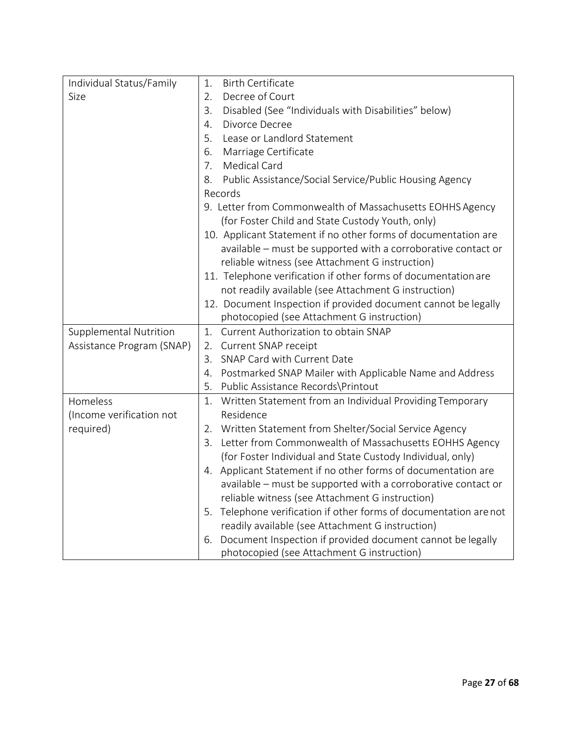| Individual Status/Family      | 1.<br><b>Birth Certificate</b>                                      |  |  |  |  |
|-------------------------------|---------------------------------------------------------------------|--|--|--|--|
| Size                          | Decree of Court<br>2.                                               |  |  |  |  |
|                               | 3.<br>Disabled (See "Individuals with Disabilities" below)          |  |  |  |  |
|                               | $\overline{4}$ .<br>Divorce Decree                                  |  |  |  |  |
|                               | Lease or Landlord Statement<br>5.                                   |  |  |  |  |
|                               | Marriage Certificate<br>6.                                          |  |  |  |  |
|                               | <b>Medical Card</b><br>7.                                           |  |  |  |  |
|                               | Public Assistance/Social Service/Public Housing Agency<br>8.        |  |  |  |  |
|                               | Records                                                             |  |  |  |  |
|                               | 9. Letter from Commonwealth of Massachusetts EOHHS Agency           |  |  |  |  |
|                               | (for Foster Child and State Custody Youth, only)                    |  |  |  |  |
|                               | 10. Applicant Statement if no other forms of documentation are      |  |  |  |  |
|                               | available - must be supported with a corroborative contact or       |  |  |  |  |
|                               | reliable witness (see Attachment G instruction)                     |  |  |  |  |
|                               | 11. Telephone verification if other forms of documentation are      |  |  |  |  |
|                               | not readily available (see Attachment G instruction)                |  |  |  |  |
|                               | 12. Document Inspection if provided document cannot be legally      |  |  |  |  |
|                               | photocopied (see Attachment G instruction)                          |  |  |  |  |
| <b>Supplemental Nutrition</b> | Current Authorization to obtain SNAP<br>1.                          |  |  |  |  |
| Assistance Program (SNAP)     | Current SNAP receipt<br>2.                                          |  |  |  |  |
|                               | SNAP Card with Current Date<br>3.                                   |  |  |  |  |
|                               | Postmarked SNAP Mailer with Applicable Name and Address<br>4.       |  |  |  |  |
|                               | 5.<br>Public Assistance Records\Printout                            |  |  |  |  |
| Homeless                      | Written Statement from an Individual Providing Temporary<br>1.      |  |  |  |  |
| (Income verification not      | Residence                                                           |  |  |  |  |
| required)                     | Written Statement from Shelter/Social Service Agency<br>2.          |  |  |  |  |
|                               | Letter from Commonwealth of Massachusetts EOHHS Agency<br>3.        |  |  |  |  |
|                               | (for Foster Individual and State Custody Individual, only)          |  |  |  |  |
|                               | Applicant Statement if no other forms of documentation are<br>4.    |  |  |  |  |
|                               | available - must be supported with a corroborative contact or       |  |  |  |  |
|                               | reliable witness (see Attachment G instruction)                     |  |  |  |  |
|                               | Telephone verification if other forms of documentation arenot<br>5. |  |  |  |  |
|                               | readily available (see Attachment G instruction)                    |  |  |  |  |
|                               | Document Inspection if provided document cannot be legally<br>6.    |  |  |  |  |
|                               | photocopied (see Attachment G instruction)                          |  |  |  |  |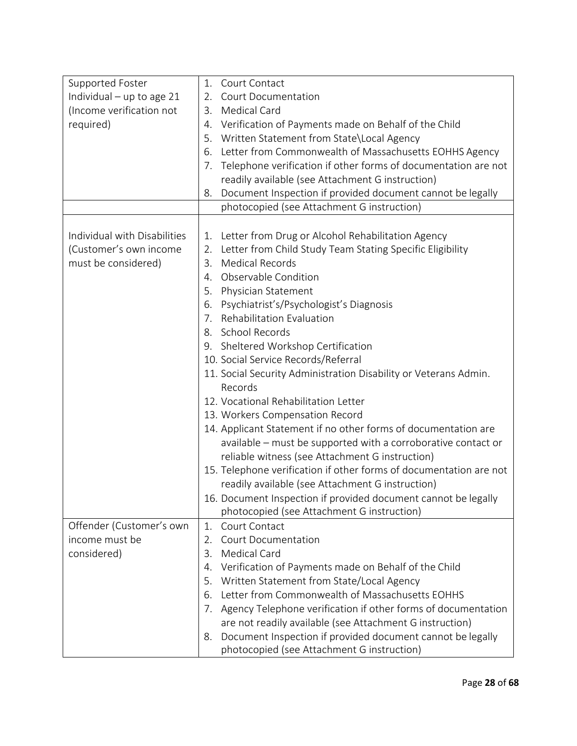| Supported Foster             | 1.<br>Court Contact                                                  |
|------------------------------|----------------------------------------------------------------------|
| Individual $-$ up to age 21  | <b>Court Documentation</b><br>2.                                     |
| (Income verification not     | <b>Medical Card</b><br>3.                                            |
| required)                    | Verification of Payments made on Behalf of the Child<br>4.           |
|                              | Written Statement from State\Local Agency<br>5.                      |
|                              | Letter from Commonwealth of Massachusetts EOHHS Agency<br>6.         |
|                              | Telephone verification if other forms of documentation are not<br>7. |
|                              | readily available (see Attachment G instruction)                     |
|                              | Document Inspection if provided document cannot be legally<br>8.     |
|                              | photocopied (see Attachment G instruction)                           |
|                              |                                                                      |
| Individual with Disabilities | Letter from Drug or Alcohol Rehabilitation Agency<br>1.              |
| (Customer's own income       | Letter from Child Study Team Stating Specific Eligibility<br>2.      |
| must be considered)          | <b>Medical Records</b><br>3.                                         |
|                              | Observable Condition<br>4.                                           |
|                              | Physician Statement<br>5.                                            |
|                              | Psychiatrist's/Psychologist's Diagnosis<br>6.                        |
|                              | Rehabilitation Evaluation<br>7.                                      |
|                              | 8. School Records                                                    |
|                              | 9. Sheltered Workshop Certification                                  |
|                              | 10. Social Service Records/Referral                                  |
|                              | 11. Social Security Administration Disability or Veterans Admin.     |
|                              | Records                                                              |
|                              | 12. Vocational Rehabilitation Letter                                 |
|                              | 13. Workers Compensation Record                                      |
|                              | 14. Applicant Statement if no other forms of documentation are       |
|                              | available - must be supported with a corroborative contact or        |
|                              | reliable witness (see Attachment G instruction)                      |
|                              | 15. Telephone verification if other forms of documentation are not   |
|                              | readily available (see Attachment G instruction)                     |
|                              | 16. Document Inspection if provided document cannot be legally       |
|                              | photocopied (see Attachment G instruction)                           |
| Offender (Customer's own     | 1.<br>Court Contact                                                  |
| income must be               | <b>Court Documentation</b><br>2.                                     |
| considered)                  | Medical Card<br>3.                                                   |
|                              | Verification of Payments made on Behalf of the Child<br>4.           |
|                              | Written Statement from State/Local Agency<br>5.                      |
|                              | Letter from Commonwealth of Massachusetts EOHHS<br>6.                |
|                              | Agency Telephone verification if other forms of documentation<br>7.  |
|                              | are not readily available (see Attachment G instruction)             |
|                              | Document Inspection if provided document cannot be legally<br>8.     |
|                              | photocopied (see Attachment G instruction)                           |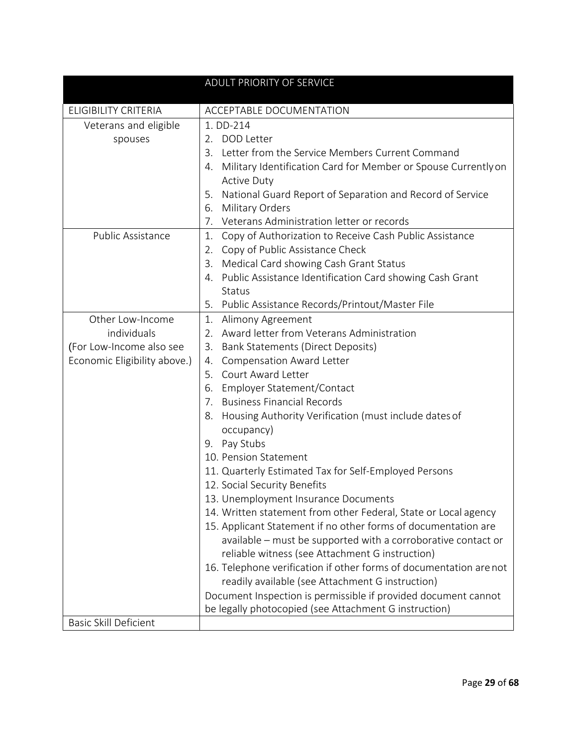|                                                                                             | ADULT PRIORITY OF SERVICE                                                                                                                                                                                                                                                                                                                                                                                                                                                                                                                                                                                                                                                                                                                                                                                                                                                                                                                                                                                                                    |
|---------------------------------------------------------------------------------------------|----------------------------------------------------------------------------------------------------------------------------------------------------------------------------------------------------------------------------------------------------------------------------------------------------------------------------------------------------------------------------------------------------------------------------------------------------------------------------------------------------------------------------------------------------------------------------------------------------------------------------------------------------------------------------------------------------------------------------------------------------------------------------------------------------------------------------------------------------------------------------------------------------------------------------------------------------------------------------------------------------------------------------------------------|
| <b>ELIGIBILITY CRITERIA</b>                                                                 | ACCEPTABLE DOCUMENTATION                                                                                                                                                                                                                                                                                                                                                                                                                                                                                                                                                                                                                                                                                                                                                                                                                                                                                                                                                                                                                     |
| Veterans and eligible<br>spouses                                                            | 1. DD-214<br>2. DOD Letter<br>Letter from the Service Members Current Command<br>3.<br>Military Identification Card for Member or Spouse Currently on<br>4.<br><b>Active Duty</b><br>National Guard Report of Separation and Record of Service<br>5.<br>Military Orders<br>6.<br>7.<br>Veterans Administration letter or records                                                                                                                                                                                                                                                                                                                                                                                                                                                                                                                                                                                                                                                                                                             |
| Public Assistance                                                                           | Copy of Authorization to Receive Cash Public Assistance<br>1.<br>Copy of Public Assistance Check<br>2.<br>Medical Card showing Cash Grant Status<br>3.<br>Public Assistance Identification Card showing Cash Grant<br>4.<br><b>Status</b><br>5.<br>Public Assistance Records/Printout/Master File                                                                                                                                                                                                                                                                                                                                                                                                                                                                                                                                                                                                                                                                                                                                            |
| Other Low-Income<br>individuals<br>(For Low-Income also see<br>Economic Eligibility above.) | 1.<br>Alimony Agreement<br>Award letter from Veterans Administration<br>2.<br><b>Bank Statements (Direct Deposits)</b><br>3.<br><b>Compensation Award Letter</b><br>4.<br>5. Court Award Letter<br>Employer Statement/Contact<br>6.<br>7. Business Financial Records<br>Housing Authority Verification (must include dates of<br>8.<br>occupancy)<br>Pay Stubs<br>9.<br>10. Pension Statement<br>11. Quarterly Estimated Tax for Self-Employed Persons<br>12. Social Security Benefits<br>13. Unemployment Insurance Documents<br>14. Written statement from other Federal, State or Local agency<br>15. Applicant Statement if no other forms of documentation are<br>available - must be supported with a corroborative contact or<br>reliable witness (see Attachment G instruction)<br>16. Telephone verification if other forms of documentation are not<br>readily available (see Attachment G instruction)<br>Document Inspection is permissible if provided document cannot<br>be legally photocopied (see Attachment G instruction) |
| <b>Basic Skill Deficient</b>                                                                |                                                                                                                                                                                                                                                                                                                                                                                                                                                                                                                                                                                                                                                                                                                                                                                                                                                                                                                                                                                                                                              |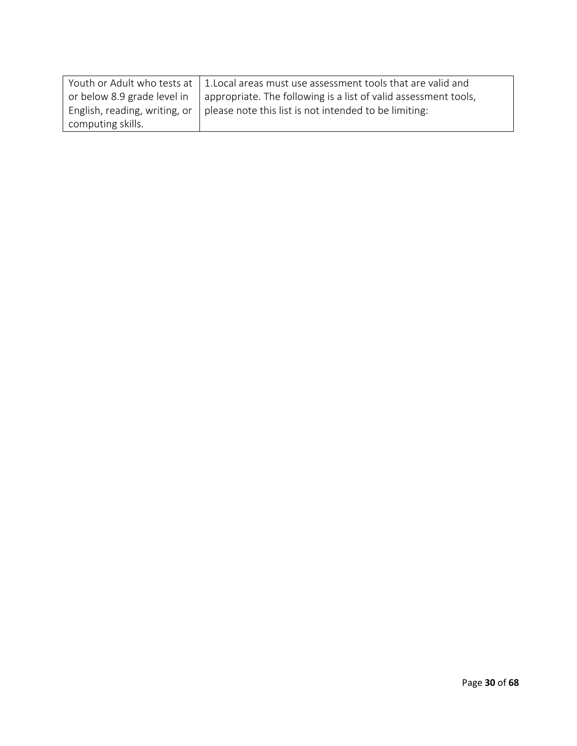|                               | Youth or Adult who tests at 1. Local areas must use assessment tools that are valid and |
|-------------------------------|-----------------------------------------------------------------------------------------|
| or below 8.9 grade level in   | appropriate. The following is a list of valid assessment tools,                         |
| English, reading, writing, or | please note this list is not intended to be limiting:                                   |
| computing skills.             |                                                                                         |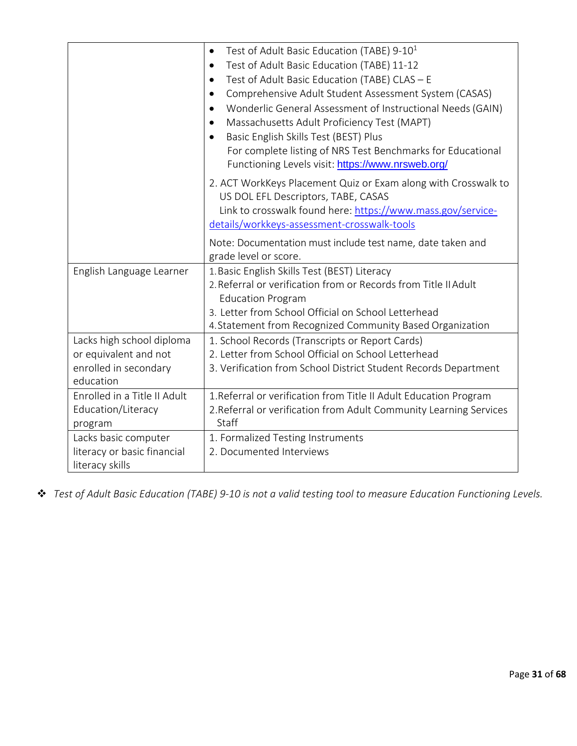|                              | Test of Adult Basic Education (TABE) 9-10 <sup>1</sup><br>$\bullet$                                   |
|------------------------------|-------------------------------------------------------------------------------------------------------|
|                              | Test of Adult Basic Education (TABE) 11-12<br>$\bullet$                                               |
|                              | Test of Adult Basic Education (TABE) CLAS - E<br>$\bullet$                                            |
|                              | Comprehensive Adult Student Assessment System (CASAS)<br>$\bullet$                                    |
|                              | Wonderlic General Assessment of Instructional Needs (GAIN)<br>$\bullet$                               |
|                              | Massachusetts Adult Proficiency Test (MAPT)<br>$\bullet$                                              |
|                              | Basic English Skills Test (BEST) Plus<br>$\bullet$                                                    |
|                              | For complete listing of NRS Test Benchmarks for Educational                                           |
|                              | Functioning Levels visit: https://www.nrsweb.org/                                                     |
|                              | 2. ACT WorkKeys Placement Quiz or Exam along with Crosswalk to<br>US DOL EFL Descriptors, TABE, CASAS |
|                              | Link to crosswalk found here: https://www.mass.gov/service-                                           |
|                              | details/workkeys-assessment-crosswalk-tools                                                           |
|                              | Note: Documentation must include test name, date taken and                                            |
|                              | grade level or score.                                                                                 |
| English Language Learner     | 1. Basic English Skills Test (BEST) Literacy                                                          |
|                              | 2. Referral or verification from or Records from Title II Adult                                       |
|                              | <b>Education Program</b>                                                                              |
|                              | 3. Letter from School Official on School Letterhead                                                   |
|                              | 4. Statement from Recognized Community Based Organization                                             |
| Lacks high school diploma    | 1. School Records (Transcripts or Report Cards)                                                       |
| or equivalent and not        | 2. Letter from School Official on School Letterhead                                                   |
| enrolled in secondary        | 3. Verification from School District Student Records Department                                       |
| education                    |                                                                                                       |
| Enrolled in a Title II Adult | 1. Referral or verification from Title II Adult Education Program                                     |
| Education/Literacy           | 2. Referral or verification from Adult Community Learning Services                                    |
| program                      | Staff                                                                                                 |
| Lacks basic computer         | 1. Formalized Testing Instruments                                                                     |
| literacy or basic financial  | 2. Documented Interviews                                                                              |
| literacy skills              |                                                                                                       |

*Test of Adult Basic Education (TABE) 9-10 is not a valid testing tool to measure Education Functioning Levels.*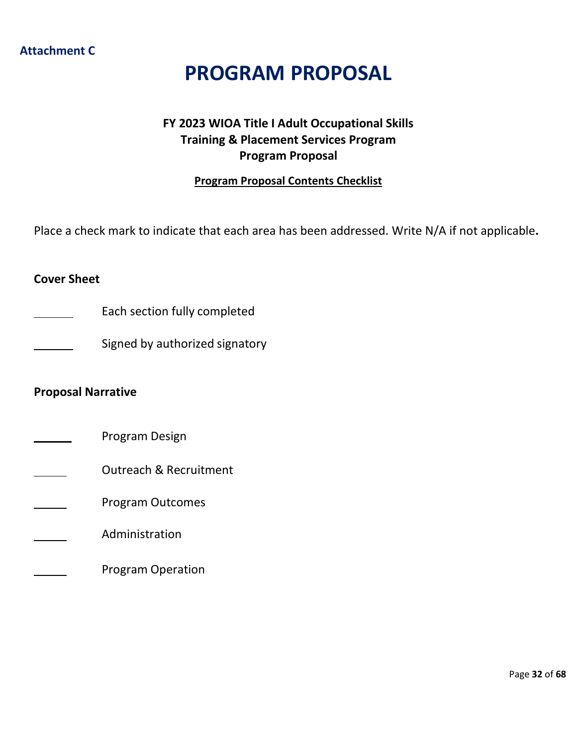# **Attachment C**

# **PROGRAM PROPOSAL**

# **FY 2023 WIOA Title I Adult Occupational Skills Training & Placement Services Program Program Proposal**

# **Program Proposal Contents Checklist**

<span id="page-31-0"></span>Place a check mark to indicate that each area has been addressed. Write N/A if not applicable**.**

# **Cover Sheet**

- Each section fully completed
	- Signed by authorized signatory

# **Proposal Narrative**

- Program Design
- Outreach & Recruitment
- Program Outcomes
- Administration
	- Program Operation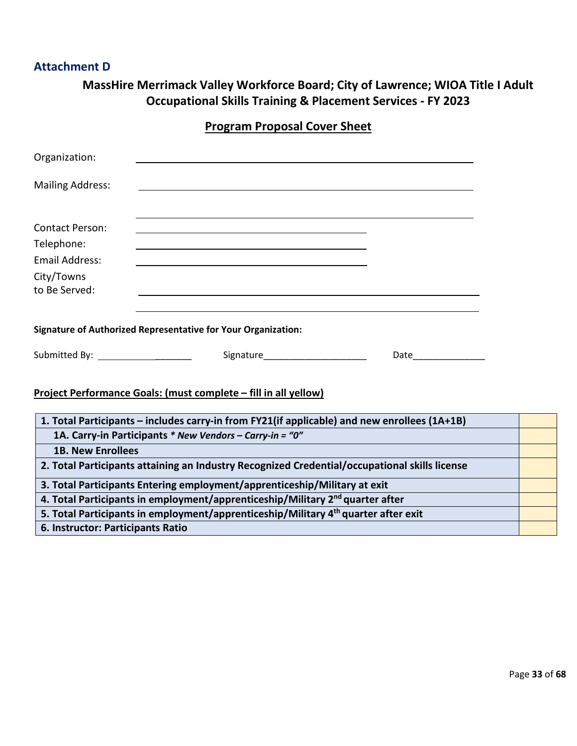# **Attachment D**

| MassHire Merrimack Valley Workforce Board; City of Lawrence; WIOA Title I Adult |
|---------------------------------------------------------------------------------|
| <b>Occupational Skills Training &amp; Placement Services - FY 2023</b>          |
| <b>Program Proposal Cover Sheet</b>                                             |

<span id="page-32-0"></span>

| Organization:                     |                                                                                                |                                                                                                                                                                                                                                |  |
|-----------------------------------|------------------------------------------------------------------------------------------------|--------------------------------------------------------------------------------------------------------------------------------------------------------------------------------------------------------------------------------|--|
| <b>Mailing Address:</b>           | <u> 1989 - Johann Barnett, fransk politiker (d. 1989)</u>                                      |                                                                                                                                                                                                                                |  |
| <b>Contact Person:</b>            |                                                                                                |                                                                                                                                                                                                                                |  |
| Telephone:                        |                                                                                                |                                                                                                                                                                                                                                |  |
| <b>Email Address:</b>             |                                                                                                |                                                                                                                                                                                                                                |  |
| City/Towns                        |                                                                                                |                                                                                                                                                                                                                                |  |
| to Be Served:                     | <u> 1989 - Johann John Stein, markin fizik eta idazlea (h. 1989).</u>                          |                                                                                                                                                                                                                                |  |
|                                   | <b>Signature of Authorized Representative for Your Organization:</b>                           |                                                                                                                                                                                                                                |  |
| Submitted By: ___________________ | Signature________________________                                                              | Date and the second second second second second second second second second second second second second second second second second second second second second second second second second second second second second second |  |
|                                   | Project Performance Goals: (must complete - fill in all yellow)                                |                                                                                                                                                                                                                                |  |
|                                   | 1. Total Participants – includes carry-in from FY21(if applicable) and new enrollees (1A+1B)   |                                                                                                                                                                                                                                |  |
|                                   | 1A. Carry-in Participants * New Vendors - Carry-in = "0"                                       |                                                                                                                                                                                                                                |  |
| <b>1B. New Enrollees</b>          |                                                                                                |                                                                                                                                                                                                                                |  |
|                                   | 2. Total Participants attaining an Industry Recognized Credential/occupational skills license  |                                                                                                                                                                                                                                |  |
|                                   | 3. Total Participants Entering employment/apprenticeship/Military at exit                      |                                                                                                                                                                                                                                |  |
|                                   | 4. Total Participants in employment/apprenticeship/Military 2 <sup>nd</sup> quarter after      |                                                                                                                                                                                                                                |  |
|                                   | 5. Total Participants in employment/apprenticeship/Military 4 <sup>th</sup> quarter after exit |                                                                                                                                                                                                                                |  |
| 6. Instructor: Participants Ratio |                                                                                                |                                                                                                                                                                                                                                |  |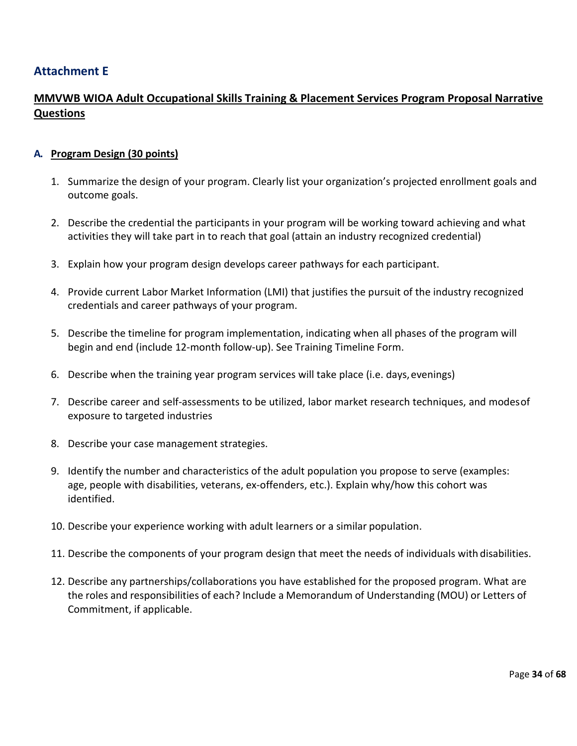# <span id="page-33-0"></span>**Attachment E**

# **MMVWB WIOA Adult Occupational Skills Training & Placement Services Program Proposal Narrative Questions**

## **A. Program Design (30 points)**

- 1. Summarize the design of your program. Clearly list your organization's projected enrollment goals and outcome goals.
- 2. Describe the credential the participants in your program will be working toward achieving and what activities they will take part in to reach that goal (attain an industry recognized credential)
- 3. Explain how your program design develops career pathways for each participant.
- 4. Provide current Labor Market Information (LMI) that justifies the pursuit of the industry recognized credentials and career pathways of your program.
- 5. Describe the timeline for program implementation, indicating when all phases of the program will begin and end (include 12-month follow-up). See Training Timeline Form.
- 6. Describe when the training year program services will take place (i.e. days,evenings)
- 7. Describe career and self-assessments to be utilized, labor market research techniques, and modesof exposure to targeted industries
- 8. Describe your case management strategies.
- 9. Identify the number and characteristics of the adult population you propose to serve (examples: age, people with disabilities, veterans, ex-offenders, etc.). Explain why/how this cohort was identified.
- 10. Describe your experience working with adult learners or a similar population.
- 11. Describe the components of your program design that meet the needs of individuals with disabilities.
- 12. Describe any partnerships/collaborations you have established for the proposed program. What are the roles and responsibilities of each? Include a Memorandum of Understanding (MOU) or Letters of Commitment, if applicable.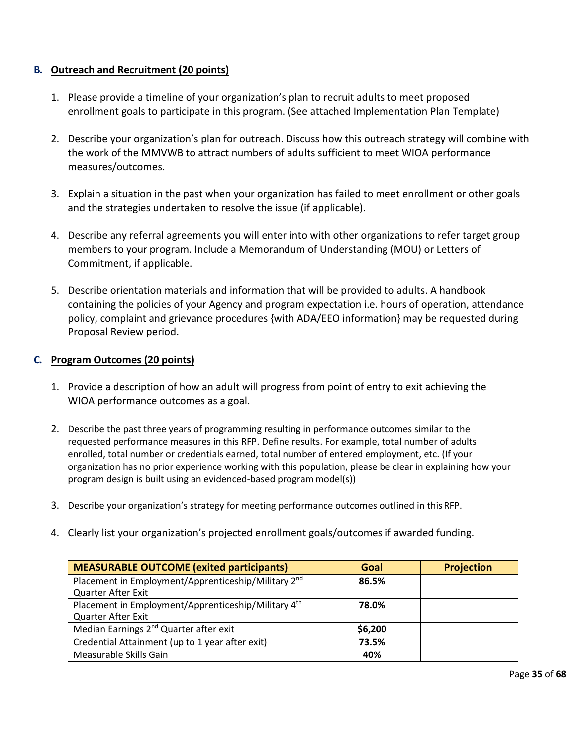## **B. Outreach and Recruitment (20 points)**

- 1. Please provide a timeline of your organization's plan to recruit adults to meet proposed enrollment goals to participate in this program. (See attached Implementation Plan Template)
- 2. Describe your organization's plan for outreach. Discuss how this outreach strategy will combine with the work of the MMVWB to attract numbers of adults sufficient to meet WIOA performance measures/outcomes.
- 3. Explain a situation in the past when your organization has failed to meet enrollment or other goals and the strategies undertaken to resolve the issue (if applicable).
- 4. Describe any referral agreements you will enter into with other organizations to refer target group members to your program. Include a Memorandum of Understanding (MOU) or Letters of Commitment, if applicable.
- 5. Describe orientation materials and information that will be provided to adults. A handbook containing the policies of your Agency and program expectation i.e. hours of operation, attendance policy, complaint and grievance procedures {with ADA/EEO information} may be requested during Proposal Review period.

## **C. Program Outcomes (20 points)**

- 1. Provide a description of how an adult will progress from point of entry to exit achieving the WIOA performance outcomes as a goal.
- 2. Describe the past three years of programming resulting in performance outcomes similar to the requested performance measures in this RFP. Define results. For example, total number of adults enrolled, total number or credentials earned, total number of entered employment, etc. (If your organization has no prior experience working with this population, please be clear in explaining how your program design is built using an evidenced-based programmodel(s))
- 3. Describe your organization's strategy for meeting performance outcomes outlined in this RFP.
- 4. Clearly list your organization's projected enrollment goals/outcomes if awarded funding.

| <b>MEASURABLE OUTCOME (exited participants)</b>                 | Goal    | <b>Projection</b> |
|-----------------------------------------------------------------|---------|-------------------|
| Placement in Employment/Apprenticeship/Military 2 <sup>nd</sup> | 86.5%   |                   |
| Quarter After Exit                                              |         |                   |
| Placement in Employment/Apprenticeship/Military 4 <sup>th</sup> | 78.0%   |                   |
| <b>Quarter After Exit</b>                                       |         |                   |
| Median Earnings 2 <sup>nd</sup> Quarter after exit              | \$6,200 |                   |
| Credential Attainment (up to 1 year after exit)                 | 73.5%   |                   |
| Measurable Skills Gain                                          | 40%     |                   |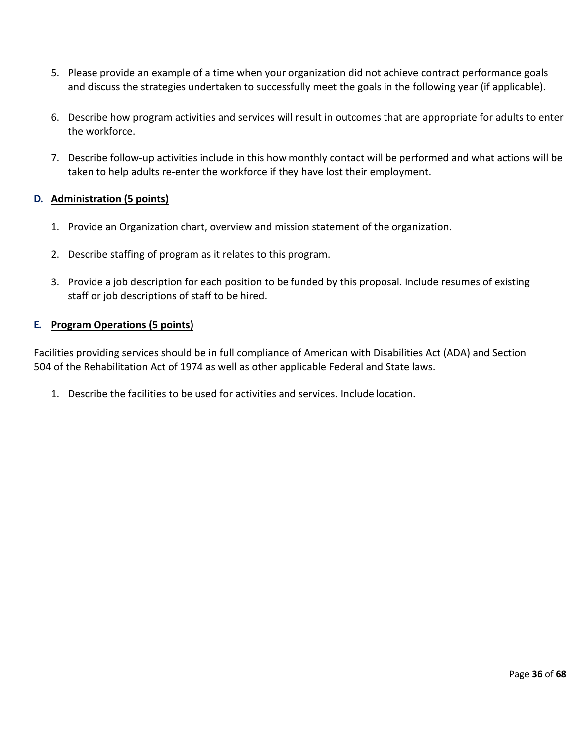- 5. Please provide an example of a time when your organization did not achieve contract performance goals and discuss the strategies undertaken to successfully meet the goals in the following year (if applicable).
- 6. Describe how program activities and services will result in outcomes that are appropriate for adults to enter the workforce.
- 7. Describe follow-up activities include in this how monthly contact will be performed and what actions will be taken to help adults re-enter the workforce if they have lost their employment.

# **D. Administration (5 points)**

- 1. Provide an Organization chart, overview and mission statement of the organization.
- 2. Describe staffing of program as it relates to this program.
- 3. Provide a job description for each position to be funded by this proposal. Include resumes of existing staff or job descriptions of staff to be hired.

# **E. Program Operations (5 points)**

Facilities providing services should be in full compliance of American with Disabilities Act (ADA) and Section 504 of the Rehabilitation Act of 1974 as well as other applicable Federal and State laws.

1. Describe the facilities to be used for activities and services. Include location.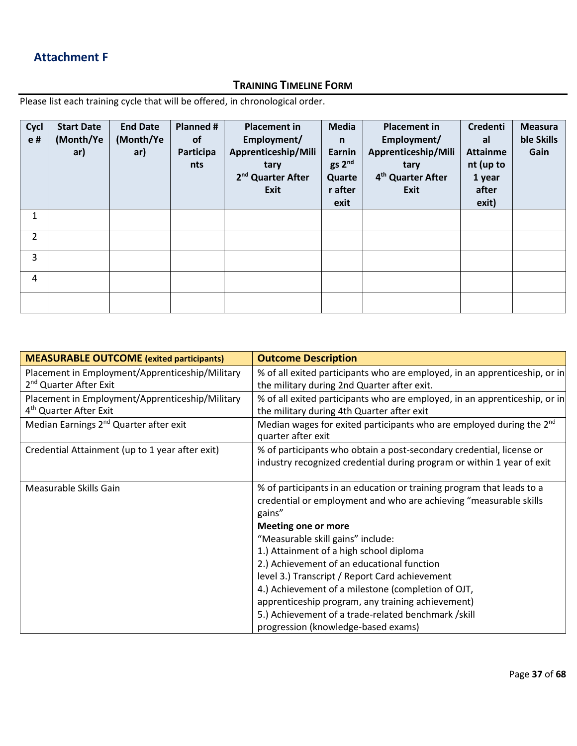# **Attachment F**

# **TRAINING TIMELINE FORM**

Please list each training cycle that will be offered, in chronological order.

| Cycl<br>e#     | <b>Start Date</b><br>(Month/Ye<br>ar) | <b>End Date</b><br>(Month/Ye<br>ar) | Planned #<br><b>of</b><br>Participa<br>nts | <b>Placement in</b><br>Employment/<br>Apprenticeship/Mili<br>tary<br>2 <sup>nd</sup> Quarter After<br>Exit | <b>Media</b><br>$\mathsf{n}$<br>Earnin<br>gs 2 <sup>nd</sup><br>Quarte<br>r after<br>exit | <b>Placement in</b><br>Employment/<br>Apprenticeship/Mili<br>tary<br>4 <sup>th</sup> Quarter After<br>Exit | <b>Credenti</b><br>al<br><b>Attainme</b><br>nt (up to<br>1 year<br>after<br>exit) | <b>Measura</b><br>ble Skills<br>Gain |
|----------------|---------------------------------------|-------------------------------------|--------------------------------------------|------------------------------------------------------------------------------------------------------------|-------------------------------------------------------------------------------------------|------------------------------------------------------------------------------------------------------------|-----------------------------------------------------------------------------------|--------------------------------------|
| 1              |                                       |                                     |                                            |                                                                                                            |                                                                                           |                                                                                                            |                                                                                   |                                      |
| $\overline{2}$ |                                       |                                     |                                            |                                                                                                            |                                                                                           |                                                                                                            |                                                                                   |                                      |
| 3              |                                       |                                     |                                            |                                                                                                            |                                                                                           |                                                                                                            |                                                                                   |                                      |
| 4              |                                       |                                     |                                            |                                                                                                            |                                                                                           |                                                                                                            |                                                                                   |                                      |
|                |                                       |                                     |                                            |                                                                                                            |                                                                                           |                                                                                                            |                                                                                   |                                      |

| <b>MEASURABLE OUTCOME</b> (exited participants)                                       | <b>Outcome Description</b>                                                                                                                           |
|---------------------------------------------------------------------------------------|------------------------------------------------------------------------------------------------------------------------------------------------------|
| Placement in Employment/Apprenticeship/Military<br>2 <sup>nd</sup> Quarter After Exit | % of all exited participants who are employed, in an apprenticeship, or in<br>the military during 2nd Quarter after exit.                            |
| Placement in Employment/Apprenticeship/Military<br>4 <sup>th</sup> Quarter After Exit | % of all exited participants who are employed, in an apprenticeship, or in<br>the military during 4th Quarter after exit                             |
| Median Earnings 2 <sup>nd</sup> Quarter after exit                                    | Median wages for exited participants who are employed during the 2 <sup>nd</sup><br>quarter after exit                                               |
| Credential Attainment (up to 1 year after exit)                                       | % of participants who obtain a post-secondary credential, license or<br>industry recognized credential during program or within 1 year of exit       |
| Measurable Skills Gain                                                                | % of participants in an education or training program that leads to a<br>credential or employment and who are achieving "measurable skills<br>gains" |
|                                                                                       | <b>Meeting one or more</b>                                                                                                                           |
|                                                                                       | "Measurable skill gains" include:                                                                                                                    |
|                                                                                       | 1.) Attainment of a high school diploma                                                                                                              |
|                                                                                       | 2.) Achievement of an educational function                                                                                                           |
|                                                                                       | level 3.) Transcript / Report Card achievement                                                                                                       |
|                                                                                       | 4.) Achievement of a milestone (completion of OJT,                                                                                                   |
|                                                                                       | apprenticeship program, any training achievement)                                                                                                    |
|                                                                                       | 5.) Achievement of a trade-related benchmark /skill                                                                                                  |
|                                                                                       | progression (knowledge-based exams)                                                                                                                  |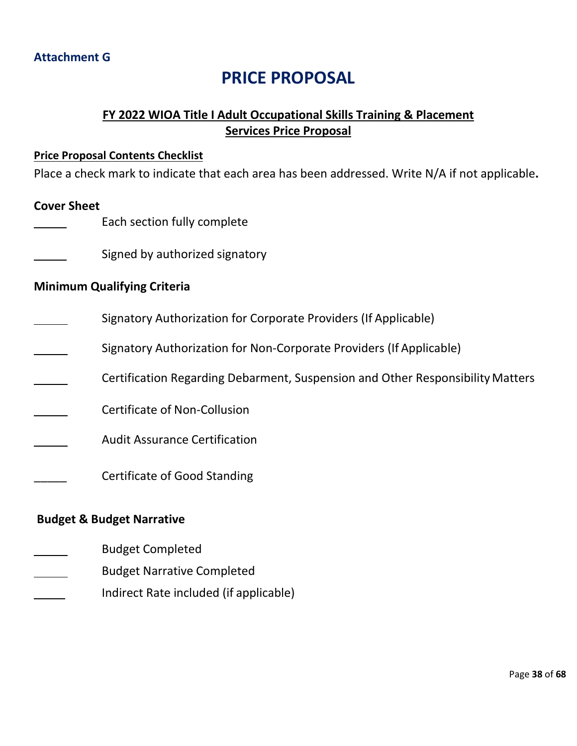# **PRICE PROPOSAL**

# **FY 2022 WIOA Title I Adult Occupational Skills Training & Placement Services Price Proposal**

# <span id="page-37-1"></span><span id="page-37-0"></span>**Price Proposal Contents Checklist**

Place a check mark to indicate that each area has been addressed. Write N/A if not applicable**.**

# **Cover Sheet**

- Each section fully complete
- Signed by authorized signatory

# **Minimum Qualifying Criteria**

- Signatory Authorization for Corporate Providers (If Applicable)
- Signatory Authorization for Non-Corporate Providers (If Applicable)
- Certification Regarding Debarment, Suspension and Other ResponsibilityMatters
- Certificate of Non-Collusion
- Audit Assurance Certification
	- \_\_\_\_\_ Certificate of Good Standing

# **Budget & Budget Narrative**

- Budget Completed
- Budget Narrative Completed
- Indirect Rate included (if applicable)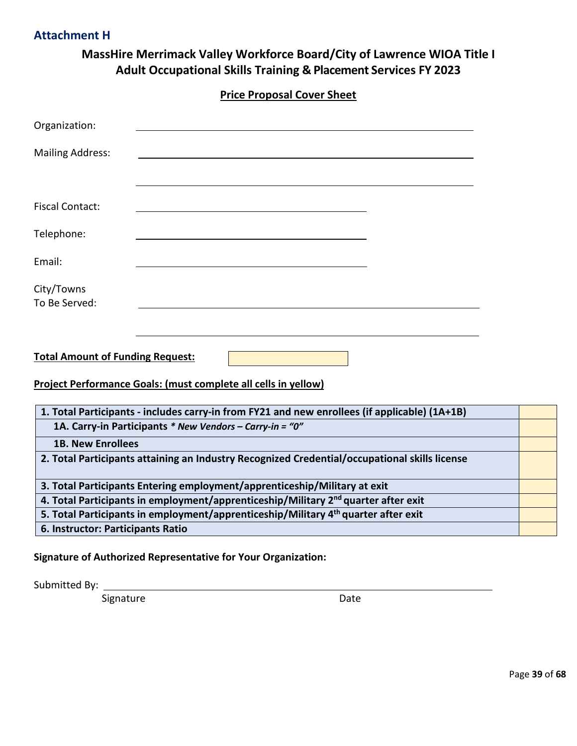# **MassHire Merrimack Valley Workforce Board/City of Lawrence WIOA Title I Adult Occupational Skills Training & Placement Services FY 2023**

<span id="page-38-0"></span>

| Organization:<br><b>Mailing Address:</b><br><b>Fiscal Contact:</b><br>Telephone:               |
|------------------------------------------------------------------------------------------------|
|                                                                                                |
|                                                                                                |
|                                                                                                |
|                                                                                                |
|                                                                                                |
| Email:                                                                                         |
| City/Towns<br>To Be Served:                                                                    |
|                                                                                                |
| <b>Total Amount of Funding Request:</b>                                                        |
| Project Performance Goals: (must complete all cells in yellow)                                 |
| 1. Total Participants - includes carry-in from FY21 and new enrollees (if applicable) (1A+1B)  |
| 1A. Carry-in Participants * New Vendors - Carry-in = "0"                                       |
| <b>1B. New Enrollees</b>                                                                       |
| 2. Total Participants attaining an Industry Recognized Credential/occupational skills license  |
| 3. Total Participants Entering employment/apprenticeship/Military at exit                      |
| 4. Total Participants in employment/apprenticeship/Military 2 <sup>nd</sup> quarter after exit |
| 5. Total Participants in employment/apprenticeship/Military 4 <sup>th</sup> quarter after exit |
| 6. Instructor: Participants Ratio                                                              |

**Signature of Authorized Representative for Your Organization:**

Submitted By:

Signature Date Date

<span id="page-38-1"></span>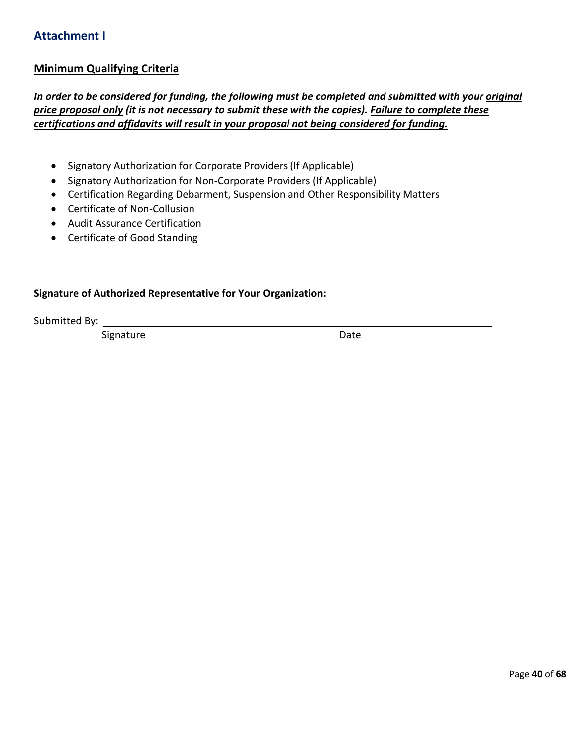# **Attachment I**

## **Minimum Qualifying Criteria**

*In order to be considered for funding, the following must be completed and submitted with your original price proposal only (it is not necessary to submit these with the copies). Failure to complete these certifications and affidavits will result in your proposal not being considered for funding.*

- Signatory Authorization for Corporate Providers (If Applicable)
- Signatory Authorization for Non-Corporate Providers (If Applicable)
- Certification Regarding Debarment, Suspension and Other Responsibility Matters
- Certificate of Non-Collusion
- Audit Assurance Certification
- Certificate of Good Standing

## **Signature of Authorized Representative for Your Organization:**

Submitted By:

Signature Date Date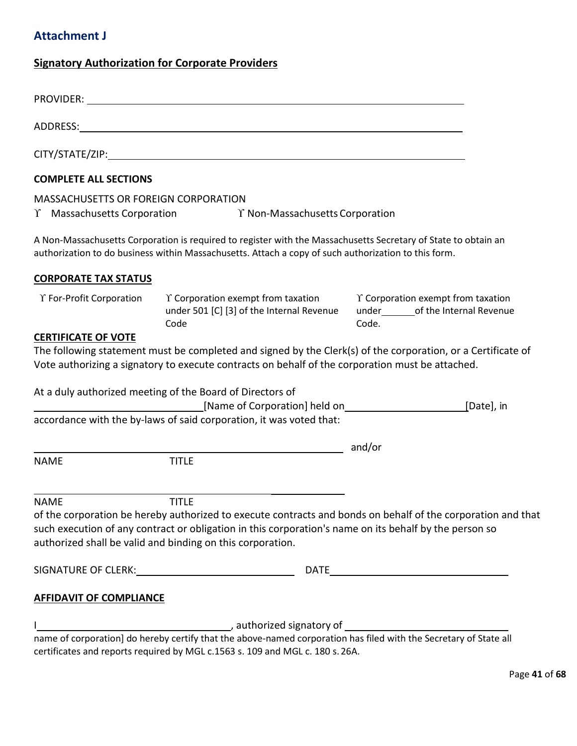# <span id="page-40-0"></span>**Attachment J**

# **Signatory Authorization for Corporate Providers**

| <b>COMPLETE ALL SECTIONS</b>         |                                                                                                                                                                                                                        |                                                                                                              |
|--------------------------------------|------------------------------------------------------------------------------------------------------------------------------------------------------------------------------------------------------------------------|--------------------------------------------------------------------------------------------------------------|
| MASSACHUSETTS OR FOREIGN CORPORATION | $\Upsilon$ Massachusetts Corporation $\Upsilon$ Non-Massachusetts Corporation                                                                                                                                          |                                                                                                              |
|                                      | A Non-Massachusetts Corporation is required to register with the Massachusetts Secretary of State to obtain an<br>authorization to do business within Massachusetts. Attach a copy of such authorization to this form. |                                                                                                              |
| <b>CORPORATE TAX STATUS</b>          |                                                                                                                                                                                                                        |                                                                                                              |
| Y For-Profit Corporation             | $\Upsilon$ Corporation exempt from taxation $\Upsilon$ Corporation exempt from taxation<br>under 501 [C] [3] of the Internal Revenue under ______ of the Internal Revenue<br>Code                                      | Code.                                                                                                        |
| <b>CERTIFICATE OF VOTE</b>           | Vote authorizing a signatory to execute contracts on behalf of the corporation must be attached.                                                                                                                       | The following statement must be completed and signed by the Clerk(s) of the corporation, or a Certificate of |
|                                      | At a duly authorized meeting of the Board of Directors of<br>[Name of Corporation] held on <b>Example 2018</b> 2019 2019                                                                                               | [Date], in                                                                                                   |
|                                      | accordance with the by-laws of said corporation, it was voted that:                                                                                                                                                    |                                                                                                              |
| <b>NAME</b>                          | <b>TITLE</b>                                                                                                                                                                                                           | and/or                                                                                                       |
| <b>NAME</b>                          | <b>TITLE</b>                                                                                                                                                                                                           |                                                                                                              |
|                                      | such execution of any contract or obligation in this corporation's name on its behalf by the person so<br>authorized shall be valid and binding on this corporation.                                                   | of the corporation be hereby authorized to execute contracts and bonds on behalf of the corporation and that |
|                                      |                                                                                                                                                                                                                        |                                                                                                              |
| <b>AFFIDAVIT OF COMPLIANCE</b>       |                                                                                                                                                                                                                        |                                                                                                              |
|                                      |                                                                                                                                                                                                                        |                                                                                                              |
|                                      | certificates and reports required by MGL c.1563 s. 109 and MGL c. 180 s. 26A.                                                                                                                                          |                                                                                                              |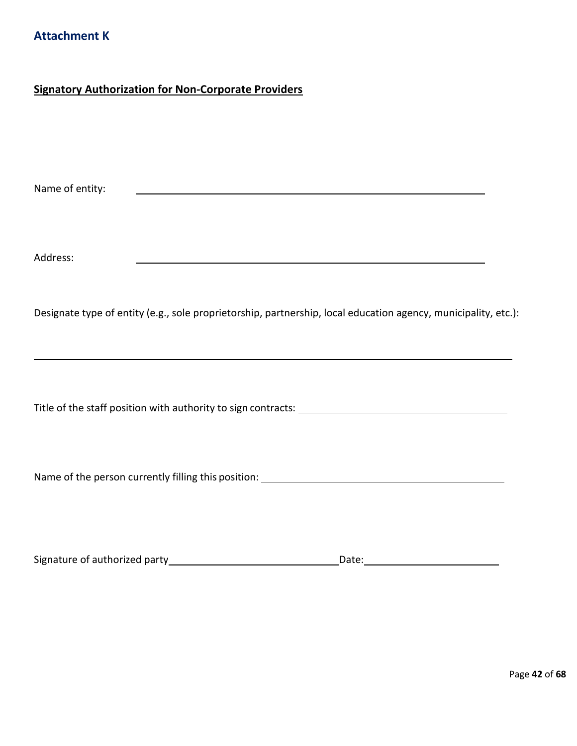# <span id="page-41-0"></span>**Signatory Authorization for Non-Corporate Providers**

Name of entity:

Address:

Designate type of entity (e.g., sole proprietorship, partnership, local education agency, municipality, etc.):

<u> 1980 - Johann Barbara, martin amerikan basar dan berasal dalam basa dalam basar dalam basar dalam basar dala</u>

Title of the staff position with authority to sign contracts:

Name of the person currently filling this position: \_\_\_\_\_\_\_\_\_\_\_\_\_\_\_\_\_\_\_\_\_\_\_\_\_\_\_\_\_

| Signature of authorized party | Date: |
|-------------------------------|-------|
|-------------------------------|-------|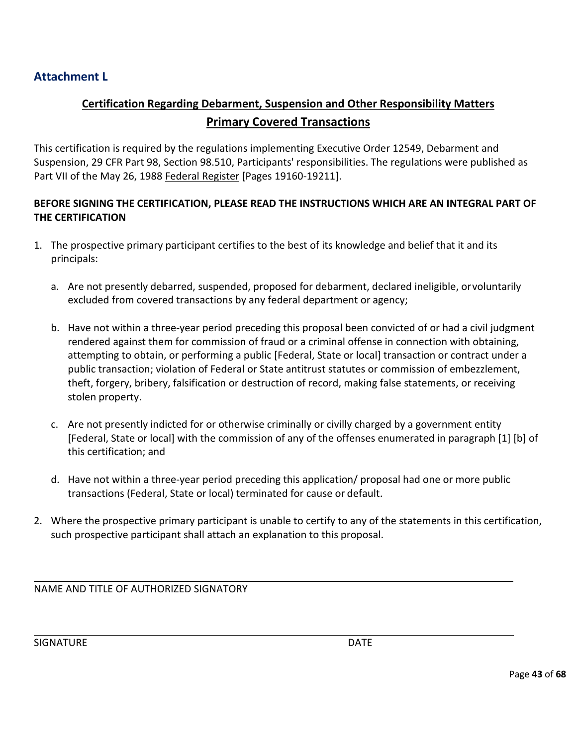# <span id="page-42-0"></span>**Attachment L**

# **Certification Regarding Debarment, Suspension and Other Responsibility Matters Primary Covered Transactions**

This certification is required by the regulations implementing Executive Order 12549, Debarment and Suspension, 29 CFR Part 98, Section 98.510, Participants' responsibilities. The regulations were published as Part VII of the May 26, 1988 Federal Register [Pages 19160-19211].

# **BEFORE SIGNING THE CERTIFICATION, PLEASE READ THE INSTRUCTIONS WHICH ARE AN INTEGRAL PART OF THE CERTIFICATION**

- 1. The prospective primary participant certifies to the best of its knowledge and belief that it and its principals:
	- a. Are not presently debarred, suspended, proposed for debarment, declared ineligible, orvoluntarily excluded from covered transactions by any federal department or agency;
	- b. Have not within a three-year period preceding this proposal been convicted of or had a civil judgment rendered against them for commission of fraud or a criminal offense in connection with obtaining, attempting to obtain, or performing a public [Federal, State or local] transaction or contract under a public transaction; violation of Federal or State antitrust statutes or commission of embezzlement, theft, forgery, bribery, falsification or destruction of record, making false statements, or receiving stolen property.
	- c. Are not presently indicted for or otherwise criminally or civilly charged by a government entity [Federal, State or local] with the commission of any of the offenses enumerated in paragraph [1] [b] of this certification; and
	- d. Have not within a three-year period preceding this application/ proposal had one or more public transactions (Federal, State or local) terminated for cause or default.
- 2. Where the prospective primary participant is unable to certify to any of the statements in this certification, such prospective participant shall attach an explanation to this proposal.

NAME AND TITLE OF AUTHORIZED SIGNATORY

SIGNATURE DATE DATE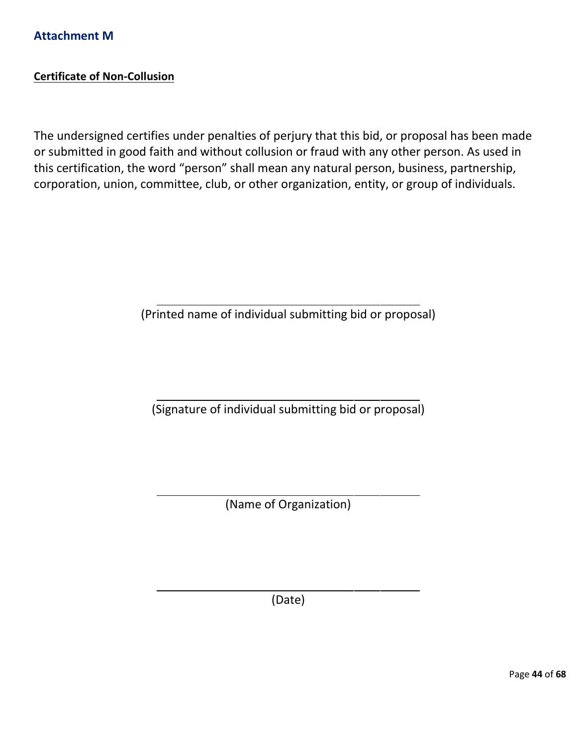# <span id="page-43-0"></span>**Certificate of Non-Collusion**

The undersigned certifies under penalties of perjury that this bid, or proposal has been made or submitted in good faith and without collusion or fraud with any other person. As used in this certification, the word "person" shall mean any natural person, business, partnership, corporation, union, committee, club, or other organization, entity, or group of individuals.

(Printed name of individual submitting bid or proposal)

(Signature of individual submitting bid or proposal)

(Name of Organization)

(Date)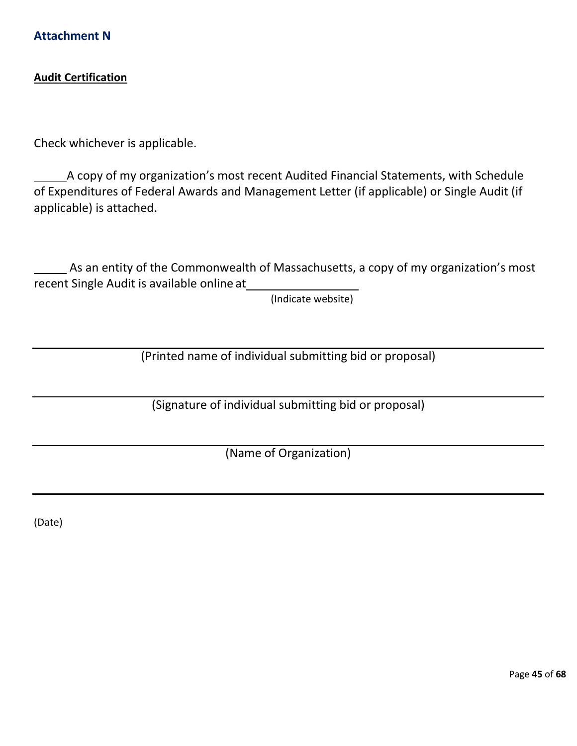<span id="page-44-0"></span>**Attachment N**

## **Audit Certification**

Check whichever is applicable.

A copy of my organization's most recent Audited Financial Statements, with Schedule of Expenditures of Federal Awards and Management Letter (if applicable) or Single Audit (if applicable) is attached.

As an entity of the Commonwealth of Massachusetts, a copy of my organization's most recent Single Audit is available online at

(Indicate website)

(Printed name of individual submitting bid or proposal)

(Signature of individual submitting bid or proposal)

(Name of Organization)

(Date)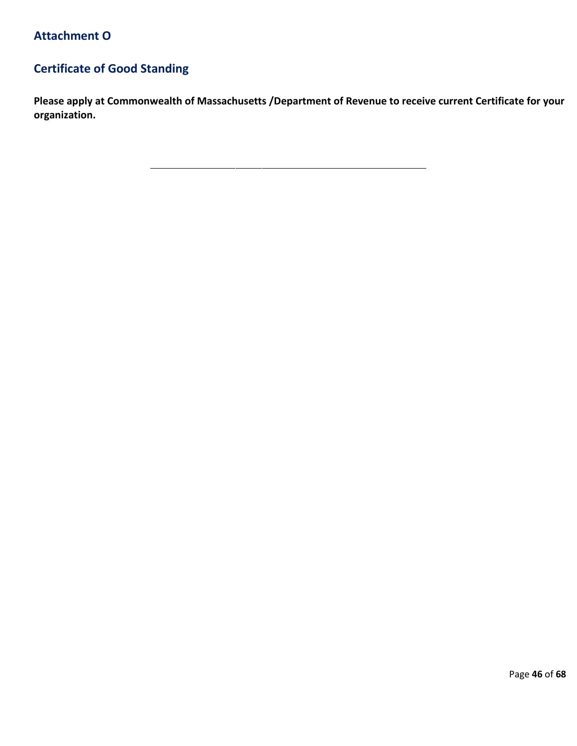# <span id="page-45-0"></span>**Certificate of Good Standing**

**Please apply at Commonwealth of Massachusetts /Department of Revenue to receive current Certificate for your organization.**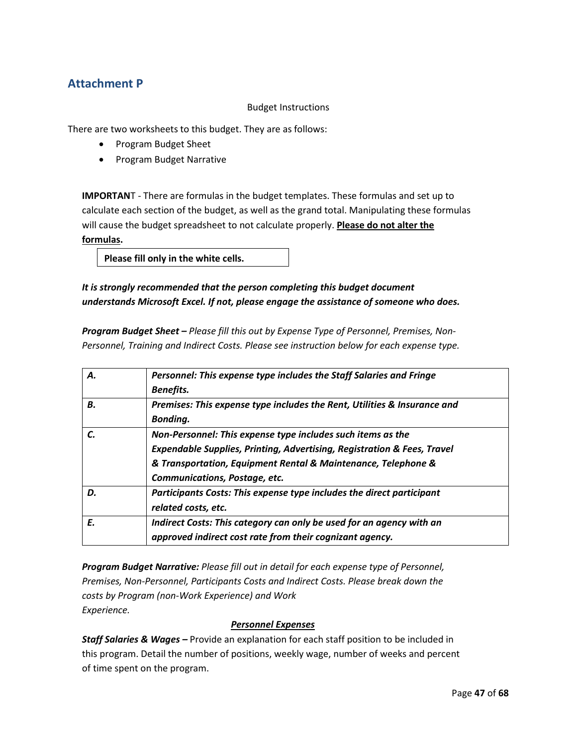# **Attachment P**

## Budget Instructions

There are two worksheets to this budget. They are as follows:

- Program Budget Sheet
- Program Budget Narrative

**IMPORTAN**T - There are formulas in the budget templates. These formulas and set up to calculate each section of the budget, as well as the grand total. Manipulating these formulas will cause the budget spreadsheet to not calculate properly. **Please do not alter the formulas.**

**Please fill only in the white cells.**

## *It is strongly recommended that the person completing this budget document understands Microsoft Excel. If not, please engage the assistance of someone who does.*

*Program Budget Sheet – Please fill this out by Expense Type of Personnel, Premises, Non-Personnel, Training and Indirect Costs. Please see instruction below for each expense type.*

| А. | Personnel: This expense type includes the Staff Salaries and Fringe                |
|----|------------------------------------------------------------------------------------|
|    | <b>Benefits.</b>                                                                   |
| В. | Premises: This expense type includes the Rent, Utilities & Insurance and           |
|    | <b>Bonding.</b>                                                                    |
|    | Non-Personnel: This expense type includes such items as the                        |
|    | <b>Expendable Supplies, Printing, Advertising, Registration &amp; Fees, Travel</b> |
|    | & Transportation, Equipment Rental & Maintenance, Telephone &                      |
|    | Communications, Postage, etc.                                                      |
| D. | Participants Costs: This expense type includes the direct participant              |
|    | related costs, etc.                                                                |
| E. | Indirect Costs: This category can only be used for an agency with an               |
|    | approved indirect cost rate from their cognizant agency.                           |

*Program Budget Narrative: Please fill out in detail for each expense type of Personnel, Premises, Non-Personnel, Participants Costs and Indirect Costs. Please break down the costs by Program (non-Work Experience) and Work Experience.*

## *Personnel Expenses*

*Staff Salaries & Wages –* Provide an explanation for each staff position to be included in this program. Detail the number of positions, weekly wage, number of weeks and percent of time spent on the program.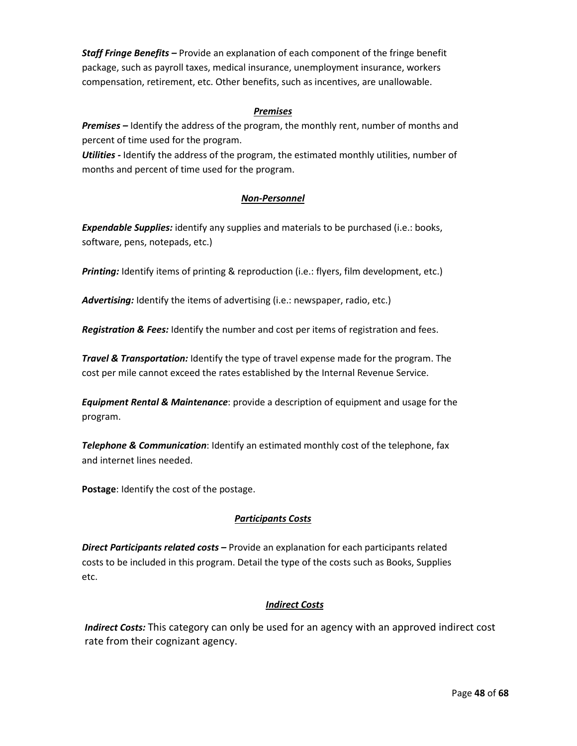*Staff Fringe Benefits –* Provide an explanation of each component of the fringe benefit package, such as payroll taxes, medical insurance, unemployment insurance, workers compensation, retirement, etc. Other benefits, such as incentives, are unallowable.

## *Premises*

*Premises –* Identify the address of the program, the monthly rent, number of months and percent of time used for the program.

*Utilities -* Identify the address of the program, the estimated monthly utilities, number of months and percent of time used for the program.

## *Non-Personnel*

*Expendable Supplies:* identify any supplies and materials to be purchased (i.e.: books, software, pens, notepads, etc.)

*Printing:* Identify items of printing & reproduction (i.e.: flyers, film development, etc.)

*Advertising:* Identify the items of advertising (i.e.: newspaper, radio, etc.)

*Registration & Fees:* Identify the number and cost per items of registration and fees.

*Travel & Transportation:* Identify the type of travel expense made for the program. The cost per mile cannot exceed the rates established by the Internal Revenue Service.

*Equipment Rental & Maintenance*: provide a description of equipment and usage for the program.

*Telephone & Communication*: Identify an estimated monthly cost of the telephone, fax and internet lines needed.

**Postage**: Identify the cost of the postage.

## *Participants Costs*

*Direct Participants related costs –* Provide an explanation for each participants related costs to be included in this program. Detail the type of the costs such as Books, Supplies etc.

## *Indirect Costs*

*Indirect Costs:* This category can only be used for an agency with an approved indirect cost rate from their cognizant agency.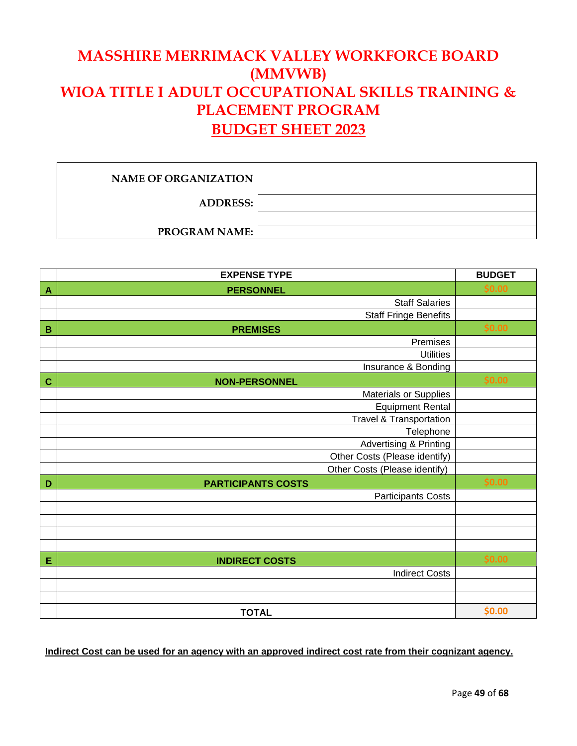# **MASSHIRE MERRIMACK VALLEY WORKFORCE BOARD (MMVWB) WIOA TITLE I ADULT OCCUPATIONAL SKILLS TRAINING & PLACEMENT PROGRAM BUDGET SHEET 2023**

## **NAME OF ORGANIZATION**

**ADDRESS:**

**PROGRAM NAME:**

|                | <b>EXPENSE TYPE</b>                | <b>BUDGET</b> |
|----------------|------------------------------------|---------------|
| $\overline{A}$ | <b>PERSONNEL</b>                   | \$0.00        |
|                | <b>Staff Salaries</b>              |               |
|                | <b>Staff Fringe Benefits</b>       |               |
| $\mathbf B$    | <b>PREMISES</b>                    | \$0.00        |
|                | Premises                           |               |
|                | <b>Utilities</b>                   |               |
|                | Insurance & Bonding                |               |
| $\mathbf C$    | <b>NON-PERSONNEL</b>               | \$0.00        |
|                | <b>Materials or Supplies</b>       |               |
|                | <b>Equipment Rental</b>            |               |
|                | <b>Travel &amp; Transportation</b> |               |
|                | Telephone                          |               |
|                | <b>Advertising &amp; Printing</b>  |               |
|                | Other Costs (Please identify)      |               |
|                | Other Costs (Please identify)      |               |
| D              | <b>PARTICIPANTS COSTS</b>          | \$0.00        |
|                | <b>Participants Costs</b>          |               |
|                |                                    |               |
|                |                                    |               |
|                |                                    |               |
|                |                                    |               |
| Е              | <b>INDIRECT COSTS</b>              | \$0.00        |
|                | <b>Indirect Costs</b>              |               |
|                |                                    |               |
|                |                                    |               |
|                | <b>TOTAL</b>                       | \$0.00        |

## **Indirect Cost can be used for an agency with an approved indirect cost rate from their cognizant agency.**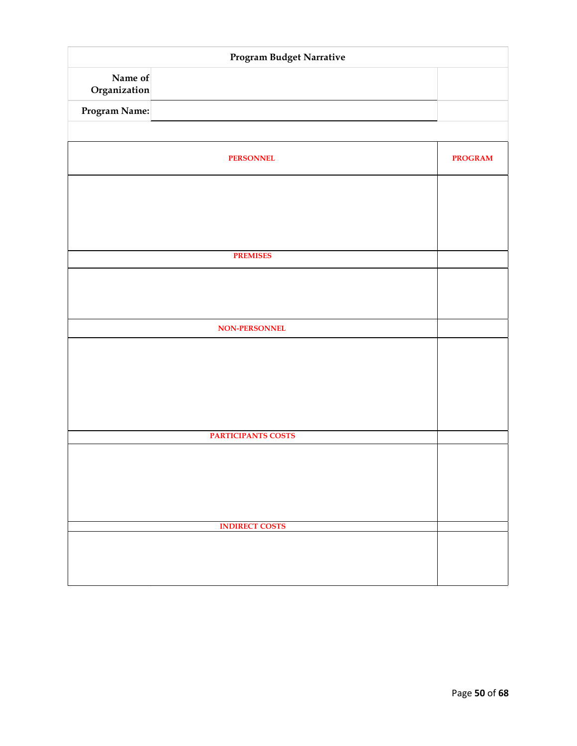| Program Budget Narrative |                       |                |
|--------------------------|-----------------------|----------------|
| Name of<br>Organization  |                       |                |
| Program Name:            |                       |                |
|                          |                       |                |
|                          | <b>PERSONNEL</b>      | <b>PROGRAM</b> |
|                          |                       |                |
|                          |                       |                |
|                          |                       |                |
|                          | <b>PREMISES</b>       |                |
|                          |                       |                |
|                          |                       |                |
|                          |                       |                |
|                          | NON-PERSONNEL         |                |
|                          |                       |                |
|                          |                       |                |
|                          |                       |                |
|                          |                       |                |
|                          | PARTICIPANTS COSTS    |                |
|                          |                       |                |
|                          |                       |                |
|                          |                       |                |
|                          | <b>INDIRECT COSTS</b> |                |
|                          |                       |                |
|                          |                       |                |
|                          |                       |                |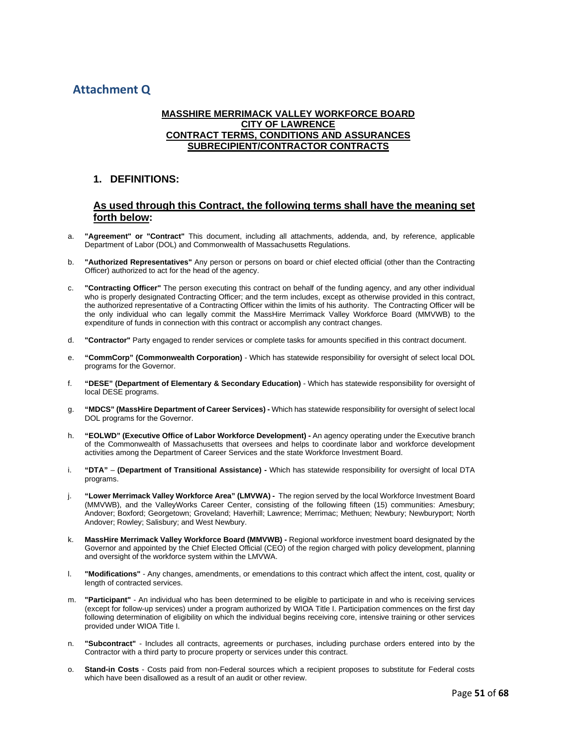# **Attachment Q**

### **MASSHIRE MERRIMACK VALLEY WORKFORCE BOARD CITY OF LAWRENCE CONTRACT TERMS, CONDITIONS AND ASSURANCES SUBRECIPIENT/CONTRACTOR CONTRACTS**

## **1. DEFINITIONS:**

### **As used through this Contract, the following terms shall have the meaning set forth below:**

- a. **"Agreement" or "Contract"** This document, including all attachments, addenda, and, by reference, applicable Department of Labor (DOL) and Commonwealth of Massachusetts Regulations.
- b. **"Authorized Representatives"** Any person or persons on board or chief elected official (other than the Contracting Officer) authorized to act for the head of the agency.
- c. **"Contracting Officer"** The person executing this contract on behalf of the funding agency, and any other individual who is properly designated Contracting Officer; and the term includes, except as otherwise provided in this contract, the authorized representative of a Contracting Officer within the limits of his authority. The Contracting Officer will be the only individual who can legally commit the MassHire Merrimack Valley Workforce Board (MMVWB) to the expenditure of funds in connection with this contract or accomplish any contract changes.
- d. **"Contractor"** Party engaged to render services or complete tasks for amounts specified in this contract document.
- e. **"CommCorp" (Commonwealth Corporation)** Which has statewide responsibility for oversight of select local DOL programs for the Governor.
- f. **"DESE" (Department of Elementary & Secondary Education)** Which has statewide responsibility for oversight of local DESE programs.
- g. **"MDCS" (MassHire Department of Career Services) -** Which has statewide responsibility for oversight of select local DOL programs for the Governor.
- h. **"EOLWD" (Executive Office of Labor Workforce Development) -** An agency operating under the Executive branch of the Commonwealth of Massachusetts that oversees and helps to coordinate labor and workforce development activities among the Department of Career Services and the state Workforce Investment Board.
- i. **"DTA" (Department of Transitional Assistance) -** Which has statewide responsibility for oversight of local DTA programs.
- j. "Lower Merrimack Valley Workforce Area" (LMVWA) The region served by the local Workforce Investment Board (MMVWB), and the ValleyWorks Career Center, consisting of the following fifteen (15) communities: Amesbury; Andover; Boxford; Georgetown; Groveland; Haverhill; Lawrence; Merrimac; Methuen; Newbury; Newburyport; North Andover; Rowley; Salisbury; and West Newbury.
- k. **MassHire Merrimack Valley Workforce Board (MMVWB) -** Regional workforce investment board designated by the Governor and appointed by the Chief Elected Official (CEO) of the region charged with policy development, planning and oversight of the workforce system within the LMVWA.
- l. **"Modifications"** Any changes, amendments, or emendations to this contract which affect the intent, cost, quality or length of contracted services.
- m. **"Participant"** An individual who has been determined to be eligible to participate in and who is receiving services (except for follow-up services) under a program authorized by WIOA Title I. Participation commences on the first day following determination of eligibility on which the individual begins receiving core, intensive training or other services provided under WIOA Title I.
- n. **"Subcontract"** Includes all contracts, agreements or purchases, including purchase orders entered into by the Contractor with a third party to procure property or services under this contract.
- o. **Stand-in Costs** Costs paid from non-Federal sources which a recipient proposes to substitute for Federal costs which have been disallowed as a result of an audit or other review.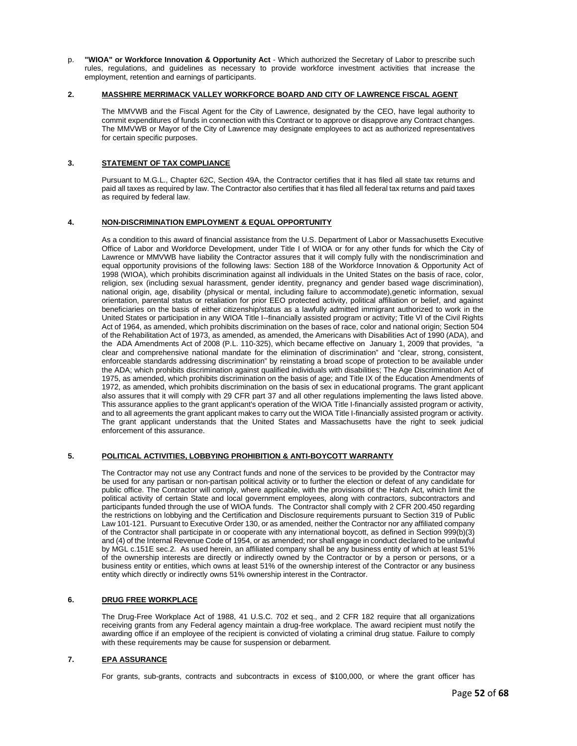p. **"WIOA" or Workforce Innovation & Opportunity Act** - Which authorized the Secretary of Labor to prescribe such rules, regulations, and guidelines as necessary to provide workforce investment activities that increase the employment, retention and earnings of participants.

#### **2. MASSHIRE MERRIMACK VALLEY WORKFORCE BOARD AND CITY OF LAWRENCE FISCAL AGENT**

The MMVWB and the Fiscal Agent for the City of Lawrence, designated by the CEO, have legal authority to commit expenditures of funds in connection with this Contract or to approve or disapprove any Contract changes. The MMVWB or Mayor of the City of Lawrence may designate employees to act as authorized representatives for certain specific purposes.

#### **3. STATEMENT OF TAX COMPLIANCE**

Pursuant to M.G.L., Chapter 62C, Section 49A, the Contractor certifies that it has filed all state tax returns and paid all taxes as required by law. The Contractor also certifies that it has filed all federal tax returns and paid taxes as required by federal law.

#### **4. NON-DISCRIMINATION EMPLOYMENT & EQUAL OPPORTUNITY**

As a condition to this award of financial assistance from the U.S. Department of Labor or Massachusetts Executive Office of Labor and Workforce Development, under Title I of WIOA or for any other funds for which the City of Lawrence or MMVWB have liability the Contractor assures that it will comply fully with the nondiscrimination and equal opportunity provisions of the following laws: Section 188 of the Workforce Innovation & Opportunity Act of 1998 (WIOA), which prohibits discrimination against all individuals in the United States on the basis of race, color, religion, sex (including sexual harassment, gender identity, pregnancy and gender based wage discrimination), national origin, age, disability (physical or mental, including failure to accommodate),genetic information, sexual orientation, parental status or retaliation for prior EEO protected activity, political affiliation or belief, and against beneficiaries on the basis of either citizenship/status as a lawfully admitted immigrant authorized to work in the United States or participation in any WIOA Title I--financially assisted program or activity; Title VI of the Civil Rights Act of 1964, as amended, which prohibits discrimination on the bases of race, color and national origin; Section 504 of the Rehabilitation Act of 1973, as amended, as amended, the Americans with Disabilities Act of 1990 (ADA), and the ADA Amendments Act of 2008 (P.L. 110-325), which became effective on January 1, 2009 that provides, "a clear and comprehensive national mandate for the elimination of discrimination" and "clear, strong, consistent, enforceable standards addressing discrimination" by reinstating a broad scope of protection to be available under the ADA; which prohibits discrimination against qualified individuals with disabilities; The Age Discrimination Act of 1975, as amended, which prohibits discrimination on the basis of age; and Title IX of the Education Amendments of 1972, as amended, which prohibits discrimination on the basis of sex in educational programs. The grant applicant also assures that it will comply with 29 CFR part 37 and all other regulations implementing the laws listed above. This assurance applies to the grant applicant's operation of the WIOA Title I-financially assisted program or activity, and to all agreements the grant applicant makes to carry out the WIOA Title I-financially assisted program or activity. The grant applicant understands that the United States and Massachusetts have the right to seek judicial enforcement of this assurance.

#### **5. POLITICAL ACTIVITIES, LOBBYING PROHIBITION & ANTI-BOYCOTT WARRANTY**

The Contractor may not use any Contract funds and none of the services to be provided by the Contractor may be used for any partisan or non-partisan political activity or to further the election or defeat of any candidate for public office. The Contractor will comply, where applicable, with the provisions of the Hatch Act, which limit the political activity of certain State and local government employees, along with contractors, subcontractors and participants funded through the use of WIOA funds. The Contractor shall comply with 2 CFR 200.450 regarding the restrictions on lobbying and the Certification and Disclosure requirements pursuant to Section 319 of Public Law 101-121. Pursuant to Executive Order 130, or as amended, neither the Contractor nor any affiliated company of the Contractor shall participate in or cooperate with any international boycott, as defined in Section 999(b)(3) and (4) of the Internal Revenue Code of 1954, or as amended; nor shall engage in conduct declared to be unlawful by MGL c.151E sec.2. As used herein, an affiliated company shall be any business entity of which at least 51% of the ownership interests are directly or indirectly owned by the Contractor or by a person or persons, or a business entity or entities, which owns at least 51% of the ownership interest of the Contractor or any business entity which directly or indirectly owns 51% ownership interest in the Contractor.

#### **6. DRUG FREE WORKPLACE**

The Drug-Free Workplace Act of 1988, 41 U.S.C. 702 et seq., and 2 CFR 182 require that all organizations receiving grants from any Federal agency maintain a drug-free workplace. The award recipient must notify the awarding office if an employee of the recipient is convicted of violating a criminal drug statue. Failure to comply with these requirements may be cause for suspension or debarment.

#### **7. EPA ASSURANCE**

For grants, sub-grants, contracts and subcontracts in excess of \$100,000, or where the grant officer has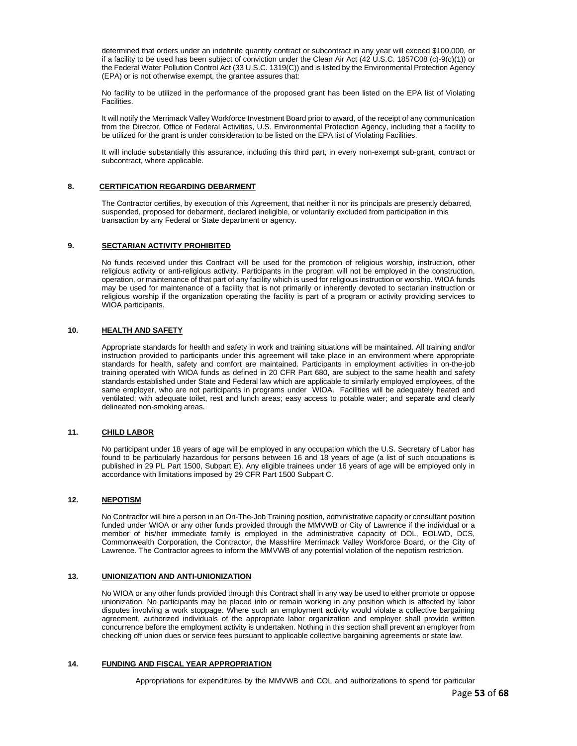determined that orders under an indefinite quantity contract or subcontract in any year will exceed \$100,000, or if a facility to be used has been subject of conviction under the Clean Air Act (42 U.S.C. 1857C08 (c)-9(c)(1)) or the Federal Water Pollution Control Act (33 U.S.C. 1319(C)) and is listed by the Environmental Protection Agency (EPA) or is not otherwise exempt, the grantee assures that:

No facility to be utilized in the performance of the proposed grant has been listed on the EPA list of Violating Facilities.

It will notify the Merrimack Valley Workforce Investment Board prior to award, of the receipt of any communication from the Director, Office of Federal Activities, U.S. Environmental Protection Agency, including that a facility to be utilized for the grant is under consideration to be listed on the EPA list of Violating Facilities.

It will include substantially this assurance, including this third part, in every non-exempt sub-grant, contract or subcontract, where applicable.

#### **8. CERTIFICATION REGARDING DEBARMENT**

The Contractor certifies, by execution of this Agreement, that neither it nor its principals are presently debarred, suspended, proposed for debarment, declared ineligible, or voluntarily excluded from participation in this transaction by any Federal or State department or agency.

#### **9. SECTARIAN ACTIVITY PROHIBITED**

No funds received under this Contract will be used for the promotion of religious worship, instruction, other religious activity or anti-religious activity. Participants in the program will not be employed in the construction, operation, or maintenance of that part of any facility which is used for religious instruction or worship. WIOA funds may be used for maintenance of a facility that is not primarily or inherently devoted to sectarian instruction or religious worship if the organization operating the facility is part of a program or activity providing services to WIOA participants.

#### **10. HEALTH AND SAFETY**

Appropriate standards for health and safety in work and training situations will be maintained. All training and/or instruction provided to participants under this agreement will take place in an environment where appropriate standards for health, safety and comfort are maintained. Participants in employment activities in on-the-job training operated with WIOA funds as defined in 20 CFR Part 680, are subject to the same health and safety standards established under State and Federal law which are applicable to similarly employed employees, of the same employer, who are not participants in programs under WIOA. Facilities will be adequately heated and ventilated; with adequate toilet, rest and lunch areas; easy access to potable water; and separate and clearly delineated non-smoking areas.

#### **11. CHILD LABOR**

No participant under 18 years of age will be employed in any occupation which the U.S. Secretary of Labor has found to be particularly hazardous for persons between 16 and 18 years of age (a list of such occupations is published in 29 PL Part 1500, Subpart E). Any eligible trainees under 16 years of age will be employed only in accordance with limitations imposed by 29 CFR Part 1500 Subpart C.

#### **12. NEPOTISM**

No Contractor will hire a person in an On-The-Job Training position, administrative capacity or consultant position funded under WIOA or any other funds provided through the MMVWB or City of Lawrence if the individual or a member of his/her immediate family is employed in the administrative capacity of DOL, EOLWD, DCS, Commonwealth Corporation, the Contractor, the MassHire Merrimack Valley Workforce Board, or the City of Lawrence. The Contractor agrees to inform the MMVWB of any potential violation of the nepotism restriction.

#### **13. UNIONIZATION AND ANTI-UNIONIZATION**

No WIOA or any other funds provided through this Contract shall in any way be used to either promote or oppose unionization. No participants may be placed into or remain working in any position which is affected by labor disputes involving a work stoppage. Where such an employment activity would violate a collective bargaining agreement, authorized individuals of the appropriate labor organization and employer shall provide written concurrence before the employment activity is undertaken. Nothing in this section shall prevent an employer from checking off union dues or service fees pursuant to applicable collective bargaining agreements or state law.

#### **14. FUNDING AND FISCAL YEAR APPROPRIATION**

Appropriations for expenditures by the MMVWB and COL and authorizations to spend for particular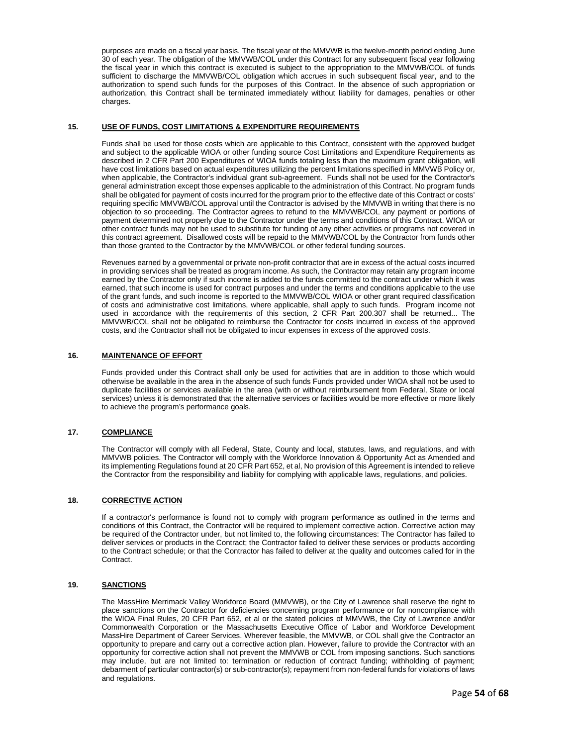purposes are made on a fiscal year basis. The fiscal year of the MMVWB is the twelve-month period ending June 30 of each year. The obligation of the MMVWB/COL under this Contract for any subsequent fiscal year following the fiscal year in which this contract is executed is subject to the appropriation to the MMVWB/COL of funds sufficient to discharge the MMVWB/COL obligation which accrues in such subsequent fiscal year, and to the authorization to spend such funds for the purposes of this Contract. In the absence of such appropriation or authorization, this Contract shall be terminated immediately without liability for damages, penalties or other charges.

#### **15. USE OF FUNDS, COST LIMITATIONS & EXPENDITURE REQUIREMENTS**

Funds shall be used for those costs which are applicable to this Contract, consistent with the approved budget and subject to the applicable WIOA or other funding source Cost Limitations and Expenditure Requirements as described in 2 CFR Part 200 Expenditures of WIOA funds totaling less than the maximum grant obligation, will have cost limitations based on actual expenditures utilizing the percent limitations specified in MMVWB Policy or, when applicable, the Contractor's individual grant sub-agreement. Funds shall not be used for the Contractor's general administration except those expenses applicable to the administration of this Contract. No program funds shall be obligated for payment of costs incurred for the program prior to the effective date of this Contract or costs' requiring specific MMVWB/COL approval until the Contractor is advised by the MMVWB in writing that there is no objection to so proceeding. The Contractor agrees to refund to the MMVWB/COL any payment or portions of payment determined not properly due to the Contractor under the terms and conditions of this Contract. WIOA or other contract funds may not be used to substitute for funding of any other activities or programs not covered in this contract agreement. Disallowed costs will be repaid to the MMVWB/COL by the Contractor from funds other than those granted to the Contractor by the MMVWB/COL or other federal funding sources.

Revenues earned by a governmental or private non-profit contractor that are in excess of the actual costs incurred in providing services shall be treated as program income. As such, the Contractor may retain any program income earned by the Contractor only if such income is added to the funds committed to the contract under which it was earned, that such income is used for contract purposes and under the terms and conditions applicable to the use of the grant funds, and such income is reported to the MMVWB/COL WIOA or other grant required classification of costs and administrative cost limitations, where applicable, shall apply to such funds. Program income not used in accordance with the requirements of this section, 2 CFR Part 200.307 shall be returned... The MMVWB/COL shall not be obligated to reimburse the Contractor for costs incurred in excess of the approved costs, and the Contractor shall not be obligated to incur expenses in excess of the approved costs.

#### **16. MAINTENANCE OF EFFORT**

Funds provided under this Contract shall only be used for activities that are in addition to those which would otherwise be available in the area in the absence of such funds Funds provided under WIOA shall not be used to duplicate facilities or services available in the area (with or without reimbursement from Federal, State or local services) unless it is demonstrated that the alternative services or facilities would be more effective or more likely to achieve the program's performance goals.

#### **17. COMPLIANCE**

The Contractor will comply with all Federal, State, County and local, statutes, laws, and regulations, and with MMVWB policies. The Contractor will comply with the Workforce Innovation & Opportunity Act as Amended and its implementing Regulations found at 20 CFR Part 652, et al, No provision of this Agreement is intended to relieve the Contractor from the responsibility and liability for complying with applicable laws, regulations, and policies.

#### **18. CORRECTIVE ACTION**

If a contractor's performance is found not to comply with program performance as outlined in the terms and conditions of this Contract, the Contractor will be required to implement corrective action. Corrective action may be required of the Contractor under, but not limited to, the following circumstances: The Contractor has failed to deliver services or products in the Contract; the Contractor failed to deliver these services or products according to the Contract schedule; or that the Contractor has failed to deliver at the quality and outcomes called for in the Contract.

#### **19. SANCTIONS**

The MassHire Merrimack Valley Workforce Board (MMVWB), or the City of Lawrence shall reserve the right to place sanctions on the Contractor for deficiencies concerning program performance or for noncompliance with the WIOA Final Rules, 20 CFR Part 652, et al or the stated policies of MMVWB, the City of Lawrence and/or Commonwealth Corporation or the Massachusetts Executive Office of Labor and Workforce Development MassHire Department of Career Services. Wherever feasible, the MMVWB, or COL shall give the Contractor an opportunity to prepare and carry out a corrective action plan. However, failure to provide the Contractor with an opportunity for corrective action shall not prevent the MMVWB or COL from imposing sanctions. Such sanctions may include, but are not limited to: termination or reduction of contract funding; withholding of payment; debarment of particular contractor(s) or sub-contractor(s); repayment from non-federal funds for violations of laws and regulations.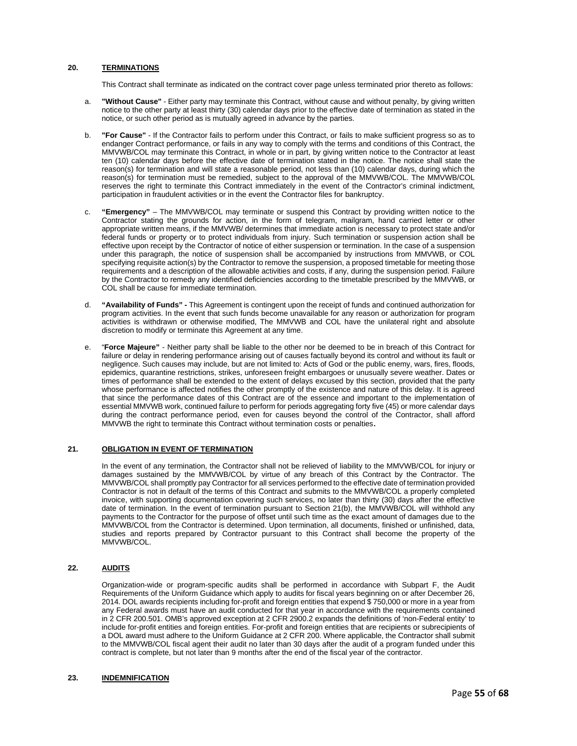#### **20. TERMINATIONS**

This Contract shall terminate as indicated on the contract cover page unless terminated prior thereto as follows:

- a. **"Without Cause"** Either party may terminate this Contract, without cause and without penalty, by giving written notice to the other party at least thirty (30) calendar days prior to the effective date of termination as stated in the notice, or such other period as is mutually agreed in advance by the parties.
- b. **"For Cause"** If the Contractor fails to perform under this Contract, or fails to make sufficient progress so as to endanger Contract performance, or fails in any way to comply with the terms and conditions of this Contract, the MMVWB/COL may terminate this Contract, in whole or in part, by giving written notice to the Contractor at least ten (10) calendar days before the effective date of termination stated in the notice. The notice shall state the reason(s) for termination and will state a reasonable period, not less than (10) calendar days, during which the reason(s) for termination must be remedied, subject to the approval of the MMVWB/COL. The MMVWB/COL reserves the right to terminate this Contract immediately in the event of the Contractor's criminal indictment, participation in fraudulent activities or in the event the Contractor files for bankruptcy.
- c. **"Emergency"** The MMVWB/COL may terminate or suspend this Contract by providing written notice to the Contractor stating the grounds for action, in the form of telegram, mailgram, hand carried letter or other appropriate written means, if the MMVWB/ determines that immediate action is necessary to protect state and/or federal funds or property or to protect individuals from injury. Such termination or suspension action shall be effective upon receipt by the Contractor of notice of either suspension or termination. In the case of a suspension under this paragraph, the notice of suspension shall be accompanied by instructions from MMVWB, or COL specifying requisite action(s) by the Contractor to remove the suspension, a proposed timetable for meeting those requirements and a description of the allowable activities and costs, if any, during the suspension period. Failure by the Contractor to remedy any identified deficiencies according to the timetable prescribed by the MMVWB, or COL shall be cause for immediate termination.
- d. **"Availability of Funds" -** This Agreement is contingent upon the receipt of funds and continued authorization for program activities. In the event that such funds become unavailable for any reason or authorization for program activities is withdrawn or otherwise modified, The MMVWB and COL have the unilateral right and absolute discretion to modify or terminate this Agreement at any time.
- e. "**Force Majeure"** Neither party shall be liable to the other nor be deemed to be in breach of this Contract for failure or delay in rendering performance arising out of causes factually beyond its control and without its fault or negligence. Such causes may include, but are not limited to: Acts of God or the public enemy, wars, fires, floods, epidemics, quarantine restrictions, strikes, unforeseen freight embargoes or unusually severe weather. Dates or times of performance shall be extended to the extent of delays excused by this section, provided that the party whose performance is affected notifies the other promptly of the existence and nature of this delay. It is agreed that since the performance dates of this Contract are of the essence and important to the implementation of essential MMVWB work, continued failure to perform for periods aggregating forty five (45) or more calendar days during the contract performance period, even for causes beyond the control of the Contractor, shall afford MMVWB the right to terminate this Contract without termination costs or penalties.

#### **21. OBLIGATION IN EVENT OF TERMINATION**

In the event of any termination, the Contractor shall not be relieved of liability to the MMVWB/COL for injury or damages sustained by the MMVWB/COL by virtue of any breach of this Contract by the Contractor. The MMVWB/COL shall promptly pay Contractor for all services performed to the effective date of termination provided Contractor is not in default of the terms of this Contract and submits to the MMVWB/COL a properly completed invoice, with supporting documentation covering such services, no later than thirty (30) days after the effective date of termination. In the event of termination pursuant to Section 21(b), the MMVWB/COL will withhold any payments to the Contractor for the purpose of offset until such time as the exact amount of damages due to the MMVWB/COL from the Contractor is determined. Upon termination, all documents, finished or unfinished, data, studies and reports prepared by Contractor pursuant to this Contract shall become the property of the MMVWB/COL.

#### **22. AUDITS**

Organization-wide or program-specific audits shall be performed in accordance with Subpart F, the Audit Requirements of the Uniform Guidance which apply to audits for fiscal years beginning on or after December 26, 2014. DOL awards recipients including for-profit and foreign entities that expend \$ 750,000 or more in a year from any Federal awards must have an audit conducted for that year in accordance with the requirements contained in 2 CFR 200.501. OMB's approved exception at 2 CFR 2900.2 expands the definitions of 'non-Federal entity' to include for-profit entities and foreign entities. For-profit and foreign entities that are recipients or subrecipients of a DOL award must adhere to the Uniform Guidance at 2 CFR 200. Where applicable, the Contractor shall submit to the MMVWB/COL fiscal agent their audit no later than 30 days after the audit of a program funded under this contract is complete, but not later than 9 months after the end of the fiscal year of the contractor.

#### **23. INDEMNIFICATION**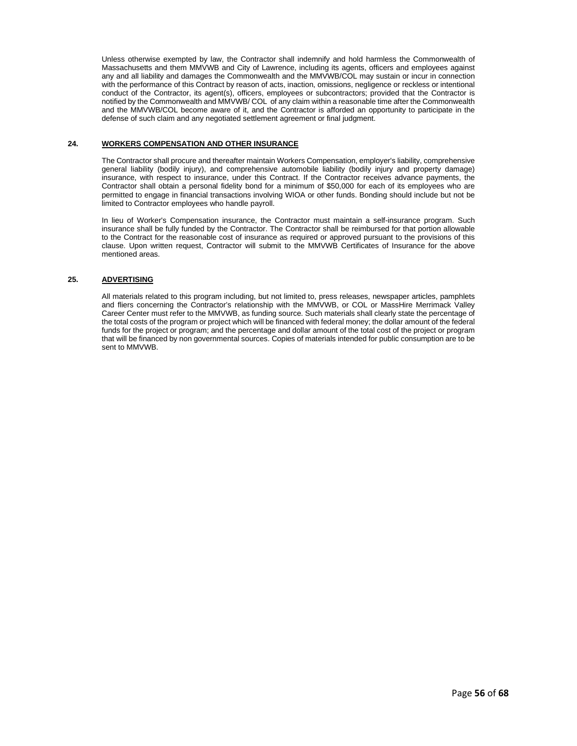Unless otherwise exempted by law, the Contractor shall indemnify and hold harmless the Commonwealth of Massachusetts and them MMVWB and City of Lawrence, including its agents, officers and employees against any and all liability and damages the Commonwealth and the MMVWB/COL may sustain or incur in connection with the performance of this Contract by reason of acts, inaction, omissions, negligence or reckless or intentional conduct of the Contractor, its agent(s), officers, employees or subcontractors; provided that the Contractor is notified by the Commonwealth and MMVWB/ COL of any claim within a reasonable time after the Commonwealth and the MMVWB/COL become aware of it, and the Contractor is afforded an opportunity to participate in the defense of such claim and any negotiated settlement agreement or final judgment.

#### **24. WORKERS COMPENSATION AND OTHER INSURANCE**

The Contractor shall procure and thereafter maintain Workers Compensation, employer's liability, comprehensive general liability (bodily injury), and comprehensive automobile liability (bodily injury and property damage) insurance, with respect to insurance, under this Contract. If the Contractor receives advance payments, the Contractor shall obtain a personal fidelity bond for a minimum of \$50,000 for each of its employees who are permitted to engage in financial transactions involving WIOA or other funds. Bonding should include but not be limited to Contractor employees who handle payroll.

In lieu of Worker's Compensation insurance, the Contractor must maintain a self-insurance program. Such insurance shall be fully funded by the Contractor. The Contractor shall be reimbursed for that portion allowable to the Contract for the reasonable cost of insurance as required or approved pursuant to the provisions of this clause. Upon written request, Contractor will submit to the MMVWB Certificates of Insurance for the above mentioned areas.

#### **25. ADVERTISING**

All materials related to this program including, but not limited to, press releases, newspaper articles, pamphlets and fliers concerning the Contractor's relationship with the MMVWB, or COL or MassHire Merrimack Valley Career Center must refer to the MMVWB, as funding source. Such materials shall clearly state the percentage of the total costs of the program or project which will be financed with federal money; the dollar amount of the federal funds for the project or program; and the percentage and dollar amount of the total cost of the project or program that will be financed by non governmental sources. Copies of materials intended for public consumption are to be sent to MMVWB.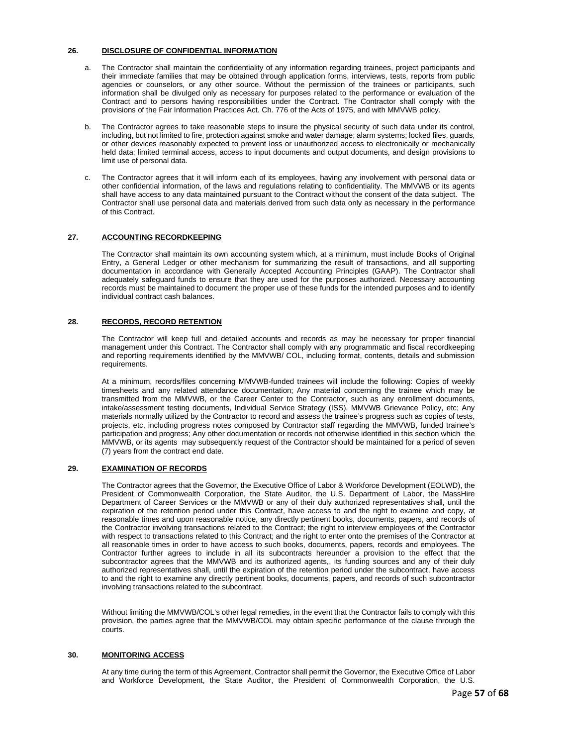#### **26. DISCLOSURE OF CONFIDENTIAL INFORMATION**

- a. The Contractor shall maintain the confidentiality of any information regarding trainees, project participants and their immediate families that may be obtained through application forms, interviews, tests, reports from public agencies or counselors, or any other source. Without the permission of the trainees or participants, such information shall be divulged only as necessary for purposes related to the performance or evaluation of the Contract and to persons having responsibilities under the Contract. The Contractor shall comply with the provisions of the Fair Information Practices Act. Ch. 776 of the Acts of 1975, and with MMVWB policy.
- The Contractor agrees to take reasonable steps to insure the physical security of such data under its control, including, but not limited to fire, protection against smoke and water damage; alarm systems; locked files, guards, or other devices reasonably expected to prevent loss or unauthorized access to electronically or mechanically held data; limited terminal access, access to input documents and output documents, and design provisions to limit use of personal data.
- c. The Contractor agrees that it will inform each of its employees, having any involvement with personal data or other confidential information, of the laws and regulations relating to confidentiality. The MMVWB or its agents shall have access to any data maintained pursuant to the Contract without the consent of the data subject. The Contractor shall use personal data and materials derived from such data only as necessary in the performance of this Contract.

#### **27. ACCOUNTING RECORDKEEPING**

The Contractor shall maintain its own accounting system which, at a minimum, must include Books of Original Entry, a General Ledger or other mechanism for summarizing the result of transactions, and all supporting documentation in accordance with Generally Accepted Accounting Principles (GAAP). The Contractor shall adequately safeguard funds to ensure that they are used for the purposes authorized. Necessary accounting records must be maintained to document the proper use of these funds for the intended purposes and to identify individual contract cash balances.

#### **28. RECORDS, RECORD RETENTION**

The Contractor will keep full and detailed accounts and records as may be necessary for proper financial management under this Contract. The Contractor shall comply with any programmatic and fiscal recordkeeping and reporting requirements identified by the MMVWB/ COL, including format, contents, details and submission requirements.

At a minimum, records/files concerning MMVWB-funded trainees will include the following: Copies of weekly timesheets and any related attendance documentation; Any material concerning the trainee which may be transmitted from the MMVWB, or the Career Center to the Contractor, such as any enrollment documents, intake/assessment testing documents, Individual Service Strategy (ISS), MMVWB Grievance Policy, etc; Any materials normally utilized by the Contractor to record and assess the trainee's progress such as copies of tests, projects, etc, including progress notes composed by Contractor staff regarding the MMVWB, funded trainee's participation and progress; Any other documentation or records not otherwise identified in this section which the MMVWB, or its agents may subsequently request of the Contractor should be maintained for a period of seven (7) years from the contract end date.

#### **29. EXAMINATION OF RECORDS**

The Contractor agrees that the Governor, the Executive Office of Labor & Workforce Development (EOLWD), the President of Commonwealth Corporation, the State Auditor, the U.S. Department of Labor, the MassHire Department of Career Services or the MMVWB or any of their duly authorized representatives shall, until the expiration of the retention period under this Contract, have access to and the right to examine and copy, at reasonable times and upon reasonable notice, any directly pertinent books, documents, papers, and records of the Contractor involving transactions related to the Contract; the right to interview employees of the Contractor with respect to transactions related to this Contract; and the right to enter onto the premises of the Contractor at all reasonable times in order to have access to such books, documents, papers, records and employees. The Contractor further agrees to include in all its subcontracts hereunder a provision to the effect that the subcontractor agrees that the MMVWB and its authorized agents,, its funding sources and any of their duly authorized representatives shall, until the expiration of the retention period under the subcontract, have access to and the right to examine any directly pertinent books, documents, papers, and records of such subcontractor involving transactions related to the subcontract.

Without limiting the MMVWB/COL's other legal remedies, in the event that the Contractor fails to comply with this provision, the parties agree that the MMVWB/COL may obtain specific performance of the clause through the courts.

#### **30. MONITORING ACCESS**

At any time during the term of this Agreement, Contractor shall permit the Governor, the Executive Office of Labor and Workforce Development, the State Auditor, the President of Commonwealth Corporation, the U.S.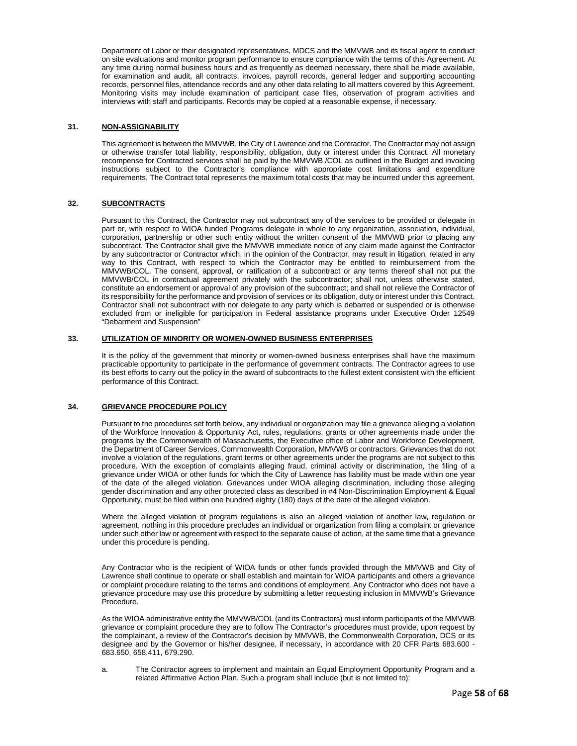Department of Labor or their designated representatives, MDCS and the MMVWB and its fiscal agent to conduct on site evaluations and monitor program performance to ensure compliance with the terms of this Agreement. At any time during normal business hours and as frequently as deemed necessary, there shall be made available, for examination and audit, all contracts, invoices, payroll records, general ledger and supporting accounting records, personnel files, attendance records and any other data relating to all matters covered by this Agreement. Monitoring visits may include examination of participant case files, observation of program activities and interviews with staff and participants. Records may be copied at a reasonable expense, if necessary.

#### **31. NON-ASSIGNABILITY**

This agreement is between the MMVWB, the City of Lawrence and the Contractor. The Contractor may not assign or otherwise transfer total liability, responsibility, obligation, duty or interest under this Contract. All monetary recompense for Contracted services shall be paid by the MMVWB /COL as outlined in the Budget and invoicing instructions subject to the Contractor's compliance with appropriate cost limitations and expenditure requirements. The Contract total represents the maximum total costs that may be incurred under this agreement.

#### **32. SUBCONTRACTS**

Pursuant to this Contract, the Contractor may not subcontract any of the services to be provided or delegate in part or, with respect to WIOA funded Programs delegate in whole to any organization, association, individual, corporation, partnership or other such entity without the written consent of the MMVWB prior to placing any subcontract. The Contractor shall give the MMVWB immediate notice of any claim made against the Contractor by any subcontractor or Contractor which, in the opinion of the Contractor, may result in litigation, related in any way to this Contract, with respect to which the Contractor may be entitled to reimbursement from the MMVWB/COL. The consent, approval, or ratification of a subcontract or any terms thereof shall not put the MMVWB/COL in contractual agreement privately with the subcontractor; shall not, unless otherwise stated, constitute an endorsement or approval of any provision of the subcontract; and shall not relieve the Contractor of its responsibility for the performance and provision of services or its obligation, duty or interest under this Contract. Contractor shall not subcontract with nor delegate to any party which is debarred or suspended or is otherwise excluded from or ineligible for participation in Federal assistance programs under Executive Order 12549 "Debarment and Suspension"

#### **33. UTILIZATION OF MINORITY OR WOMEN-OWNED BUSINESS ENTERPRISES**

It is the policy of the government that minority or women-owned business enterprises shall have the maximum practicable opportunity to participate in the performance of government contracts. The Contractor agrees to use its best efforts to carry out the policy in the award of subcontracts to the fullest extent consistent with the efficient performance of this Contract.

#### **34. GRIEVANCE PROCEDURE POLICY**

Pursuant to the procedures set forth below, any individual or organization may file a grievance alleging a violation of the Workforce Innovation & Opportunity Act, rules, regulations, grants or other agreements made under the programs by the Commonwealth of Massachusetts, the Executive office of Labor and Workforce Development, the Department of Career Services, Commonwealth Corporation, MMVWB or contractors. Grievances that do not involve a violation of the regulations, grant terms or other agreements under the programs are not subject to this procedure. With the exception of complaints alleging fraud, criminal activity or discrimination, the filing of a grievance under WIOA or other funds for which the City of Lawrence has liability must be made within one year of the date of the alleged violation. Grievances under WIOA alleging discrimination, including those alleging gender discrimination and any other protected class as described in #4 Non-Discrimination Employment & Equal Opportunity, must be filed within one hundred eighty (180) days of the date of the alleged violation.

Where the alleged violation of program regulations is also an alleged violation of another law, regulation or agreement, nothing in this procedure precludes an individual or organization from filing a complaint or grievance under such other law or agreement with respect to the separate cause of action, at the same time that a grievance under this procedure is pending.

Any Contractor who is the recipient of WIOA funds or other funds provided through the MMVWB and City of Lawrence shall continue to operate or shall establish and maintain for WIOA participants and others a grievance or complaint procedure relating to the terms and conditions of employment. Any Contractor who does not have a grievance procedure may use this procedure by submitting a letter requesting inclusion in MMVWB's Grievance Procedure.

As the WIOA administrative entity the MMVWB/COL (and its Contractors) must inform participants of the MMVWB grievance or complaint procedure they are to follow The Contractor's procedures must provide, upon request by the complainant, a review of the Contractor's decision by MMVWB, the Commonwealth Corporation, DCS or its designee and by the Governor or his/her designee, if necessary, in accordance with 20 CFR Parts 683.600 - 683.650, 658.411, 679.290.

a. The Contractor agrees to implement and maintain an Equal Employment Opportunity Program and a related Affirmative Action Plan. Such a program shall include (but is not limited to):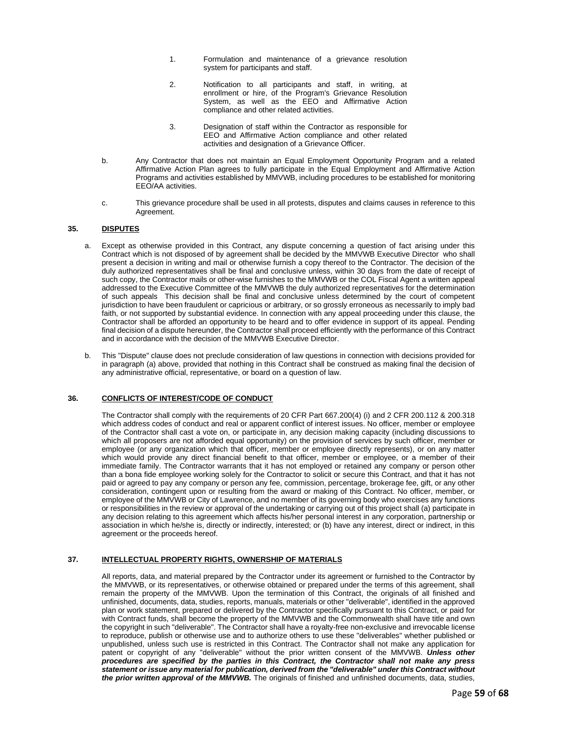- 1. Formulation and maintenance of a grievance resolution system for participants and staff.
- 2. Notification to all participants and staff, in writing, at enrollment or hire, of the Program's Grievance Resolution System, as well as the EEO and Affirmative Action compliance and other related activities.
- 3. Designation of staff within the Contractor as responsible for EEO and Affirmative Action compliance and other related activities and designation of a Grievance Officer.
- b. Any Contractor that does not maintain an Equal Employment Opportunity Program and a related Affirmative Action Plan agrees to fully participate in the Equal Employment and Affirmative Action Programs and activities established by MMVWB, including procedures to be established for monitoring EEO/AA activities.
- c. This grievance procedure shall be used in all protests, disputes and claims causes in reference to this Agreement

#### **35. DISPUTES**

- a. Except as otherwise provided in this Contract, any dispute concerning a question of fact arising under this Contract which is not disposed of by agreement shall be decided by the MMVWB Executive Director who shall present a decision in writing and mail or otherwise furnish a copy thereof to the Contractor. The decision of the duly authorized representatives shall be final and conclusive unless, within 30 days from the date of receipt of such copy, the Contractor mails or other-wise furnishes to the MMVWB or the COL Fiscal Agent a written appeal addressed to the Executive Committee of the MMVWB the duly authorized representatives for the determination of such appeals This decision shall be final and conclusive unless determined by the court of competent jurisdiction to have been fraudulent or capricious or arbitrary, or so grossly erroneous as necessarily to imply bad faith, or not supported by substantial evidence. In connection with any appeal proceeding under this clause, the Contractor shall be afforded an opportunity to be heard and to offer evidence in support of its appeal. Pending final decision of a dispute hereunder, the Contractor shall proceed efficiently with the performance of this Contract and in accordance with the decision of the MMVWB Executive Director.
- b. This "Dispute" clause does not preclude consideration of law questions in connection with decisions provided for in paragraph (a) above, provided that nothing in this Contract shall be construed as making final the decision of any administrative official, representative, or board on a question of law.

#### **36. CONFLICTS OF INTEREST/CODE OF CONDUCT**

The Contractor shall comply with the requirements of 20 CFR Part 667.200(4) (i) and 2 CFR 200.112 & 200.318 which address codes of conduct and real or apparent conflict of interest issues. No officer, member or employee of the Contractor shall cast a vote on, or participate in, any decision making capacity (including discussions to which all proposers are not afforded equal opportunity) on the provision of services by such officer, member or employee (or any organization which that officer, member or employee directly represents), or on any matter which would provide any direct financial benefit to that officer, member or employee, or a member of their immediate family. The Contractor warrants that it has not employed or retained any company or person other than a bona fide employee working solely for the Contractor to solicit or secure this Contract, and that it has not paid or agreed to pay any company or person any fee, commission, percentage, brokerage fee, gift, or any other consideration, contingent upon or resulting from the award or making of this Contract. No officer, member, or employee of the MMVWB or City of Lawrence, and no member of its governing body who exercises any functions or responsibilities in the review or approval of the undertaking or carrying out of this project shall (a) participate in any decision relating to this agreement which affects his/her personal interest in any corporation, partnership or association in which he/she is, directly or indirectly, interested; or (b) have any interest, direct or indirect, in this agreement or the proceeds hereof.

#### **37. INTELLECTUAL PROPERTY RIGHTS, OWNERSHIP OF MATERIALS**

All reports, data, and material prepared by the Contractor under its agreement or furnished to the Contractor by the MMVWB, or its representatives, or otherwise obtained or prepared under the terms of this agreement, shall remain the property of the MMVWB. Upon the termination of this Contract, the originals of all finished and unfinished, documents, data, studies, reports, manuals, materials or other "deliverable", identified in the approved plan or work statement, prepared or delivered by the Contractor specifically pursuant to this Contract, or paid for with Contract funds, shall become the property of the MMVWB and the Commonwealth shall have title and own the copyright in such "deliverable". The Contractor shall have a royalty-free non-exclusive and irrevocable license to reproduce, publish or otherwise use and to authorize others to use these "deliverables" whether published or unpublished, unless such use is restricted in this Contract. The Contractor shall not make any application for patent or copyright of any "deliverable" without the prior written consent of the MMVWB. *Unless other procedures are specified by the parties in this Contract, the Contractor shall not make any press statement or issue any material for publication, derived from the "deliverable" under this Contract without the prior written approval of the MMVWB.* The originals of finished and unfinished documents, data, studies,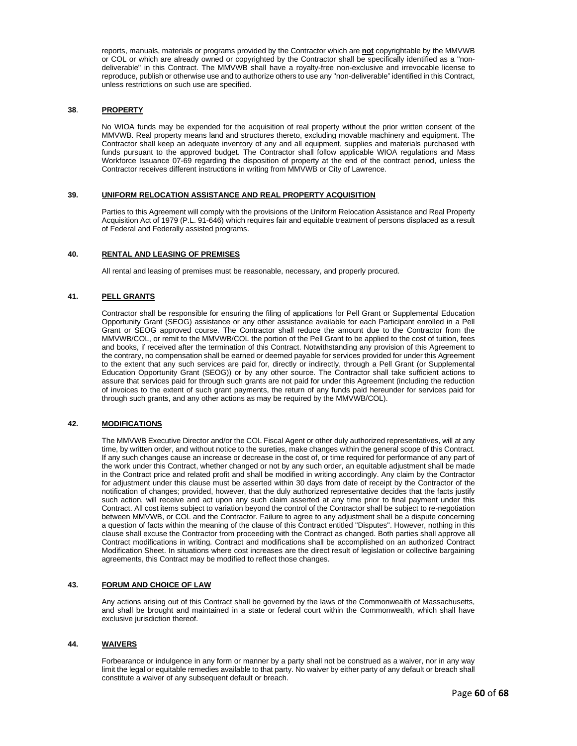reports, manuals, materials or programs provided by the Contractor which are **not** copyrightable by the MMVWB or COL or which are already owned or copyrighted by the Contractor shall be specifically identified as a "nondeliverable" in this Contract. The MMVWB shall have a royalty-free non-exclusive and irrevocable license to reproduce, publish or otherwise use and to authorize others to use any "non-deliverable" identified in this Contract, unless restrictions on such use are specified.

#### **38**. **PROPERTY**

No WIOA funds may be expended for the acquisition of real property without the prior written consent of the MMVWB. Real property means land and structures thereto, excluding movable machinery and equipment. The Contractor shall keep an adequate inventory of any and all equipment, supplies and materials purchased with funds pursuant to the approved budget. The Contractor shall follow applicable WIOA regulations and Mass Workforce Issuance 07-69 regarding the disposition of property at the end of the contract period, unless the Contractor receives different instructions in writing from MMVWB or City of Lawrence.

#### **39. UNIFORM RELOCATION ASSISTANCE AND REAL PROPERTY ACQUISITION**

Parties to this Agreement will comply with the provisions of the Uniform Relocation Assistance and Real Property Acquisition Act of 1979 (P.L. 91-646) which requires fair and equitable treatment of persons displaced as a result of Federal and Federally assisted programs.

#### **40. RENTAL AND LEASING OF PREMISES**

All rental and leasing of premises must be reasonable, necessary, and properly procured.

#### **41. PELL GRANTS**

Contractor shall be responsible for ensuring the filing of applications for Pell Grant or Supplemental Education Opportunity Grant (SEOG) assistance or any other assistance available for each Participant enrolled in a Pell Grant or SEOG approved course. The Contractor shall reduce the amount due to the Contractor from the MMVWB/COL, or remit to the MMVWB/COL the portion of the Pell Grant to be applied to the cost of tuition, fees and books, if received after the termination of this Contract. Notwithstanding any provision of this Agreement to the contrary, no compensation shall be earned or deemed payable for services provided for under this Agreement to the extent that any such services are paid for, directly or indirectly, through a Pell Grant (or Supplemental Education Opportunity Grant (SEOG)) or by any other source. The Contractor shall take sufficient actions to assure that services paid for through such grants are not paid for under this Agreement (including the reduction of invoices to the extent of such grant payments, the return of any funds paid hereunder for services paid for through such grants, and any other actions as may be required by the MMVWB/COL).

#### **42. MODIFICATIONS**

The MMVWB Executive Director and/or the COL Fiscal Agent or other duly authorized representatives, will at any time, by written order, and without notice to the sureties, make changes within the general scope of this Contract. If any such changes cause an increase or decrease in the cost of, or time required for performance of any part of the work under this Contract, whether changed or not by any such order, an equitable adjustment shall be made in the Contract price and related profit and shall be modified in writing accordingly. Any claim by the Contractor for adjustment under this clause must be asserted within 30 days from date of receipt by the Contractor of the notification of changes; provided, however, that the duly authorized representative decides that the facts justify such action, will receive and act upon any such claim asserted at any time prior to final payment under this Contract. All cost items subject to variation beyond the control of the Contractor shall be subject to re-negotiation between MMVWB, or COL and the Contractor. Failure to agree to any adjustment shall be a dispute concerning a question of facts within the meaning of the clause of this Contract entitled "Disputes". However, nothing in this clause shall excuse the Contractor from proceeding with the Contract as changed. Both parties shall approve all Contract modifications in writing. Contract and modifications shall be accomplished on an authorized Contract Modification Sheet. In situations where cost increases are the direct result of legislation or collective bargaining agreements, this Contract may be modified to reflect those changes.

#### **43. FORUM AND CHOICE OF LAW**

Any actions arising out of this Contract shall be governed by the laws of the Commonwealth of Massachusetts, and shall be brought and maintained in a state or federal court within the Commonwealth, which shall have exclusive jurisdiction thereof.

#### **44. WAIVERS**

Forbearance or indulgence in any form or manner by a party shall not be construed as a waiver, nor in any way limit the legal or equitable remedies available to that party. No waiver by either party of any default or breach shall constitute a waiver of any subsequent default or breach.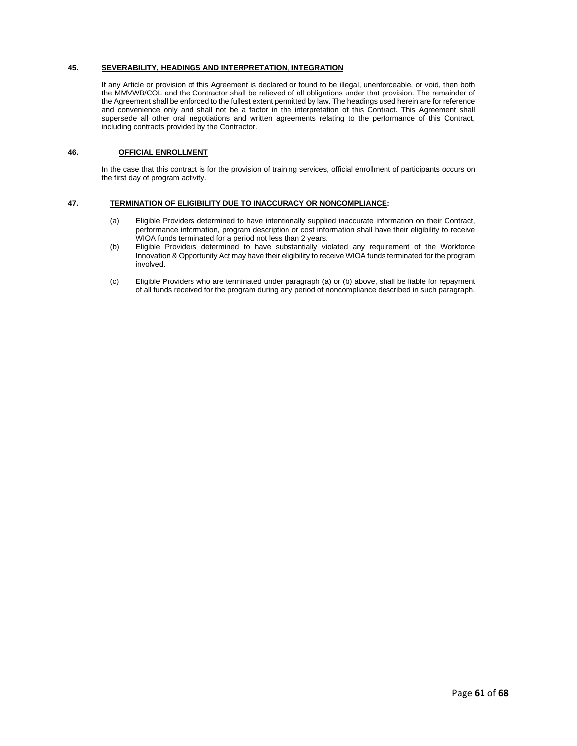#### **45. SEVERABILITY, HEADINGS AND INTERPRETATION, INTEGRATION**

If any Article or provision of this Agreement is declared or found to be illegal, unenforceable, or void, then both the MMVWB/COL and the Contractor shall be relieved of all obligations under that provision. The remainder of the Agreement shall be enforced to the fullest extent permitted by law. The headings used herein are for reference and convenience only and shall not be a factor in the interpretation of this Contract. This Agreement shall supersede all other oral negotiations and written agreements relating to the performance of this Contract, including contracts provided by the Contractor.

#### **46. OFFICIAL ENROLLMENT**

In the case that this contract is for the provision of training services, official enrollment of participants occurs on the first day of program activity.

#### **47. TERMINATION OF ELIGIBILITY DUE TO INACCURACY OR NONCOMPLIANCE:**

- (a) Eligible Providers determined to have intentionally supplied inaccurate information on their Contract, performance information, program description or cost information shall have their eligibility to receive WIOA funds terminated for a period not less than 2 years.
- (b) Eligible Providers determined to have substantially violated any requirement of the Workforce Innovation & Opportunity Act may have their eligibility to receive WIOA funds terminated for the program involved.
- (c) Eligible Providers who are terminated under paragraph (a) or (b) above, shall be liable for repayment of all funds received for the program during any period of noncompliance described in such paragraph.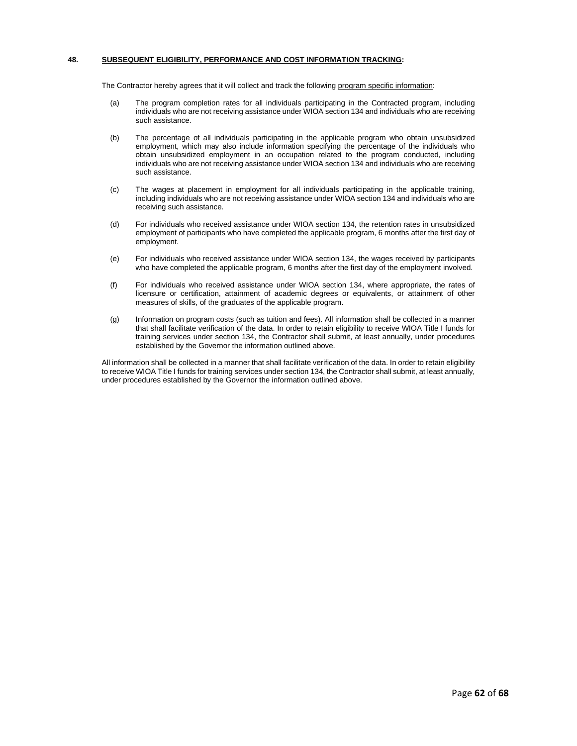#### **48. SUBSEQUENT ELIGIBILITY, PERFORMANCE AND COST INFORMATION TRACKING:**

The Contractor hereby agrees that it will collect and track the following program specific information:

- (a) The program completion rates for all individuals participating in the Contracted program, including individuals who are not receiving assistance under WIOA section 134 and individuals who are receiving such assistance.
- (b) The percentage of all individuals participating in the applicable program who obtain unsubsidized employment, which may also include information specifying the percentage of the individuals who obtain unsubsidized employment in an occupation related to the program conducted, including individuals who are not receiving assistance under WIOA section 134 and individuals who are receiving such assistance.
- (c) The wages at placement in employment for all individuals participating in the applicable training, including individuals who are not receiving assistance under WIOA section 134 and individuals who are receiving such assistance.
- (d) For individuals who received assistance under WIOA section 134, the retention rates in unsubsidized employment of participants who have completed the applicable program, 6 months after the first day of employment.
- (e) For individuals who received assistance under WIOA section 134, the wages received by participants who have completed the applicable program, 6 months after the first day of the employment involved.
- (f) For individuals who received assistance under WIOA section 134, where appropriate, the rates of licensure or certification, attainment of academic degrees or equivalents, or attainment of other measures of skills, of the graduates of the applicable program.
- (g) Information on program costs (such as tuition and fees). All information shall be collected in a manner that shall facilitate verification of the data. In order to retain eligibility to receive WIOA Title I funds for training services under section 134, the Contractor shall submit, at least annually, under procedures established by the Governor the information outlined above.

All information shall be collected in a manner that shall facilitate verification of the data. In order to retain eligibility to receive WIOA Title I funds for training services under section 134, the Contractor shall submit, at least annually, under procedures established by the Governor the information outlined above.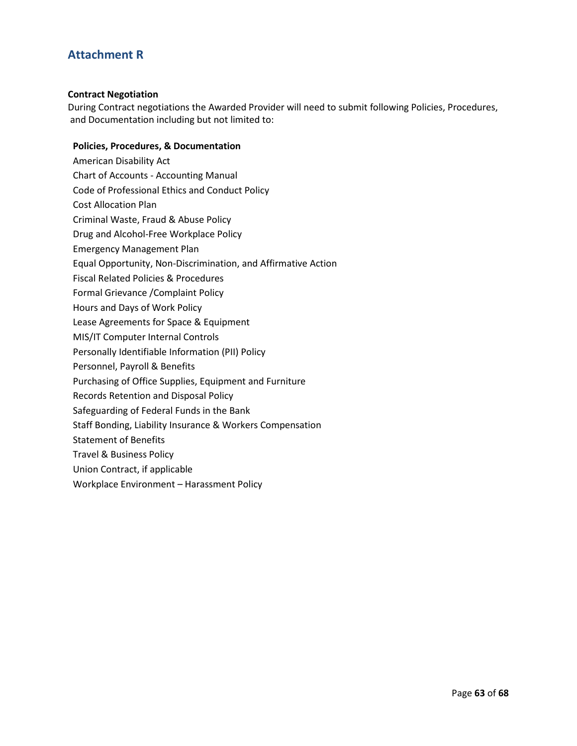# **Attachment R**

### **Contract Negotiation**

During Contract negotiations the Awarded Provider will need to submit following Policies, Procedures, and Documentation including but not limited to:

### **Policies, Procedures, & Documentation**

American Disability Act Chart of Accounts - Accounting Manual Code of Professional Ethics and Conduct Policy Cost Allocation Plan Criminal Waste, Fraud & Abuse Policy Drug and Alcohol-Free Workplace Policy Emergency Management Plan Equal Opportunity, Non-Discrimination, and Affirmative Action Fiscal Related Policies & Procedures Formal Grievance /Complaint Policy Hours and Days of Work Policy Lease Agreements for Space & Equipment MIS/IT Computer Internal Controls Personally Identifiable Information (PII) Policy Personnel, Payroll & Benefits Purchasing of Office Supplies, Equipment and Furniture Records Retention and Disposal Policy Safeguarding of Federal Funds in the Bank Staff Bonding, Liability Insurance & Workers Compensation Statement of Benefits Travel & Business Policy Union Contract, if applicable Workplace Environment – Harassment Policy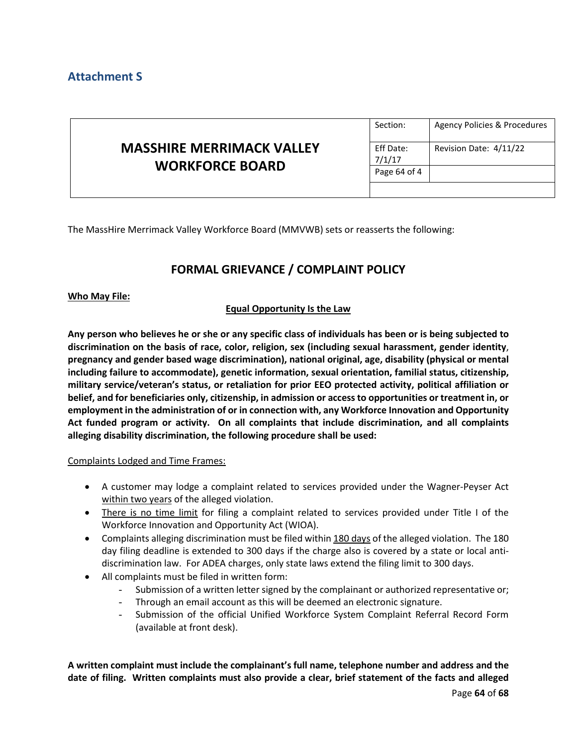# **Attachment S**

|                                                            | Section:            | Agency Policies & Procedures |
|------------------------------------------------------------|---------------------|------------------------------|
| <b>MASSHIRE MERRIMACK VALLEY</b><br><b>WORKFORCE BOARD</b> | Eff Date:<br>7/1/17 | Revision Date: 4/11/22       |
|                                                            | Page 64 of 4        |                              |
|                                                            |                     |                              |

The MassHire Merrimack Valley Workforce Board (MMVWB) sets or reasserts the following:

# **FORMAL GRIEVANCE / COMPLAINT POLICY**

## **Who May File:**

## **Equal Opportunity Is the Law**

**Any person who believes he or she or any specific class of individuals has been or is being subjected to discrimination on the basis of race, color, religion, sex (including sexual harassment, gender identity**, **pregnancy and gender based wage discrimination), national original, age, disability (physical or mental including failure to accommodate), genetic information, sexual orientation, familial status, citizenship, military service/veteran's status, or retaliation for prior EEO protected activity, political affiliation or belief, and for beneficiaries only, citizenship, in admission or access to opportunities or treatment in, or employment in the administration of or in connection with, any Workforce Innovation and Opportunity Act funded program or activity. On all complaints that include discrimination, and all complaints alleging disability discrimination, the following procedure shall be used:**

### Complaints Lodged and Time Frames:

- A customer may lodge a complaint related to services provided under the Wagner-Peyser Act within two years of the alleged violation.
- There is no time limit for filing a complaint related to services provided under Title I of the Workforce Innovation and Opportunity Act (WIOA).
- Complaints alleging discrimination must be filed within 180 days of the alleged violation. The 180 day filing deadline is extended to 300 days if the charge also is covered by a state or local antidiscrimination law. For ADEA charges, only state laws extend the filing limit to 300 days.
- All complaints must be filed in written form:
	- Submission of a written letter signed by the complainant or authorized representative or;
	- Through an email account as this will be deemed an electronic signature.
	- Submission of the official Unified Workforce System Complaint Referral Record Form (available at front desk).

**A written complaint must include the complainant's full name, telephone number and address and the date of filing. Written complaints must also provide a clear, brief statement of the facts and alleged**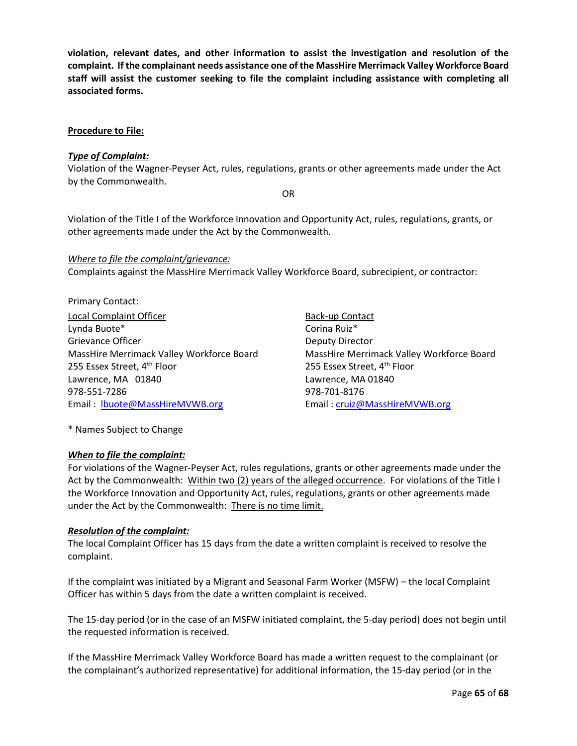**violation, relevant dates, and other information to assist the investigation and resolution of the complaint. If the complainant needs assistance one of the MassHire Merrimack Valley Workforce Board staff will assist the customer seeking to file the complaint including assistance with completing all associated forms.**

## **Procedure to File:**

## *Type of Complaint:*

Violation of the Wagner-Peyser Act, rules, regulations, grants or other agreements made under the Act by the Commonwealth.

OR

Violation of the Title I of the Workforce Innovation and Opportunity Act, rules, regulations, grants, or other agreements made under the Act by the Commonwealth.

### *Where to file the complaint/grievance:*

Complaints against the MassHire Merrimack Valley Workforce Board, subrecipient, or contractor:

Primary Contact: Local Complaint Officer **Back-up Contact** Lynda Buote\* Corina Ruiz\* Corina Ruiz\* Grievance Officer **Deputy Director** Deputy Director 255 Essex Street, 4<sup>th</sup> Floor 255 Essex Street, 4<sup>th</sup> Floor Lawrence, MA 01840 Lawrence, MA 01840 978-551-7286 978-701-8176 Email : [lbuote@MassHireMVWB.org](mailto:lbuote@MassHireMVWB.org) Email : [cruiz@MassHireMVWB.org](mailto:cruiz@MassHireMVWB.org) 

MassHire Merrimack Valley Workforce Board MassHire Merrimack Valley Workforce Board

\* Names Subject to Change

### *When to file the complaint:*

For violations of the Wagner-Peyser Act, rules regulations, grants or other agreements made under the Act by the Commonwealth: Within two (2) years of the alleged occurrence. For violations of the Title I the Workforce Innovation and Opportunity Act, rules, regulations, grants or other agreements made under the Act by the Commonwealth: There is no time limit.

## *Resolution of the complaint:*

The local Complaint Officer has 15 days from the date a written complaint is received to resolve the complaint.

If the complaint was initiated by a Migrant and Seasonal Farm Worker (MSFW) – the local Complaint Officer has within 5 days from the date a written complaint is received.

The 15-day period (or in the case of an MSFW initiated complaint, the 5-day period) does not begin until the requested information is received.

If the MassHire Merrimack Valley Workforce Board has made a written request to the complainant (or the complainant's authorized representative) for additional information, the 15-day period (or in the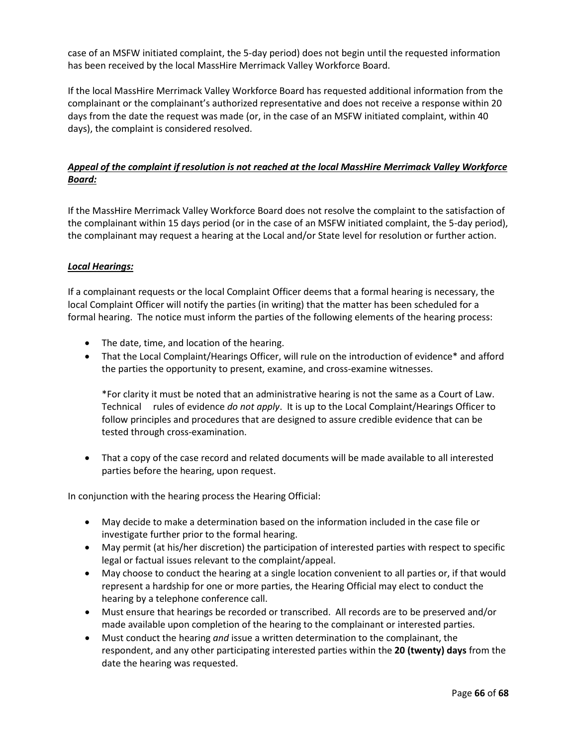case of an MSFW initiated complaint, the 5-day period) does not begin until the requested information has been received by the local MassHire Merrimack Valley Workforce Board.

If the local MassHire Merrimack Valley Workforce Board has requested additional information from the complainant or the complainant's authorized representative and does not receive a response within 20 days from the date the request was made (or, in the case of an MSFW initiated complaint, within 40 days), the complaint is considered resolved.

## *Appeal of the complaint if resolution is not reached at the local MassHire Merrimack Valley Workforce Board:*

If the MassHire Merrimack Valley Workforce Board does not resolve the complaint to the satisfaction of the complainant within 15 days period (or in the case of an MSFW initiated complaint, the 5-day period), the complainant may request a hearing at the Local and/or State level for resolution or further action.

## *Local Hearings:*

If a complainant requests or the local Complaint Officer deems that a formal hearing is necessary, the local Complaint Officer will notify the parties (in writing) that the matter has been scheduled for a formal hearing. The notice must inform the parties of the following elements of the hearing process:

- The date, time, and location of the hearing.
- That the Local Complaint/Hearings Officer, will rule on the introduction of evidence\* and afford the parties the opportunity to present, examine, and cross-examine witnesses.

\*For clarity it must be noted that an administrative hearing is not the same as a Court of Law. Technical rules of evidence *do not apply*. It is up to the Local Complaint/Hearings Officer to follow principles and procedures that are designed to assure credible evidence that can be tested through cross-examination.

• That a copy of the case record and related documents will be made available to all interested parties before the hearing, upon request.

In conjunction with the hearing process the Hearing Official:

- May decide to make a determination based on the information included in the case file or investigate further prior to the formal hearing.
- May permit (at his/her discretion) the participation of interested parties with respect to specific legal or factual issues relevant to the complaint/appeal.
- May choose to conduct the hearing at a single location convenient to all parties or, if that would represent a hardship for one or more parties, the Hearing Official may elect to conduct the hearing by a telephone conference call.
- Must ensure that hearings be recorded or transcribed. All records are to be preserved and/or made available upon completion of the hearing to the complainant or interested parties.
- Must conduct the hearing *and* issue a written determination to the complainant, the respondent, and any other participating interested parties within the **20 (twenty) days** from the date the hearing was requested.